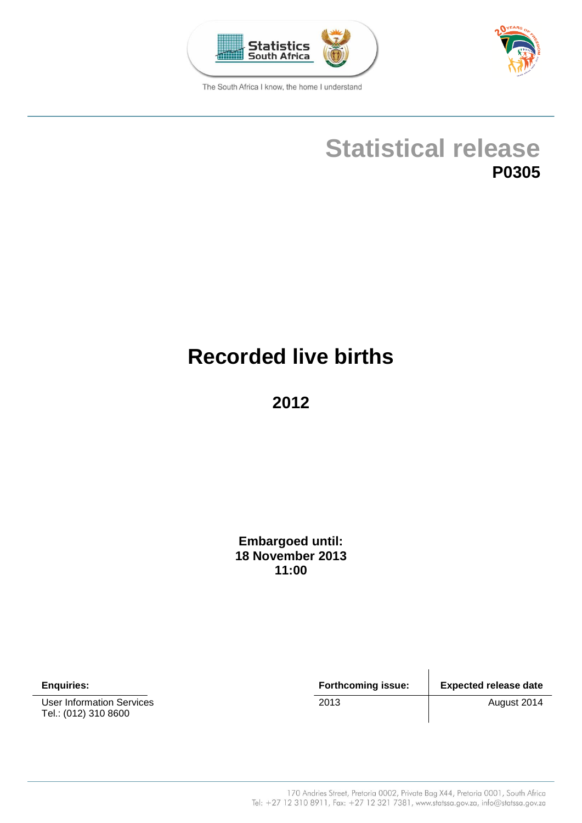



The South Africa I know, the home I understand

# **Statistical release P0305**

# **Recorded live births**

**2012**

**Embargoed until: 18 November 2013 11:00**

User Information Services 2013 2013 August 2014 Tel.: (012) 310 8600

**Enquiries: Forthcoming issue: Expected release date**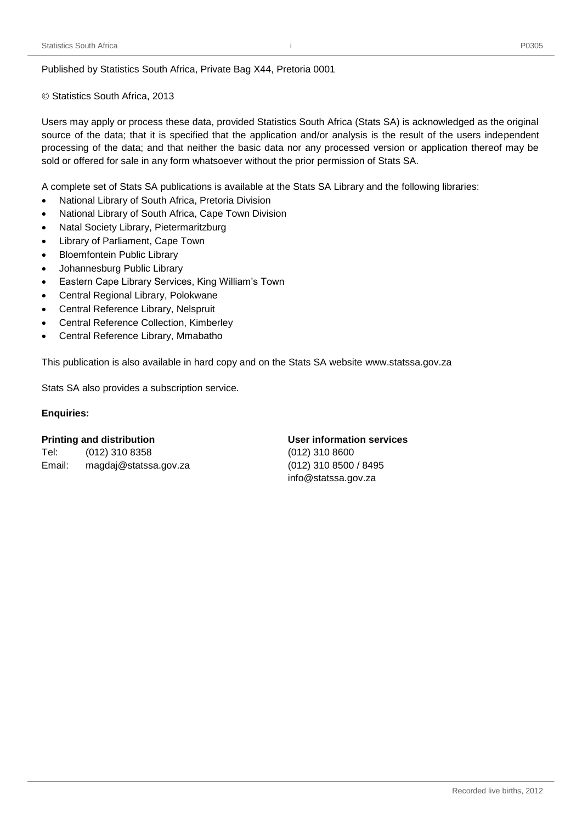© Statistics South Africa, 2013

Users may apply or process these data, provided Statistics South Africa (Stats SA) is acknowledged as the original source of the data; that it is specified that the application and/or analysis is the result of the users independent processing of the data; and that neither the basic data nor any processed version or application thereof may be sold or offered for sale in any form whatsoever without the prior permission of Stats SA.

i

A complete set of Stats SA publications is available at the Stats SA Library and the following libraries:

- National Library of South Africa, Pretoria Division
- National Library of South Africa, Cape Town Division
- Natal Society Library, Pietermaritzburg
- Library of Parliament, Cape Town
- Bloemfontein Public Library
- Johannesburg Public Library
- Eastern Cape Library Services, King William's Town
- Central Regional Library, Polokwane
- Central Reference Library, Nelspruit
- Central Reference Collection, Kimberley
- Central Reference Library, Mmabatho

This publication is also available in hard copy and on the Stats SA website [www.statssa.gov.za](http://www.statssa.gov.za/)

Stats SA also provides a subscription service.

#### **Enquiries:**

#### **Printing and distribution User information services**

Tel: (012) 310 8358 (012) 310 8600 Email: magdaj@statssa.gov.za (012) 310 8500 / 8495

[info@statssa.gov.za](mailto:info@statssa.gov.za)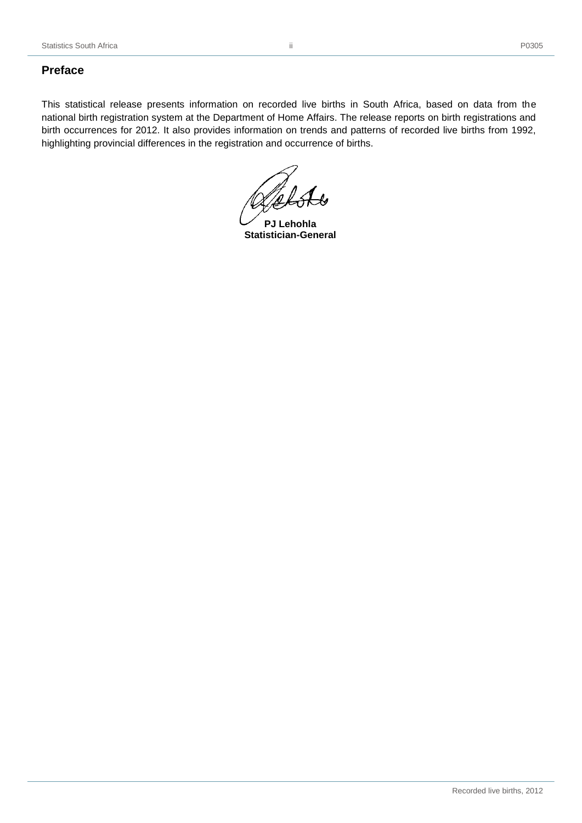# <span id="page-3-0"></span>**Preface**

This statistical release presents information on recorded live births in South Africa, based on data from the national birth registration system at the Department of Home Affairs. The release reports on birth registrations and birth occurrences for 2012. It also provides information on trends and patterns of recorded live births from 1992, highlighting provincial differences in the registration and occurrence of births.

**PJ Lehohla Statistician-General**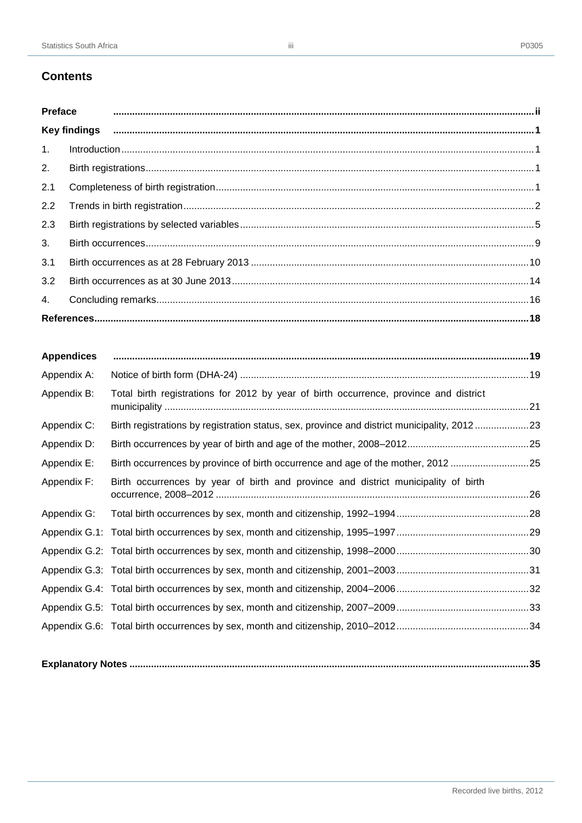# **Contents**

|     | Preface municipality and continuum and contact and contact and contact and contact and contact and contact and contact and contact and contact and contact and contact and contact and contact and contact and contact and con |  |
|-----|--------------------------------------------------------------------------------------------------------------------------------------------------------------------------------------------------------------------------------|--|
|     |                                                                                                                                                                                                                                |  |
|     |                                                                                                                                                                                                                                |  |
| 2.  |                                                                                                                                                                                                                                |  |
| 2.1 |                                                                                                                                                                                                                                |  |
| 2.2 |                                                                                                                                                                                                                                |  |
| 2.3 |                                                                                                                                                                                                                                |  |
| 3.  |                                                                                                                                                                                                                                |  |
| 3.1 |                                                                                                                                                                                                                                |  |
| 3.2 |                                                                                                                                                                                                                                |  |
| 4.  |                                                                                                                                                                                                                                |  |
|     |                                                                                                                                                                                                                                |  |

| <b>Appendices</b> |                                                                                             |  |
|-------------------|---------------------------------------------------------------------------------------------|--|
| Appendix A:       |                                                                                             |  |
| Appendix B:       | Total birth registrations for 2012 by year of birth occurrence, province and district       |  |
| Appendix C:       | Birth registrations by registration status, sex, province and district municipality, 201223 |  |
| Appendix D:       |                                                                                             |  |
| Appendix E:       | Birth occurrences by province of birth occurrence and age of the mother, 201225             |  |
| Appendix F:       | Birth occurrences by year of birth and province and district municipality of birth          |  |
| Appendix G:       |                                                                                             |  |
|                   |                                                                                             |  |
|                   |                                                                                             |  |
|                   |                                                                                             |  |
|                   |                                                                                             |  |
|                   |                                                                                             |  |
|                   |                                                                                             |  |
|                   |                                                                                             |  |

|--|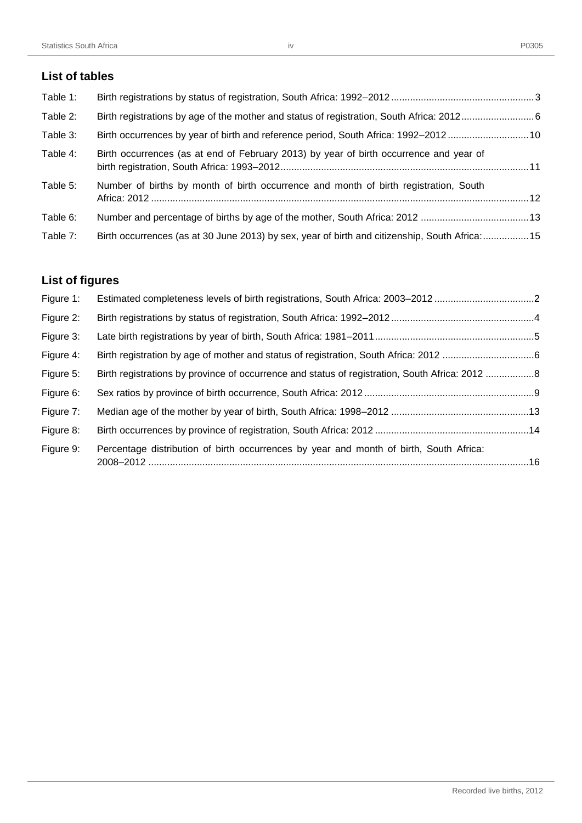# **List of tables**

| Table 1: |                                                                                               |  |
|----------|-----------------------------------------------------------------------------------------------|--|
| Table 2: |                                                                                               |  |
| Table 3: | Birth occurrences by year of birth and reference period, South Africa: 1992-201210            |  |
| Table 4: | Birth occurrences (as at end of February 2013) by year of birth occurrence and year of        |  |
| Table 5: | Number of births by month of birth occurrence and month of birth registration, South          |  |
| Table 6: |                                                                                               |  |
| Table 7: | Birth occurrences (as at 30 June 2013) by sex, year of birth and citizenship, South Africa:15 |  |

# **List of figures**

| Figure 1: | Estimated completeness levels of birth registrations, South Africa: 2003-20122                 |  |
|-----------|------------------------------------------------------------------------------------------------|--|
| Figure 2: |                                                                                                |  |
| Figure 3: |                                                                                                |  |
| Figure 4: |                                                                                                |  |
| Figure 5: | Birth registrations by province of occurrence and status of registration, South Africa: 2012 8 |  |
| Figure 6: |                                                                                                |  |
| Figure 7: |                                                                                                |  |
| Figure 8: |                                                                                                |  |
| Figure 9: | Percentage distribution of birth occurrences by year and month of birth, South Africa:         |  |
|           |                                                                                                |  |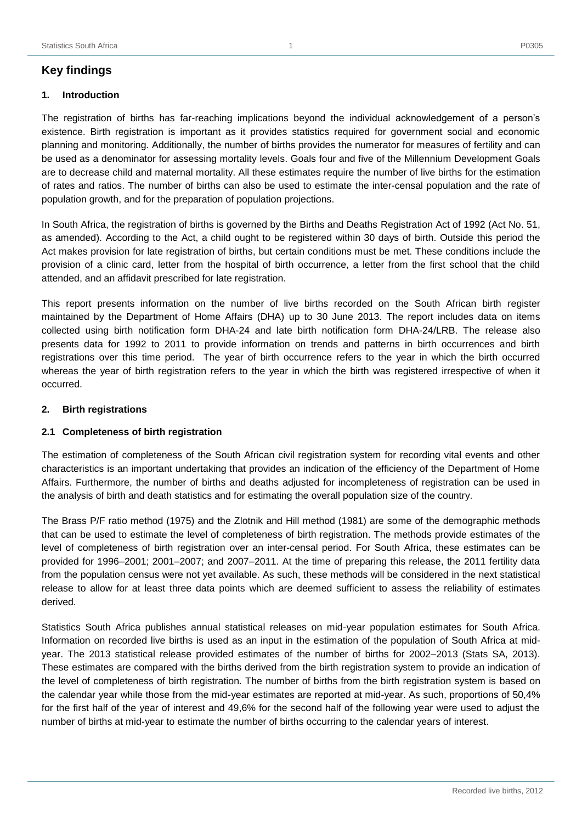# <span id="page-6-1"></span><span id="page-6-0"></span>**1. Introduction**

The registration of births has far-reaching implications beyond the individual acknowledgement of a person's existence. Birth registration is important as it provides statistics required for government social and economic planning and monitoring. Additionally, the number of births provides the numerator for measures of fertility and can be used as a denominator for assessing mortality levels. Goals four and five of the Millennium Development Goals are to decrease child and maternal mortality. All these estimates require the number of live births for the estimation of rates and ratios. The number of births can also be used to estimate the inter-censal population and the rate of population growth, and for the preparation of population projections.

In South Africa, the registration of births is governed by the Births and Deaths Registration Act of 1992 (Act No. 51, as amended). According to the Act, a child ought to be registered within 30 days of birth. Outside this period the Act makes provision for late registration of births, but certain conditions must be met. These conditions include the provision of a clinic card, letter from the hospital of birth occurrence, a letter from the first school that the child attended, and an affidavit prescribed for late registration.

This report presents information on the number of live births recorded on the South African birth register maintained by the Department of Home Affairs (DHA) up to 30 June 2013. The report includes data on items collected using birth notification form DHA-24 and late birth notification form DHA-24/LRB. The release also presents data for 1992 to 2011 to provide information on trends and patterns in birth occurrences and birth registrations over this time period. The year of birth occurrence refers to the year in which the birth occurred whereas the year of birth registration refers to the year in which the birth was registered irrespective of when it occurred.

# <span id="page-6-2"></span>**2. Birth registrations**

# <span id="page-6-3"></span>**2.1 Completeness of birth registration**

The estimation of completeness of the South African civil registration system for recording vital events and other characteristics is an important undertaking that provides an indication of the efficiency of the Department of Home Affairs. Furthermore, the number of births and deaths adjusted for incompleteness of registration can be used in the analysis of birth and death statistics and for estimating the overall population size of the country.

The Brass P/F ratio method (1975) and the Zlotnik and Hill method (1981) are some of the demographic methods that can be used to estimate the level of completeness of birth registration. The methods provide estimates of the level of completeness of birth registration over an inter-censal period. For South Africa, these estimates can be provided for 1996–2001; 2001–2007; and 2007–2011. At the time of preparing this release, the 2011 fertility data from the population census were not yet available. As such, these methods will be considered in the next statistical release to allow for at least three data points which are deemed sufficient to assess the reliability of estimates derived.

Statistics South Africa publishes annual statistical releases on mid-year population estimates for South Africa. Information on recorded live births is used as an input in the estimation of the population of South Africa at midyear. The 2013 statistical release provided estimates of the number of births for 2002–2013 (Stats SA, 2013). These estimates are compared with the births derived from the birth registration system to provide an indication of the level of completeness of birth registration. The number of births from the birth registration system is based on the calendar year while those from the mid-year estimates are reported at mid-year. As such, proportions of 50,4% for the first half of the year of interest and 49,6% for the second half of the following year were used to adjust the number of births at mid-year to estimate the number of births occurring to the calendar years of interest.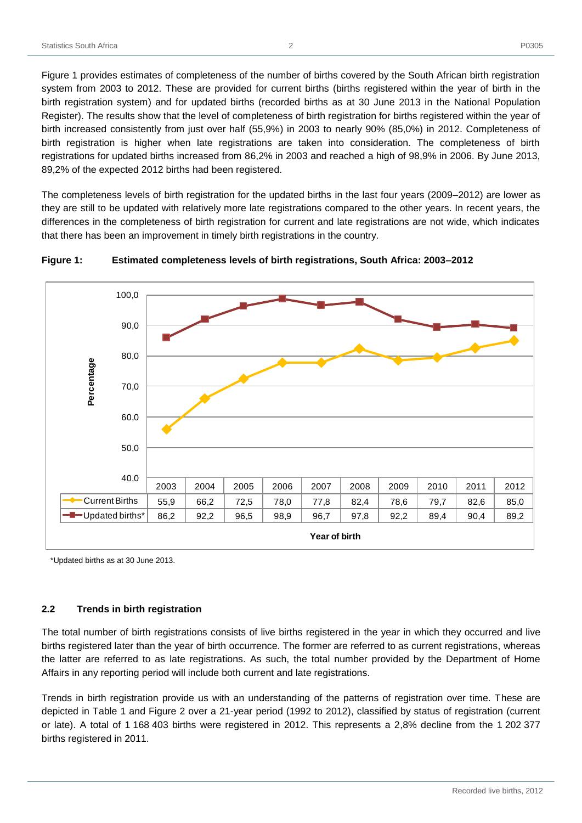Figure 1 provides estimates of completeness of the number of births covered by the South African birth registration system from 2003 to 2012. These are provided for current births (births registered within the year of birth in the birth registration system) and for updated births (recorded births as at 30 June 2013 in the National Population Register). The results show that the level of completeness of birth registration for births registered within the year of birth increased consistently from just over half (55,9%) in 2003 to nearly 90% (85,0%) in 2012. Completeness of birth registration is higher when late registrations are taken into consideration. The completeness of birth registrations for updated births increased from 86,2% in 2003 and reached a high of 98,9% in 2006. By June 2013, 89,2% of the expected 2012 births had been registered.

The completeness levels of birth registration for the updated births in the last four years (2009–2012) are lower as they are still to be updated with relatively more late registrations compared to the other years. In recent years, the differences in the completeness of birth registration for current and late registrations are not wide, which indicates that there has been an improvement in timely birth registrations in the country.



<span id="page-7-1"></span>

\*Updated births as at 30 June 2013.

#### <span id="page-7-0"></span>**2.2 Trends in birth registration**

The total number of birth registrations consists of live births registered in the year in which they occurred and live births registered later than the year of birth occurrence. The former are referred to as current registrations, whereas the latter are referred to as late registrations. As such, the total number provided by the Department of Home Affairs in any reporting period will include both current and late registrations.

Trends in birth registration provide us with an understanding of the patterns of registration over time. These are depicted in Table 1 and Figure 2 over a 21-year period (1992 to 2012), classified by status of registration (current or late). A total of 1 168 403 births were registered in 2012. This represents a 2,8% decline from the 1 202 377 births registered in 2011.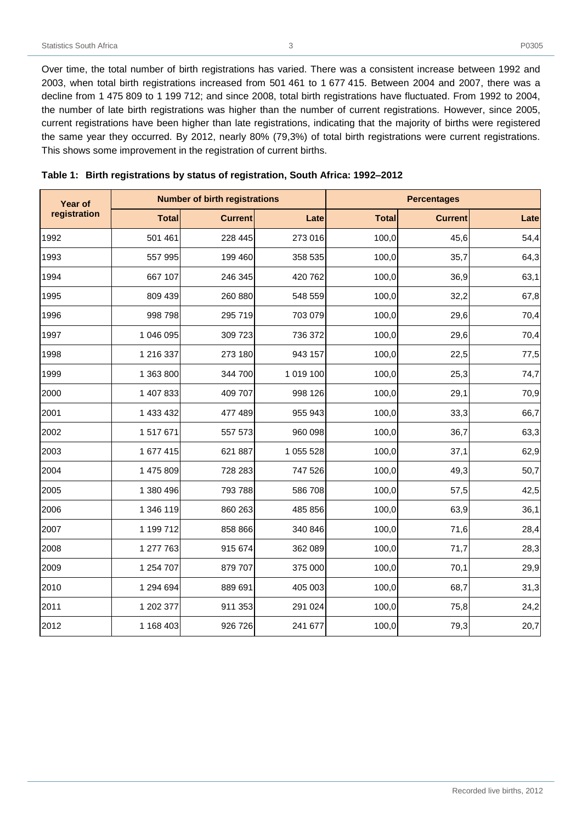Over time, the total number of birth registrations has varied. There was a consistent increase between 1992 and 2003, when total birth registrations increased from 501 461 to 1 677 415. Between 2004 and 2007, there was a decline from 1 475 809 to 1 199 712; and since 2008, total birth registrations have fluctuated. From 1992 to 2004, the number of late birth registrations was higher than the number of current registrations. However, since 2005, current registrations have been higher than late registrations, indicating that the majority of births were registered the same year they occurred. By 2012, nearly 80% (79,3%) of total birth registrations were current registrations. This shows some improvement in the registration of current births.

| Year of      | <b>Number of birth registrations</b> |                |           | <b>Percentages</b> |                |      |
|--------------|--------------------------------------|----------------|-----------|--------------------|----------------|------|
| registration | <b>Total</b>                         | <b>Current</b> | Late      | <b>Total</b>       | <b>Current</b> | Late |
| 1992         | 501 461                              | 228 445        | 273 016   | 100,0              | 45,6           | 54,4 |
| 1993         | 557 995                              | 199 460        | 358 535   | 100,0              | 35,7           | 64,3 |
| 1994         | 667 107                              | 246 345        | 420 762   | 100,0              | 36,9           | 63,1 |
| 1995         | 809 439                              | 260 880        | 548 559   | 100,0              | 32,2           | 67,8 |
| 1996         | 998 798                              | 295 719        | 703 079   | 100,0              | 29,6           | 70,4 |
| 1997         | 1 046 095                            | 309 723        | 736 372   | 100,0              | 29,6           | 70,4 |
| 1998         | 1 216 337                            | 273 180        | 943 157   | 100,0              | 22,5           | 77,5 |
| 1999         | 1 363 800                            | 344 700        | 1 019 100 | 100,0              | 25,3           | 74,7 |
| 2000         | 1 407 833                            | 409 707        | 998 126   | 100,0              | 29,1           | 70,9 |
| 2001         | 1 433 432                            | 477 489        | 955 943   | 100,0              | 33,3           | 66,7 |
| 2002         | 1 517 671                            | 557 573        | 960 098   | 100,0              | 36,7           | 63,3 |
| 2003         | 1 677 415                            | 621 887        | 1 055 528 | 100,0              | 37,1           | 62,9 |
| 2004         | 1 475 809                            | 728 283        | 747 526   | 100,0              | 49,3           | 50,7 |
| 2005         | 1 380 496                            | 793 788        | 586 708   | 100,0              | 57,5           | 42,5 |
| 2006         | 1 346 119                            | 860 263        | 485 856   | 100,0              | 63,9           | 36,1 |
| 2007         | 1 199 712                            | 858 866        | 340 846   | 100,0              | 71,6           | 28,4 |
| 2008         | 1 277 763                            | 915 674        | 362 089   | 100,0              | 71,7           | 28,3 |
| 2009         | 1 254 707                            | 879 707        | 375 000   | 100,0              | 70,1           | 29,9 |
| 2010         | 1 294 694                            | 889 691        | 405 003   | 100,0              | 68,7           | 31,3 |
| 2011         | 1 202 377                            | 911 353        | 291 024   | 100,0              | 75,8           | 24,2 |
| 2012         | 1 168 403                            | 926 726        | 241 677   | 100,0              | 79,3           | 20,7 |

<span id="page-8-0"></span>

| Table 1: Birth registrations by status of registration, South Africa: 1992-2012 |  |  |
|---------------------------------------------------------------------------------|--|--|
|                                                                                 |  |  |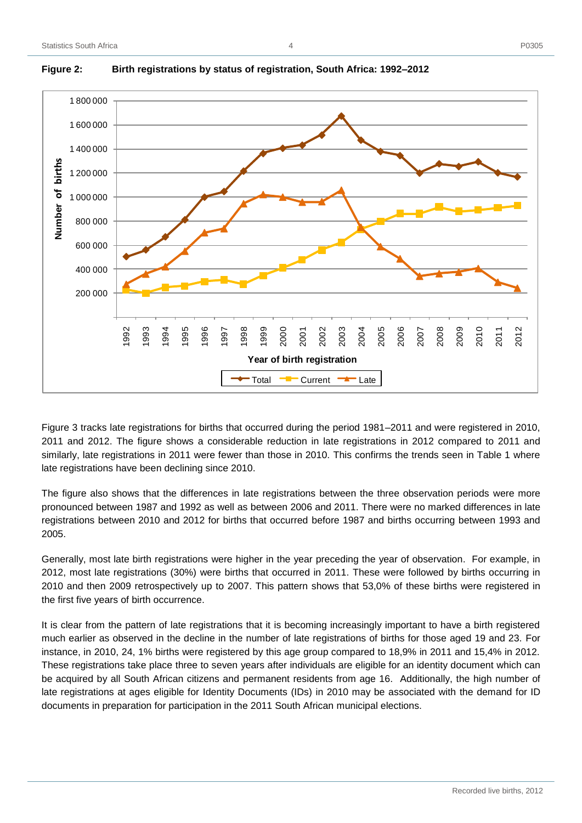

# <span id="page-9-0"></span>**Figure 2: Birth registrations by status of registration, South Africa: 1992–2012**

Figure 3 tracks late registrations for births that occurred during the period 1981–2011 and were registered in 2010, 2011 and 2012. The figure shows a considerable reduction in late registrations in 2012 compared to 2011 and similarly, late registrations in 2011 were fewer than those in 2010. This confirms the trends seen in Table 1 where late registrations have been declining since 2010.

The figure also shows that the differences in late registrations between the three observation periods were more pronounced between 1987 and 1992 as well as between 2006 and 2011. There were no marked differences in late registrations between 2010 and 2012 for births that occurred before 1987 and births occurring between 1993 and 2005.

Generally, most late birth registrations were higher in the year preceding the year of observation. For example, in 2012, most late registrations (30%) were births that occurred in 2011. These were followed by births occurring in 2010 and then 2009 retrospectively up to 2007. This pattern shows that 53,0% of these births were registered in the first five years of birth occurrence.

It is clear from the pattern of late registrations that it is becoming increasingly important to have a birth registered much earlier as observed in the decline in the number of late registrations of births for those aged 19 and 23. For instance, in 2010, 24, 1% births were registered by this age group compared to 18,9% in 2011 and 15,4% in 2012. These registrations take place three to seven years after individuals are eligible for an identity document which can be acquired by all South African citizens and permanent residents from age 16. Additionally, the high number of late registrations at ages eligible for Identity Documents (IDs) in 2010 may be associated with the demand for ID documents in preparation for participation in the 2011 South African municipal elections.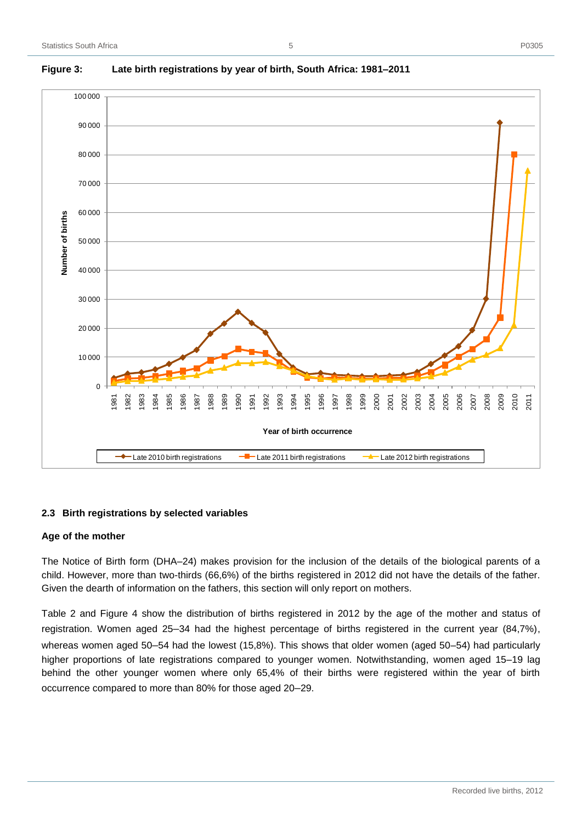

5

# <span id="page-10-1"></span>**Figure 3: Late birth registrations by year of birth, South Africa: 1981–2011**

# <span id="page-10-0"></span>**2.3 Birth registrations by selected variables**

#### **Age of the mother**

The Notice of Birth form (DHA–24) makes provision for the inclusion of the details of the biological parents of a child. However, more than two-thirds (66,6%) of the births registered in 2012 did not have the details of the father. Given the dearth of information on the fathers, this section will only report on mothers.

Table 2 and Figure 4 show the distribution of births registered in 2012 by the age of the mother and status of registration. Women aged 25**–**34 had the highest percentage of births registered in the current year (84,7%), whereas women aged 50**–**54 had the lowest (15,8%). This shows that older women (aged 50–54) had particularly higher proportions of late registrations compared to younger women. Notwithstanding, women aged 15–19 lag behind the other younger women where only 65,4% of their births were registered within the year of birth occurrence compared to more than 80% for those aged 20**–**29.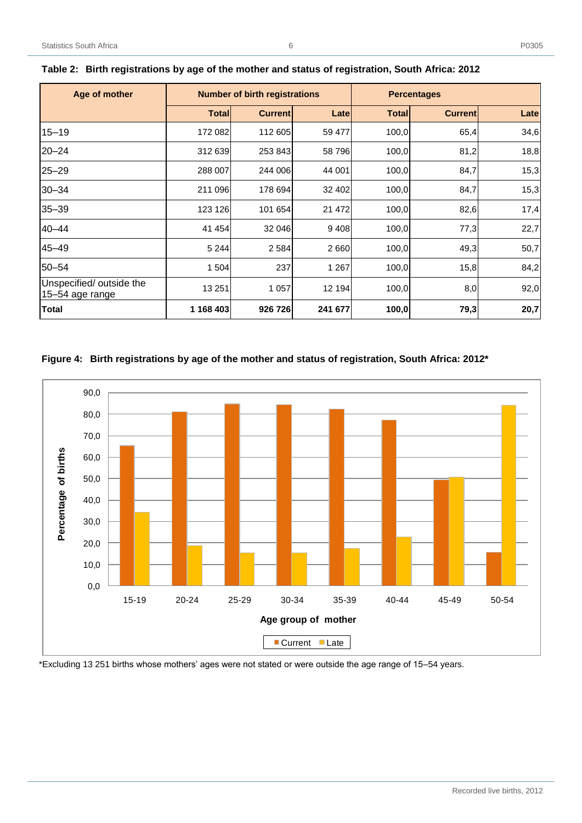| Age of mother                               | <b>Number of birth registrations</b> |                |         | <b>Percentages</b> |                |      |
|---------------------------------------------|--------------------------------------|----------------|---------|--------------------|----------------|------|
|                                             | <b>Total</b>                         | <b>Current</b> | Late    | <b>Total</b>       | <b>Current</b> | Late |
| $15 - 19$                                   | 172 082                              | 112 605        | 59 477  | 100,0              | 65,4           | 34,6 |
| $20 - 24$                                   | 312 639                              | 253 843        | 58796   | 100,0              | 81,2           | 18,8 |
| $25 - 29$                                   | 288 007                              | 244 006        | 44 001  | 100,0              | 84,7           | 15,3 |
| $30 - 34$                                   | 211 096                              | 178 694        | 32 402  | 100,0              | 84,7           | 15,3 |
| $35 - 39$                                   | 123 126                              | 101 654        | 21 472  | 100,0              | 82,6           | 17,4 |
| $40 - 44$                                   | 41 454                               | 32 046         | 9408    | 100,0              | 77,3           | 22,7 |
| 45-49                                       | 5 2 4 4                              | 2 5 8 4        | 2660    | 100,0              | 49,3           | 50,7 |
| 50-54                                       | 1 504                                | 237            | 1 2 6 7 | 100,0              | 15,8           | 84,2 |
| Unspecified/ outside the<br>15-54 age range | 13 251                               | 1 0 5 7        | 12 194  | 100,0              | 8,0            | 92,0 |
| <b>Total</b>                                | 1 168 403                            | 926 726        | 241 677 | 100,0              | 79,3           | 20,7 |

<span id="page-11-0"></span>

|  | Table 2: Birth registrations by age of the mother and status of registration, South Africa: 2012 |
|--|--------------------------------------------------------------------------------------------------|
|  |                                                                                                  |

# **Figure 4: Birth registrations by age of the mother and status of registration, South Africa: 2012\***



\*Excluding 13 251 births whose mothers' ages were not stated or were outside the age range of 15–54 years.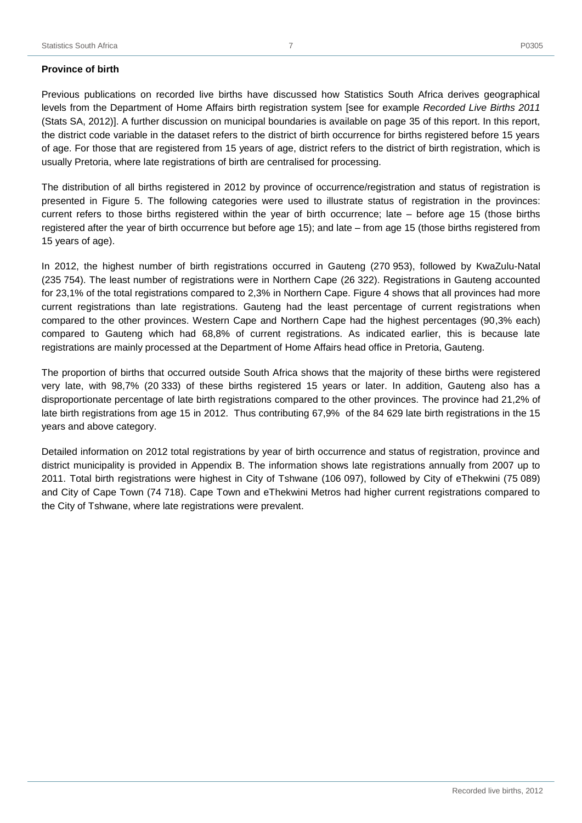Previous publications on recorded live births have discussed how Statistics South Africa derives geographical levels from the Department of Home Affairs birth registration system [see for example *Recorded Live Births 2011* (Stats SA, 2012)]. A further discussion on municipal boundaries is available on page 35 of this report. In this report, the district code variable in the dataset refers to the district of birth occurrence for births registered before 15 years of age. For those that are registered from 15 years of age, district refers to the district of birth registration, which is usually Pretoria, where late registrations of birth are centralised for processing.

The distribution of all births registered in 2012 by province of occurrence/registration and status of registration is presented in Figure 5. The following categories were used to illustrate status of registration in the provinces: current refers to those births registered within the year of birth occurrence; late – before age 15 (those births registered after the year of birth occurrence but before age 15); and late – from age 15 (those births registered from 15 years of age).

In 2012, the highest number of birth registrations occurred in Gauteng (270 953), followed by KwaZulu-Natal (235 754). The least number of registrations were in Northern Cape (26 322). Registrations in Gauteng accounted for 23,1% of the total registrations compared to 2,3% in Northern Cape. Figure 4 shows that all provinces had more current registrations than late registrations. Gauteng had the least percentage of current registrations when compared to the other provinces. Western Cape and Northern Cape had the highest percentages (90,3% each) compared to Gauteng which had 68,8% of current registrations. As indicated earlier, this is because late registrations are mainly processed at the Department of Home Affairs head office in Pretoria, Gauteng.

The proportion of births that occurred outside South Africa shows that the majority of these births were registered very late, with 98,7% (20 333) of these births registered 15 years or later. In addition, Gauteng also has a disproportionate percentage of late birth registrations compared to the other provinces. The province had 21,2% of late birth registrations from age 15 in 2012. Thus contributing 67,9% of the 84 629 late birth registrations in the 15 years and above category.

Detailed information on 2012 total registrations by year of birth occurrence and status of registration, province and district municipality is provided in Appendix B. The information shows late registrations annually from 2007 up to 2011. Total birth registrations were highest in City of Tshwane (106 097), followed by City of eThekwini (75 089) and City of Cape Town (74 718). Cape Town and eThekwini Metros had higher current registrations compared to the City of Tshwane, where late registrations were prevalent.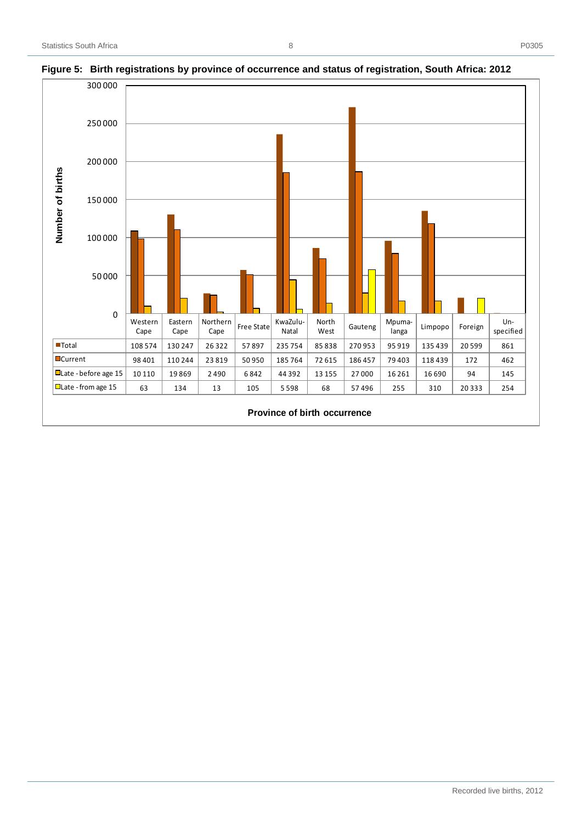

#### <span id="page-13-0"></span>**Figure 5: Birth registrations by province of occurrence and status of registration, South Africa: 2012**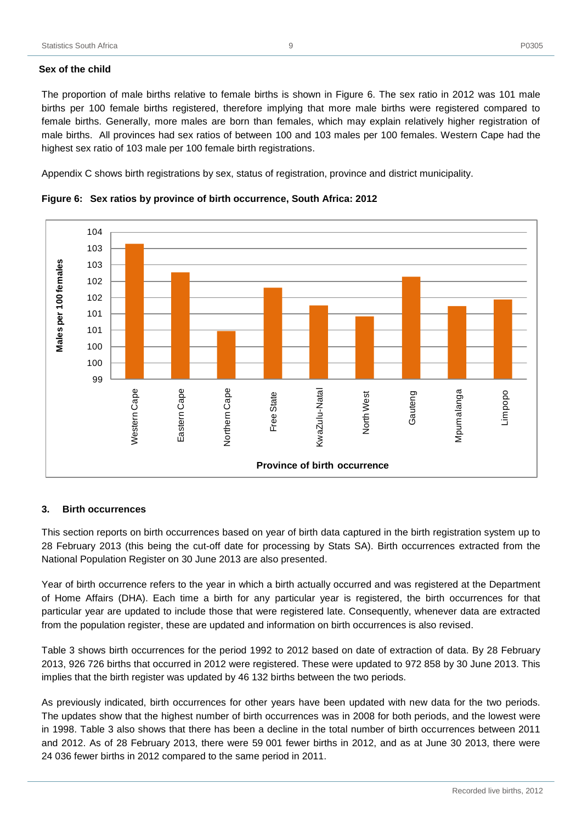# **Sex of the child**

The proportion of male births relative to female births is shown in Figure 6. The sex ratio in 2012 was 101 male births per 100 female births registered, therefore implying that more male births were registered compared to female births. Generally, more males are born than females, which may explain relatively higher registration of male births. All provinces had sex ratios of between 100 and 103 males per 100 females. Western Cape had the highest sex ratio of 103 male per 100 female birth registrations.

Appendix C shows birth registrations by sex, status of registration, province and district municipality.



<span id="page-14-1"></span>**Figure 6: Sex ratios by province of birth occurrence, South Africa: 2012**

# <span id="page-14-0"></span>**3. Birth occurrences**

This section reports on birth occurrences based on year of birth data captured in the birth registration system up to 28 February 2013 (this being the cut-off date for processing by Stats SA). Birth occurrences extracted from the National Population Register on 30 June 2013 are also presented.

Year of birth occurrence refers to the year in which a birth actually occurred and was registered at the Department of Home Affairs (DHA). Each time a birth for any particular year is registered, the birth occurrences for that particular year are updated to include those that were registered late. Consequently, whenever data are extracted from the population register, these are updated and information on birth occurrences is also revised.

Table 3 shows birth occurrences for the period 1992 to 2012 based on date of extraction of data. By 28 February 2013, 926 726 births that occurred in 2012 were registered. These were updated to 972 858 by 30 June 2013. This implies that the birth register was updated by 46 132 births between the two periods.

As previously indicated, birth occurrences for other years have been updated with new data for the two periods. The updates show that the highest number of birth occurrences was in 2008 for both periods, and the lowest were in 1998. Table 3 also shows that there has been a decline in the total number of birth occurrences between 2011 and 2012. As of 28 February 2013, there were 59 001 fewer births in 2012, and as at June 30 2013, there were 24 036 fewer births in 2012 compared to the same period in 2011.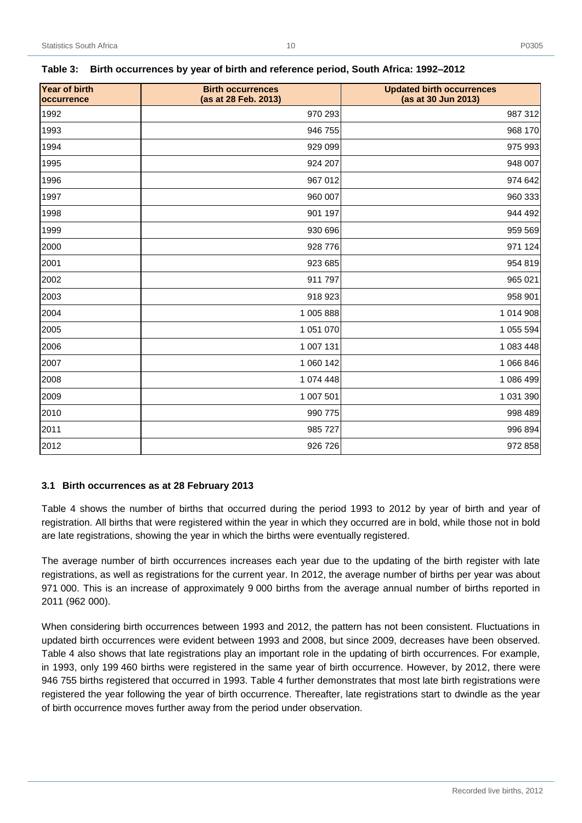| . .<br>$\sim$<br>w<br>v |
|-------------------------|
|-------------------------|

| <b>Year of birth</b><br>occurrence | <b>Birth occurrences</b><br>(as at 28 Feb. 2013) | <b>Updated birth occurrences</b><br>(as at 30 Jun 2013) |
|------------------------------------|--------------------------------------------------|---------------------------------------------------------|
| 1992                               | 970 293                                          | 987 312                                                 |
| 1993                               | 946 755                                          | 968 170                                                 |
| 1994                               | 929 099                                          | 975 993                                                 |
| 1995                               | 924 207                                          | 948 007                                                 |
| 1996                               | 967 012                                          | 974 642                                                 |
| 1997                               | 960 007                                          | 960 333                                                 |
| 1998                               | 901 197                                          | 944 492                                                 |
| 1999                               | 930 696                                          | 959 569                                                 |
| 2000                               | 928 776                                          | 971 124                                                 |
| 2001                               | 923 685                                          | 954 819                                                 |
| 2002                               | 911 797                                          | 965 021                                                 |
| 2003                               | 918 923                                          | 958 901                                                 |
| 2004                               | 1 005 888                                        | 1 014 908                                               |
| 2005                               | 1 051 070                                        | 1 055 594                                               |
| 2006                               | 1 007 131                                        | 1 083 448                                               |
| 2007                               | 1 060 142                                        | 1 066 846                                               |
| 2008                               | 1 074 448                                        | 1 086 499                                               |
| 2009                               | 1 007 501                                        | 1 031 390                                               |
| 2010                               | 990 775                                          | 998 489                                                 |
| 2011                               | 985 727                                          | 996 894                                                 |
| 2012                               | 926 726                                          | 972 858                                                 |

#### <span id="page-15-1"></span>**Table 3: Birth occurrences by year of birth and reference period, South Africa: 1992–2012**

#### <span id="page-15-0"></span>**3.1 Birth occurrences as at 28 February 2013**

Table 4 shows the number of births that occurred during the period 1993 to 2012 by year of birth and year of registration. All births that were registered within the year in which they occurred are in bold, while those not in bold are late registrations, showing the year in which the births were eventually registered.

The average number of birth occurrences increases each year due to the updating of the birth register with late registrations, as well as registrations for the current year. In 2012, the average number of births per year was about 971 000. This is an increase of approximately 9 000 births from the average annual number of births reported in 2011 (962 000).

When considering birth occurrences between 1993 and 2012, the pattern has not been consistent. Fluctuations in updated birth occurrences were evident between 1993 and 2008, but since 2009, decreases have been observed. Table 4 also shows that late registrations play an important role in the updating of birth occurrences. For example, in 1993, only 199 460 births were registered in the same year of birth occurrence. However, by 2012, there were 946 755 births registered that occurred in 1993. Table 4 further demonstrates that most late birth registrations were registered the year following the year of birth occurrence. Thereafter, late registrations start to dwindle as the year of birth occurrence moves further away from the period under observation.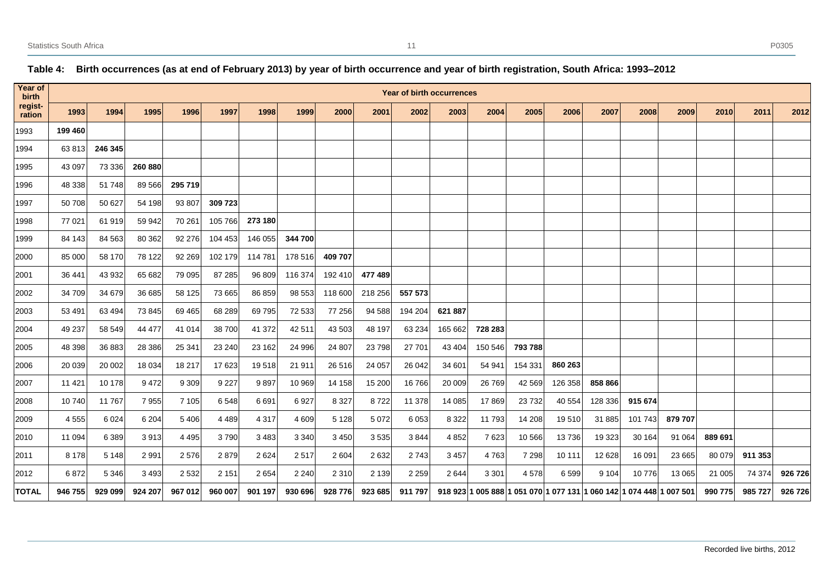# <span id="page-16-0"></span>**Year of birth registration Year of birth occurrences** 1993│ 1994│ 1995│ 1996│ 1997│ 1998│ 1999│ 2000│ 2001│ 2002│ 2003│ 2004│ 2005│ 2006│ 2007│ 2008│ 2009│ 2010│ 2011│ 2012 **199 460** 63 813 **246 345** 43 097 73 336 **260 880** 48 338 51 748 89 566 **295 719** 50 708 50 627 54 198 93 807 **309 723** 77 021 61 919 59 942 70 261 105 766 **273 180** 84 143 84 563 80 362 92 276 104 453 146 055 **344 700** 85 000 58 170 78 122 92 269 102 179 114 781 178 516 **409 707** 36 441 43 932 65 682 79 095 87 285 96 809 116 374 192 410 **477 489** 34 709 34 679 36 685 58 125 73 665 86 859 98 553 118 600 218 256 **557 573** 53 491 63 494 73 845 69 465 68 289 69 795 72 533 77 256 94 588 194 204 **621 887** 49 237 58 549 44 477 41 014 38 700 41 372 42 511 43 503 48 197 63 234 165 662 **728 283** 48 398 36 883 28 386 25 341 23 240 23 162 24 996 24 807 23 798 27 701 43 404 150 546 **793 788** 20 039 20 002 18 034 18 217 17 623 19 518 21 911 26 516 24 057 26 042 34 601 54 941 154 331 **860 263** 11 421 10 178 9 472 9 309 9 227 9 897 10 969 14 158 15 200 16 766 20 009 26 769 42 569 126 358 **858 866** 10 740 11 767 7 955 7 105 6 548 6 691 6 927 8 327 8 722 11 378 14 085 17 869 23 732 40 554 128 336 **915 674** 4 555 6 024 6 204 5 406 4 489 4 317 4 609 5 128 5 072 6 053 8 322 11 793 14 208 19 510 31 885 101 743 **879 707** 11 094 6 389 3 913 4 495 3 790 3 483 3 340 3 450 3 535 3 844 4 852 7 623 10 566 13 736 19 323 30 164 91 064 **889 691** 8 178 5 148 2 991 2 576 2 879 2 624 2 517 2 604 2 632 2 743 3 457 4 763 7 298 10 111 12 628 16 091 23 665 80 079 **911 353** 6 872 5 346 3 493 2 532 2 151 2 654 2 240 2 310 2 139 2 259 2 644 3 301 4 578 6 599 9 104 10 776 13 065 21 005 74 374 **926 726** |TOTAL | 946 755| 929 099| 924 207| 967 012| 960 007| 901 197| 930 696| 928 776| 923 685| 911 797| 918 923|1 005 888|1 051 070|1 077 131|1 060 142|1 074 448|1 007 501| 990 775| 985 727| 926 726

#### **Table 4: Birth occurrences (as at end of February 2013) by year of birth occurrence and year of birth registration, South Africa: 1993–2012**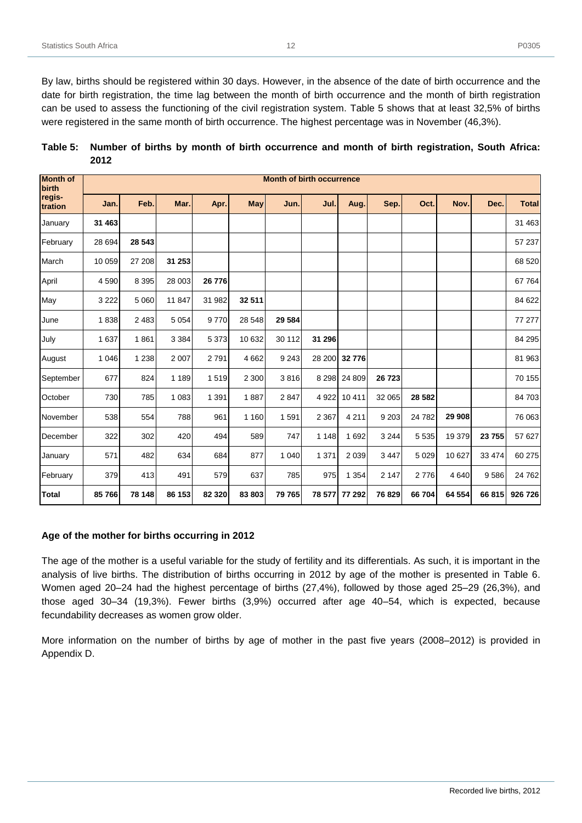By law, births should be registered within 30 days. However, in the absence of the date of birth occurrence and the date for birth registration, the time lag between the month of birth occurrence and the month of birth registration can be used to assess the functioning of the civil registration system. Table 5 shows that at least 32,5% of births were registered in the same month of birth occurrence. The highest percentage was in November (46,3%).

<span id="page-17-0"></span>

| Table 5: Number of births by month of birth occurrence and month of birth registration, South Africa: |
|-------------------------------------------------------------------------------------------------------|
| 2012                                                                                                  |

| <b>Month of</b><br>birth |         |         |         |         |         | <b>Month of birth occurrence</b> |         |               |         |          |         |         |              |
|--------------------------|---------|---------|---------|---------|---------|----------------------------------|---------|---------------|---------|----------|---------|---------|--------------|
| regis-<br>tration        | Jan.    | Feb.    | Mar.    | Apr.    | May     | Jun.                             | Jul.    | Aug.          | Sep.    | Oct.     | Nov.    | Dec.    | <b>Total</b> |
| January                  | 31 463  |         |         |         |         |                                  |         |               |         |          |         |         | 31 463       |
| February                 | 28 694  | 28 543  |         |         |         |                                  |         |               |         |          |         |         | 57 237       |
| March                    | 10 059  | 27 208  | 31 253  |         |         |                                  |         |               |         |          |         |         | 68 520       |
| April                    | 4 5 9 0 | 8 3 9 5 | 28 003  | 26 776  |         |                                  |         |               |         |          |         |         | 67 764       |
| May                      | 3 2 2 2 | 5 0 6 0 | 11847   | 31 982  | 32 511  |                                  |         |               |         |          |         |         | 84 622       |
| June                     | 1838    | 2 4 8 3 | 5 0 5 4 | 9770    | 28 548  | 29 5 84                          |         |               |         |          |         |         | 77 277       |
| July                     | 1 6 3 7 | 1861    | 3 3 8 4 | 5 3 7 3 | 10 632  | 30 112                           | 31 296  |               |         |          |         |         | 84 295       |
| August                   | 1 0 4 6 | 1 2 3 8 | 2 0 0 7 | 2791    | 4 6 6 2 | 9 2 4 3                          |         | 28 200 32 776 |         |          |         |         | 81 963       |
| September                | 677     | 824     | 1 1 8 9 | 1519    | 2 3 0 0 | 3816                             |         | 8 298 24 809  | 26723   |          |         |         | 70 155       |
| October                  | 730     | 785     | 1 0 8 3 | 1 3 9 1 | 1887    | 2847                             | 4 9 2 2 | 10 411        | 32 065  | 28 5 82  |         |         | 84 703       |
| November                 | 538     | 554     | 788     | 961     | 1 1 6 0 | 1 5 9 1                          | 2 3 6 7 | 4 2 1 1       | 9 2 0 3 | 24 7 8 2 | 29 908  |         | 76 063       |
| December                 | 322     | 302     | 420     | 494     | 589     | 747                              | 1 1 4 8 | 1 6 9 2       | 3 2 4 4 | 5 5 3 5  | 19 379  | 23 755  | 57 627       |
| January                  | 571     | 482     | 634     | 684     | 877     | 1 0 4 0                          | 1 3 7 1 | 2 0 3 9       | 3 4 4 7 | 5 0 2 9  | 10 627  | 33 4 74 | 60 275       |
| February                 | 379     | 413     | 491     | 579     | 637     | 785                              | 975     | 1 3 5 4       | 2 1 4 7 | 2776     | 4 6 4 0 | 9586    | 24 7 62      |
| <b>Total</b>             | 85 766  | 78 148  | 86 153  | 82 320  | 83 803  | 79 765                           | 78 577  | 77 292        | 76 829  | 66 704   | 64 554  | 66815   | 926 726      |

#### **Age of the mother for births occurring in 2012**

The age of the mother is a useful variable for the study of fertility and its differentials. As such, it is important in the analysis of live births. The distribution of births occurring in 2012 by age of the mother is presented in Table 6. Women aged 20–24 had the highest percentage of births (27,4%), followed by those aged 25–29 (26,3%), and those aged 30–34 (19,3%). Fewer births (3,9%) occurred after age 40–54, which is expected, because fecundability decreases as women grow older.

More information on the number of births by age of mother in the past five years (2008–2012) is provided in Appendix D.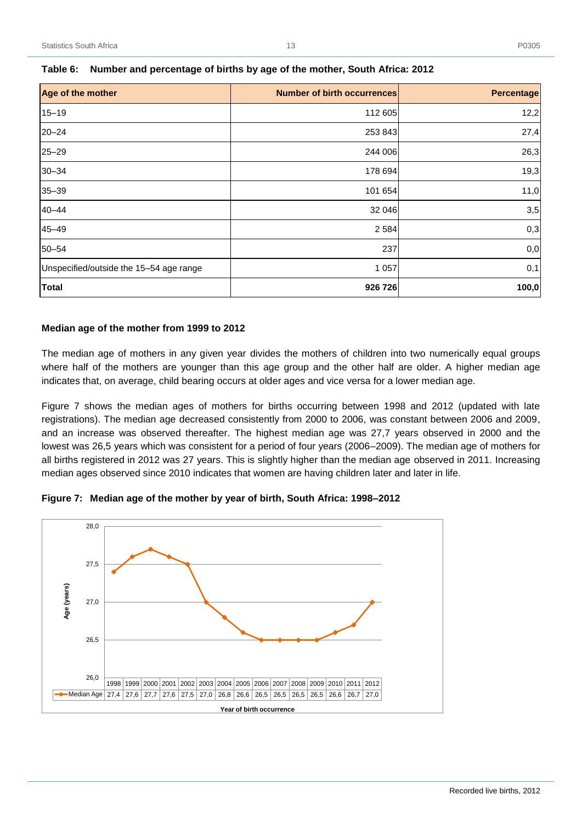| Age of the mother                       | <b>Number of birth occurrences</b> | Percentage |
|-----------------------------------------|------------------------------------|------------|
| $15 - 19$                               | 112 605                            | 12,2       |
| $20 - 24$                               | 253 843                            | 27,4       |
| $25 - 29$                               | 244 006                            | 26,3       |
| $30 - 34$                               | 178 694                            | 19,3       |
| $35 - 39$                               | 101 654                            | 11,0       |
| $40 - 44$                               | 32 046                             | 3,5        |
| $45 - 49$                               | 2 5 8 4                            | 0,3        |
| $50 - 54$                               | 237                                | 0,0        |
| Unspecified/outside the 15-54 age range | 1 0 5 7                            | 0,1        |
| <b>Total</b>                            | 926 726                            | 100,0      |

#### <span id="page-18-0"></span>**Table 6: Number and percentage of births by age of the mother, South Africa: 2012**

#### **Median age of the mother from 1999 to 2012**

The median age of mothers in any given year divides the mothers of children into two numerically equal groups where half of the mothers are younger than this age group and the other half are older. A higher median age indicates that, on average, child bearing occurs at older ages and vice versa for a lower median age.

Figure 7 shows the median ages of mothers for births occurring between 1998 and 2012 (updated with late registrations). The median age decreased consistently from 2000 to 2006, was constant between 2006 and 2009, and an increase was observed thereafter. The highest median age was 27,7 years observed in 2000 and the lowest was 26,5 years which was consistent for a period of four years (2006–2009). The median age of mothers for all births registered in 2012 was 27 years. This is slightly higher than the median age observed in 2011. Increasing median ages observed since 2010 indicates that women are having children later and later in life.

<span id="page-18-1"></span>

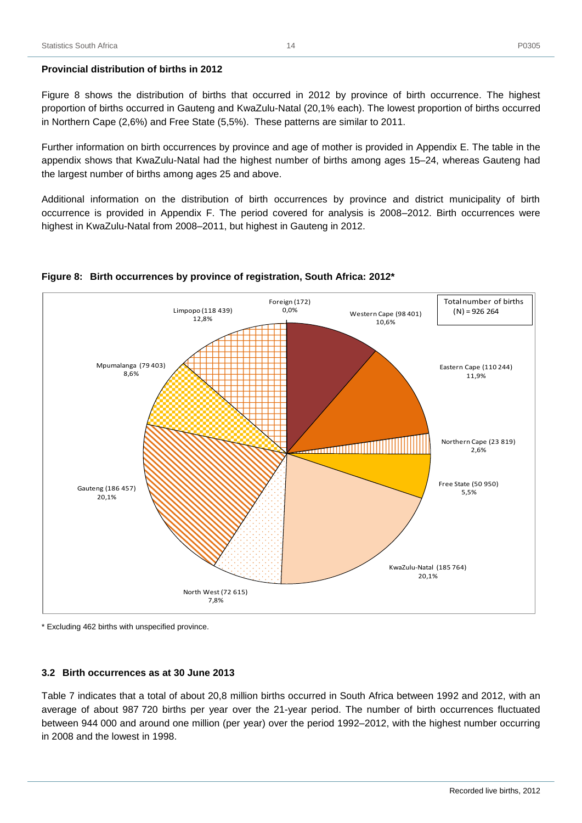#### **Provincial distribution of births in 2012**

Figure 8 shows the distribution of births that occurred in 2012 by province of birth occurrence. The highest proportion of births occurred in Gauteng and KwaZulu-Natal (20,1% each). The lowest proportion of births occurred in Northern Cape (2,6%) and Free State (5,5%). These patterns are similar to 2011.

Further information on birth occurrences by province and age of mother is provided in Appendix E. The table in the appendix shows that KwaZulu-Natal had the highest number of births among ages 15–24, whereas Gauteng had the largest number of births among ages 25 and above.

Additional information on the distribution of birth occurrences by province and district municipality of birth occurrence is provided in Appendix F. The period covered for analysis is 2008–2012. Birth occurrences were highest in KwaZulu-Natal from 2008–2011, but highest in Gauteng in 2012.



#### <span id="page-19-1"></span>**Figure 8: Birth occurrences by province of registration, South Africa: 2012\***

\* Excluding 462 births with unspecified province.

#### <span id="page-19-0"></span>**3.2 Birth occurrences as at 30 June 2013**

Table 7 indicates that a total of about 20,8 million births occurred in South Africa between 1992 and 2012, with an average of about 987 720 births per year over the 21-year period. The number of birth occurrences fluctuated between 944 000 and around one million (per year) over the period 1992–2012, with the highest number occurring in 2008 and the lowest in 1998.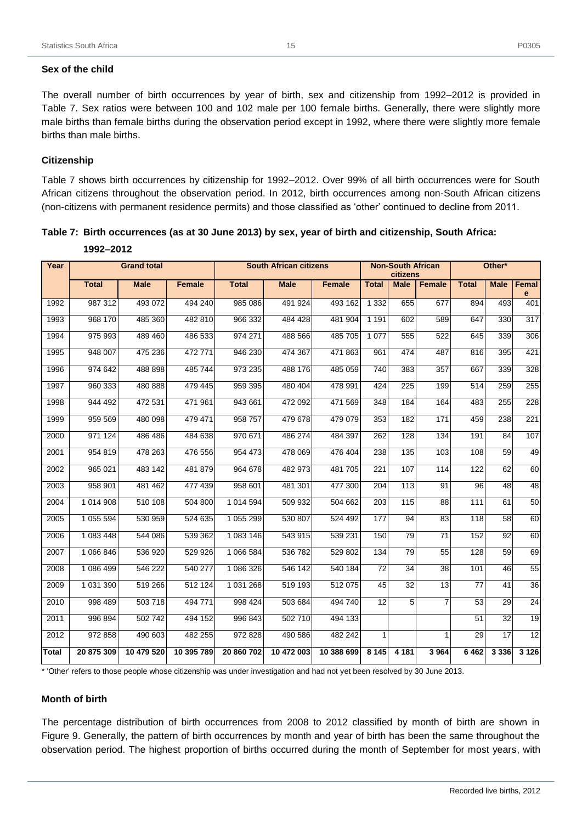#### **Sex of the child**

The overall number of birth occurrences by year of birth, sex and citizenship from 1992–2012 is provided in Table 7. Sex ratios were between 100 and 102 male per 100 female births. Generally, there were slightly more male births than female births during the observation period except in 1992, where there were slightly more female births than male births.

#### **Citizenship**

Table 7 shows birth occurrences by citizenship for 1992–2012. Over 99% of all birth occurrences were for South African citizens throughout the observation period. In 2012, birth occurrences among non-South African citizens (non-citizens with permanent residence permits) and those classified as 'other' continued to decline from 2011.

<span id="page-20-0"></span>

| Table 7:  Birth occurrences (as at 30 June 2013) by sex, year of birth and citizenship, South Africa: |  |  |  |
|-------------------------------------------------------------------------------------------------------|--|--|--|
|                                                                                                       |  |  |  |

| Year         |              | <b>Grand total</b> |               |              | <b>South African citizens</b> |               |              | <b>Non-South African</b><br>citizens |                | Other*          |                 |                 |
|--------------|--------------|--------------------|---------------|--------------|-------------------------------|---------------|--------------|--------------------------------------|----------------|-----------------|-----------------|-----------------|
|              | <b>Total</b> | <b>Male</b>        | <b>Female</b> | <b>Total</b> | <b>Male</b>                   | <b>Female</b> | <b>Total</b> | <b>Male</b>                          | <b>Female</b>  | <b>Total</b>    | <b>Male</b>     | Femal<br>e      |
| 1992         | 987 312      | 493 072            | 494 240       | 985 086      | 491 924                       | 493 162       | 1 3 3 2      | 655                                  | 677            | 894             | 493             | 401             |
| 1993         | 968 170      | 485 360            | 482 810       | 966 332      | 484 428                       | 481 904       | 1 1 9 1      | 602                                  | 589            | 647             | 330             | 317             |
| 1994         | 975 993      | 489 460            | 486 533       | 974 271      | 488 566                       | 485 705       | 1 0 7 7      | 555                                  | 522            | 645             | 339             | 306             |
| 1995         | 948 007      | 475 236            | 472 771       | 946 230      | 474 367                       | 471 863       | 961          | 474                                  | 487            | 816             | 395             | 421             |
| 1996         | 974 642      | 488 898            | 485 744       | 973 235      | 488 176                       | 485 059       | 740          | 383                                  | 357            | 667             | 339             | 328             |
| 1997         | 960 333      | 480 888            | 479 445       | 959 395      | 480 404                       | 478 991       | 424          | 225                                  | 199            | 514             | 259             | 255             |
| 1998         | 944 492      | 472 531            | 471 961       | 943 661      | 472 092                       | 471 569       | 348          | 184                                  | 164            | 483             | 255             | 228             |
| 1999         | 959 569      | 480 098            | 479 471       | 958 757      | 479 678                       | 479 079       | 353          | 182                                  | 171            | 459             | 238             | 221             |
| 2000         | 971 124      | 486 486            | 484 638       | 970 671      | 486 274                       | 484 397       | 262          | 128                                  | 134            | 191             | 84              | 107             |
| 2001         | 954 819      | 478 263            | 476 556       | 954 473      | 478 069                       | 476 404       | 238          | 135                                  | 103            | 108             | 59              | 49              |
| 2002         | 965 021      | 483 142            | 481 879       | 964 678      | 482 973                       | 481 705       | 221          | 107                                  | 114            | 122             | 62              | 60              |
| 2003         | 958 901      | 481 462            | 477 439       | 958 601      | 481 301                       | 477 300       | 204          | 113                                  | 91             | $\overline{96}$ | $\overline{48}$ | 48              |
| 2004         | 1 014 908    | 510 108            | 504 800       | 1 014 594    | 509 932                       | 504 662       | 203          | 115                                  | 88             | 111             | 61              | 50              |
| 2005         | 1 055 594    | 530 959            | 524 635       | 1 055 299    | 530 807                       | 524 492       | 177          | 94                                   | 83             | 118             | 58              | 60              |
| 2006         | 1 083 448    | 544 086            | 539 362       | 1 083 146    | 543 915                       | 539 231       | 150          | 79                                   | 71             | 152             | 92              | 60              |
| 2007         | 1 066 846    | 536 920            | 529 926       | 1 066 584    | 536 782                       | 529 802       | 134          | 79                                   | 55             | 128             | 59              | 69              |
| 2008         | 1 086 499    | 546 222            | 540 277       | 1 086 326    | 546 142                       | 540 184       | 72           | 34                                   | 38             | 101             | 46              | 55              |
| 2009         | 1 031 390    | 519 266            | 512 124       | 1 031 268    | 519 193                       | 512 075       | 45           | 32                                   | 13             | 77              | 41              | $\overline{36}$ |
| 2010         | 998 489      | 503 718            | 494 771       | 998 424      | 503 684                       | 494 740       | 12           | 5                                    | $\overline{7}$ | 53              | 29              | $\overline{24}$ |
| 2011         | 996 894      | 502 742            | 494 152       | 996 843      | 502 710                       | 494 133       |              |                                      |                | 51              | 32              | 19              |
| 2012         | 972 858      | 490 603            | 482 255       | 972 828      | 490 586                       | 482 242       | $\mathbf{1}$ |                                      | 1              | 29              | 17              | $\overline{12}$ |
| <b>Total</b> | 20 875 309   | 10 479 520         | 10 395 789    | 20 860 702   | 10 472 003                    | 10 388 699    | 8 1 4 5      | 4 181                                | 3964           | 6462            | 3 3 3 6         | 3 1 2 6         |

**1992–2012**

\* 'Other' refers to those people whose citizenship was under investigation and had not yet been resolved by 30 June 2013.

#### **Month of birth**

The percentage distribution of birth occurrences from 2008 to 2012 classified by month of birth are shown in Figure 9. Generally, the pattern of birth occurrences by month and year of birth has been the same throughout the observation period. The highest proportion of births occurred during the month of September for most years, with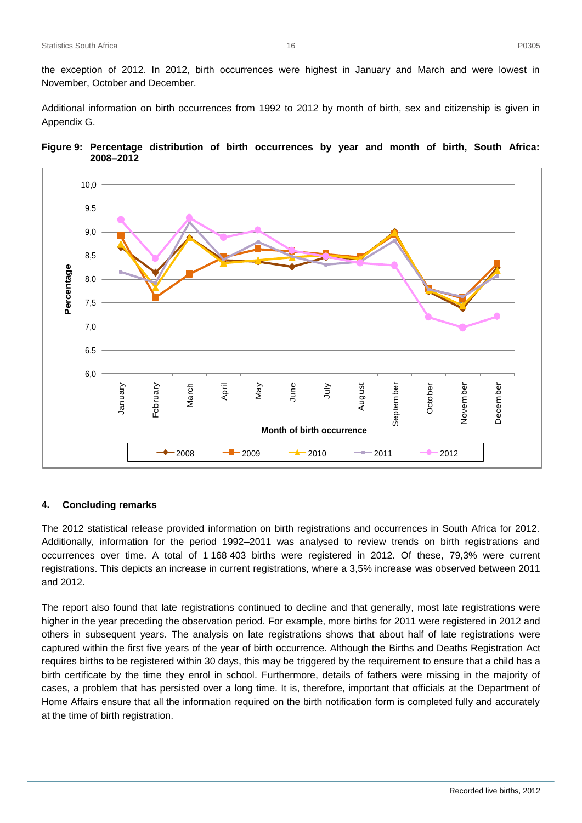Additional information on birth occurrences from 1992 to 2012 by month of birth, sex and citizenship is given in Appendix G.

<span id="page-21-1"></span>



#### <span id="page-21-0"></span>**4. Concluding remarks**

The 2012 statistical release provided information on birth registrations and occurrences in South Africa for 2012. Additionally, information for the period 1992–2011 was analysed to review trends on birth registrations and occurrences over time. A total of 1 168 403 births were registered in 2012. Of these, 79,3% were current registrations. This depicts an increase in current registrations, where a 3,5% increase was observed between 2011 and 2012.

The report also found that late registrations continued to decline and that generally, most late registrations were higher in the year preceding the observation period. For example, more births for 2011 were registered in 2012 and others in subsequent years. The analysis on late registrations shows that about half of late registrations were captured within the first five years of the year of birth occurrence. Although the Births and Deaths Registration Act requires births to be registered within 30 days, this may be triggered by the requirement to ensure that a child has a birth certificate by the time they enrol in school. Furthermore, details of fathers were missing in the majority of cases, a problem that has persisted over a long time. It is, therefore, important that officials at the Department of Home Affairs ensure that all the information required on the birth notification form is completed fully and accurately at the time of birth registration.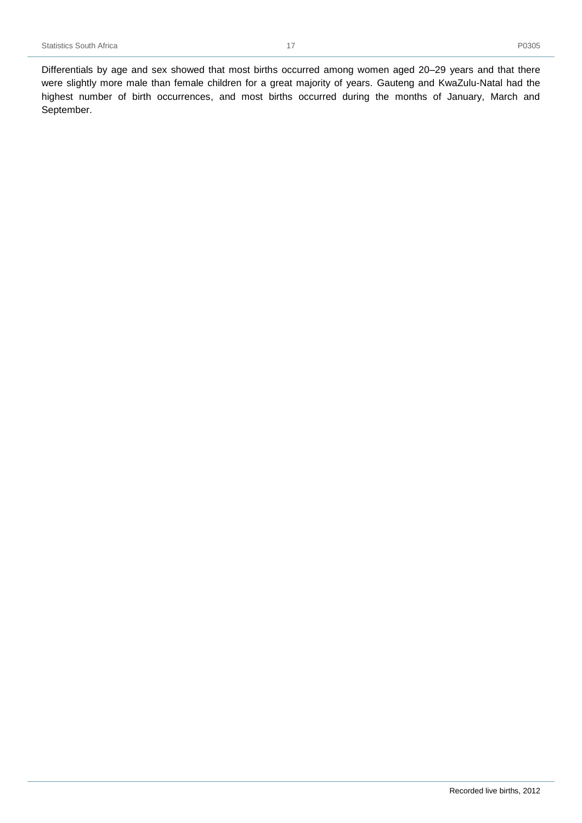Differentials by age and sex showed that most births occurred among women aged 20–29 years and that there were slightly more male than female children for a great majority of years. Gauteng and KwaZulu-Natal had the highest number of birth occurrences, and most births occurred during the months of January, March and September.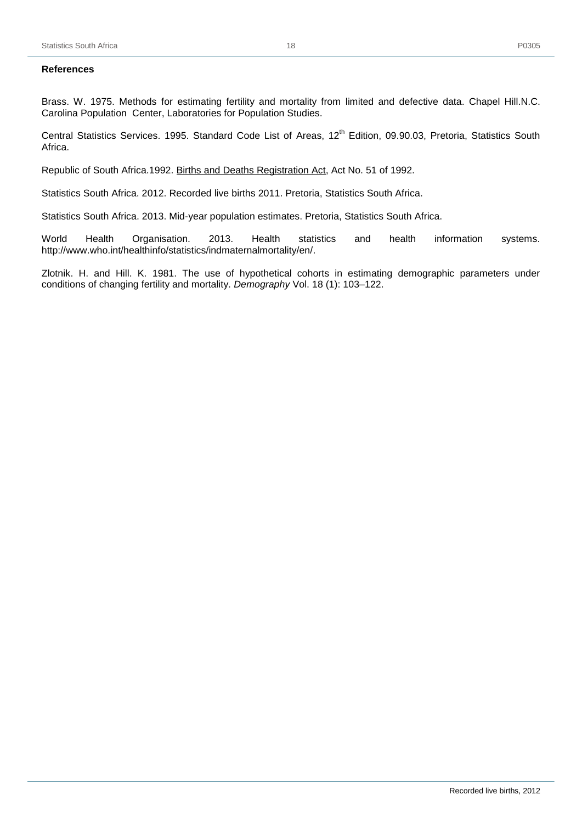<span id="page-23-0"></span>Brass. W. 1975. Methods for estimating fertility and mortality from limited and defective data. Chapel Hill.N.C. Carolina Population Center, Laboratories for Population Studies.

Central Statistics Services. 1995. Standard Code List of Areas, 12<sup>th</sup> Edition, 09.90.03, Pretoria, Statistics South Africa.

Republic of South Africa.1992. Births and Deaths Registration Act, Act No. 51 of 1992.

Statistics South Africa. 2012. Recorded live births 2011. Pretoria, Statistics South Africa.

Statistics South Africa. 2013. Mid-year population estimates. Pretoria, Statistics South Africa.

World Health Organisation. 2013. Health statistics and health information systems. http://www.who.int/healthinfo/statistics/indmaternalmortality/en/.

Zlotnik. H. and Hill. K. 1981. The use of hypothetical cohorts in estimating demographic parameters under conditions of changing fertility and mortality. *Demography* Vol. 18 (1): 103–122.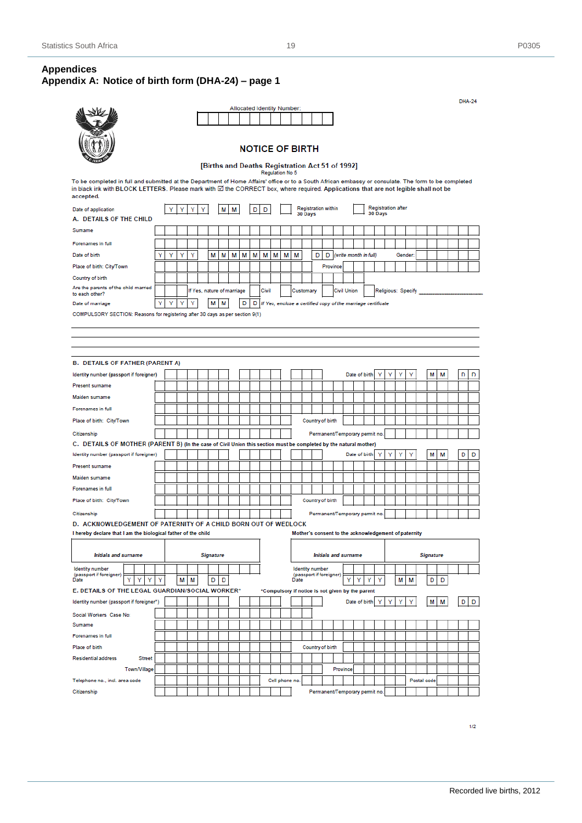# <span id="page-24-1"></span><span id="page-24-0"></span>**Appendices Appendix A: Notice of birth form (DHA-24) – page 1**

|                                                                                                                                                                                                                                                                                                          |   |   |   |   |   |                                                 |   |   |   | Allocated Identity Number: |       |   |                                                              |      |                        |   |                                |          |                    |   |                         |         |                           |   |                                                      |             |                  |   |   |   |
|----------------------------------------------------------------------------------------------------------------------------------------------------------------------------------------------------------------------------------------------------------------------------------------------------------|---|---|---|---|---|-------------------------------------------------|---|---|---|----------------------------|-------|---|--------------------------------------------------------------|------|------------------------|---|--------------------------------|----------|--------------------|---|-------------------------|---------|---------------------------|---|------------------------------------------------------|-------------|------------------|---|---|---|
|                                                                                                                                                                                                                                                                                                          |   |   |   |   |   |                                                 |   |   |   |                            |       |   |                                                              |      |                        |   |                                |          |                    |   |                         |         |                           |   |                                                      |             |                  |   |   |   |
|                                                                                                                                                                                                                                                                                                          |   |   |   |   |   |                                                 |   |   |   | <b>NOTICE OF BIRTH</b>     |       |   |                                                              |      |                        |   |                                |          |                    |   |                         |         |                           |   |                                                      |             |                  |   |   |   |
|                                                                                                                                                                                                                                                                                                          |   |   |   |   |   | [Births and Deaths Registration Act 51 of 1992] |   |   |   |                            |       |   |                                                              |      |                        |   |                                |          |                    |   |                         |         |                           |   |                                                      |             |                  |   |   |   |
| To be completed in full and submitted at the Department of Home Affairs' office or to a South African embassy or consulate. The form to be completed<br>in black ink with BLOCK LETTERS. Please mark with ⊠ the CORRECT box, where required. Applications that are not legible shall not be<br>accepted. |   |   |   |   |   |                                                 |   |   |   |                            |       |   | Regulation No 5                                              |      |                        |   |                                |          |                    |   |                         |         |                           |   |                                                      |             |                  |   |   |   |
|                                                                                                                                                                                                                                                                                                          |   |   |   |   |   |                                                 |   |   |   |                            |       |   |                                                              |      |                        |   | <b>Registration within</b>     |          |                    |   |                         |         | <b>Registration after</b> |   |                                                      |             |                  |   |   |   |
| Date of application<br>A. DETAILS OF THE CHILD                                                                                                                                                                                                                                                           |   | Y | Y | Y | Y |                                                 | М | М |   | D                          | D     |   |                                                              |      | 30 Days                |   |                                |          |                    |   |                         | 30 Days |                           |   |                                                      |             |                  |   |   |   |
| Sumame                                                                                                                                                                                                                                                                                                   |   |   |   |   |   |                                                 |   |   |   |                            |       |   |                                                              |      |                        |   |                                |          |                    |   |                         |         |                           |   |                                                      |             |                  |   |   |   |
|                                                                                                                                                                                                                                                                                                          |   |   |   |   |   |                                                 |   |   |   |                            |       |   |                                                              |      |                        |   |                                |          |                    |   |                         |         |                           |   |                                                      |             |                  |   |   |   |
| Forenames in full                                                                                                                                                                                                                                                                                        |   |   |   |   |   |                                                 |   |   |   |                            |       |   |                                                              |      |                        |   |                                |          |                    |   |                         |         |                           |   |                                                      |             |                  |   |   |   |
| Date of birth                                                                                                                                                                                                                                                                                            | Y | Y | Y | Υ |   | М                                               | М | М | М | М                          | М     | М | м                                                            | М    |                        | D |                                |          |                    |   | D (write month in full) |         |                           |   | Gender:                                              |             |                  |   |   |   |
| Place of birth: City/Town                                                                                                                                                                                                                                                                                |   |   |   |   |   |                                                 |   |   |   |                            |       |   |                                                              |      |                        |   | Province                       |          |                    |   |                         |         |                           |   |                                                      |             |                  |   |   |   |
| Country of birth                                                                                                                                                                                                                                                                                         |   |   |   |   |   |                                                 |   |   |   |                            |       |   |                                                              |      |                        |   |                                |          |                    |   |                         |         |                           |   |                                                      |             |                  |   |   |   |
| Are the parents of the child married<br>to each other?                                                                                                                                                                                                                                                   |   |   |   |   |   | If Yes, nature of marriage                      |   |   |   |                            | Civil |   |                                                              |      | Customary              |   |                                |          | <b>Civil Union</b> |   |                         |         |                           |   | Religious: Specify                                   |             |                  |   |   |   |
| Date of marriage                                                                                                                                                                                                                                                                                         |   | Y | Y | Υ |   | М                                               | М |   | D | D                          |       |   | If Yes, enclose a certified copy of the marriage certificate |      |                        |   |                                |          |                    |   |                         |         |                           |   |                                                      |             |                  |   |   |   |
| COMPULSORY SECTION: Reasons for registering after 30 days as per section 9(1)                                                                                                                                                                                                                            |   |   |   |   |   |                                                 |   |   |   |                            |       |   |                                                              |      |                        |   |                                |          |                    |   |                         |         |                           |   |                                                      |             |                  |   |   |   |
|                                                                                                                                                                                                                                                                                                          |   |   |   |   |   |                                                 |   |   |   |                            |       |   |                                                              |      |                        |   |                                |          |                    |   |                         |         |                           |   |                                                      |             |                  |   |   |   |
|                                                                                                                                                                                                                                                                                                          |   |   |   |   |   |                                                 |   |   |   |                            |       |   |                                                              |      |                        |   |                                |          |                    |   |                         |         |                           |   |                                                      |             |                  |   |   |   |
|                                                                                                                                                                                                                                                                                                          |   |   |   |   |   |                                                 |   |   |   |                            |       |   |                                                              |      |                        |   |                                |          |                    |   |                         |         |                           |   |                                                      |             |                  |   |   |   |
| <b>B. DETAILS OF FATHER (PARENT A)</b>                                                                                                                                                                                                                                                                   |   |   |   |   |   |                                                 |   |   |   |                            |       |   |                                                              |      |                        |   |                                |          |                    |   |                         |         |                           |   |                                                      |             |                  |   |   |   |
| Identity number (passport if foreigner)                                                                                                                                                                                                                                                                  |   |   |   |   |   |                                                 |   |   |   |                            |       |   |                                                              |      |                        |   |                                |          |                    |   | Date of birth           |         |                           | ٧ |                                                      |             | м                | м | D | D |
| Present surname                                                                                                                                                                                                                                                                                          |   |   |   |   |   |                                                 |   |   |   |                            |       |   |                                                              |      |                        |   |                                |          |                    |   |                         |         |                           |   |                                                      |             |                  |   |   |   |
| Maiden surname                                                                                                                                                                                                                                                                                           |   |   |   |   |   |                                                 |   |   |   |                            |       |   |                                                              |      |                        |   |                                |          |                    |   |                         |         |                           |   |                                                      |             |                  |   |   |   |
| Forenames in full                                                                                                                                                                                                                                                                                        |   |   |   |   |   |                                                 |   |   |   |                            |       |   |                                                              |      |                        |   |                                |          |                    |   |                         |         |                           |   |                                                      |             |                  |   |   |   |
| Place of birth: City/Town                                                                                                                                                                                                                                                                                |   |   |   |   |   |                                                 |   |   |   |                            |       |   |                                                              |      |                        |   | Country of birth               |          |                    |   |                         |         |                           |   |                                                      |             |                  |   |   |   |
|                                                                                                                                                                                                                                                                                                          |   |   |   |   |   |                                                 |   |   |   |                            |       |   |                                                              |      |                        |   |                                |          |                    |   |                         |         |                           |   |                                                      |             |                  |   |   |   |
| Citizenship                                                                                                                                                                                                                                                                                              |   |   |   |   |   |                                                 |   |   |   |                            |       |   |                                                              |      |                        |   | Permanent/Temporary permit no. |          |                    |   |                         |         |                           |   |                                                      |             |                  |   |   |   |
| C. DETAILS OF MOTHER (PARENT B) (In the case of Civil Union this section must be completed by the natural mother)<br>Identity number (passport if foreigner)                                                                                                                                             |   |   |   |   |   |                                                 |   |   |   |                            |       |   |                                                              |      |                        |   |                                |          |                    |   | Date of birth           | Y       | Υ                         | Υ | Y                                                    |             | М                | М | D | D |
| <b>Present surname</b>                                                                                                                                                                                                                                                                                   |   |   |   |   |   |                                                 |   |   |   |                            |       |   |                                                              |      |                        |   |                                |          |                    |   |                         |         |                           |   |                                                      |             |                  |   |   |   |
|                                                                                                                                                                                                                                                                                                          |   |   |   |   |   |                                                 |   |   |   |                            |       |   |                                                              |      |                        |   |                                |          |                    |   |                         |         |                           |   |                                                      |             |                  |   |   |   |
| Maiden surname                                                                                                                                                                                                                                                                                           |   |   |   |   |   |                                                 |   |   |   |                            |       |   |                                                              |      |                        |   |                                |          |                    |   |                         |         |                           |   |                                                      |             |                  |   |   |   |
| Forenames in full                                                                                                                                                                                                                                                                                        |   |   |   |   |   |                                                 |   |   |   |                            |       |   |                                                              |      |                        |   |                                |          |                    |   |                         |         |                           |   |                                                      |             |                  |   |   |   |
| Place of birth: City/Town                                                                                                                                                                                                                                                                                |   |   |   |   |   |                                                 |   |   |   |                            |       |   |                                                              |      |                        |   | Country of birth               |          |                    |   |                         |         |                           |   |                                                      |             |                  |   |   |   |
| Citizenship                                                                                                                                                                                                                                                                                              |   |   |   |   |   |                                                 |   |   |   |                            |       |   |                                                              |      |                        |   | Permanent/Temporary permit no. |          |                    |   |                         |         |                           |   |                                                      |             |                  |   |   |   |
| D. ACKNOWLEDGEMENT OF PATERNITY OF A CHILD BORN OUT OF WEDLOCK                                                                                                                                                                                                                                           |   |   |   |   |   |                                                 |   |   |   |                            |       |   |                                                              |      |                        |   |                                |          |                    |   |                         |         |                           |   |                                                      |             |                  |   |   |   |
| I hereby declare that I am the biological father of the child                                                                                                                                                                                                                                            |   |   |   |   |   |                                                 |   |   |   |                            |       |   |                                                              |      |                        |   |                                |          |                    |   |                         |         |                           |   | Mother's consent to the acknowledgement of paternity |             |                  |   |   |   |
| <b>Initials and surname</b>                                                                                                                                                                                                                                                                              |   |   |   |   |   | <b>Signature</b>                                |   |   |   |                            |       |   |                                                              |      |                        |   | <b>Initials and surname</b>    |          |                    |   |                         |         |                           |   |                                                      |             | <b>Signature</b> |   |   |   |
| <b>Identity</b> number                                                                                                                                                                                                                                                                                   |   |   |   |   |   |                                                 |   |   |   |                            |       |   |                                                              |      | <b>Identity number</b> |   |                                |          |                    |   |                         |         |                           |   |                                                      |             |                  |   |   |   |
| (passport if foreigner)<br>Y<br>Υ<br>Date<br>Y                                                                                                                                                                                                                                                           | Y |   | М | М |   | D                                               | D |   |   |                            |       |   |                                                              | Date |                        |   | (passport if foreigner)        |          | Y                  | Y | Y                       | Υ       |                           | М | М                                                    |             | D                | D |   |   |
| E. DETAILS OF THE LEGAL GUARDIAN/SOCIAL WORKER*                                                                                                                                                                                                                                                          |   |   |   |   |   |                                                 |   |   |   |                            |       |   | *Compulsory if notice is not given by the parent             |      |                        |   |                                |          |                    |   |                         |         |                           |   |                                                      |             |                  |   |   |   |
| Identity number (passport if foreigner*)                                                                                                                                                                                                                                                                 |   |   |   |   |   |                                                 |   |   |   |                            |       |   |                                                              |      |                        |   |                                |          |                    |   | Date of birth           | Υ       | Υ                         | Υ | Υ                                                    |             | М                | М | D | D |
| Social Workers Case No:                                                                                                                                                                                                                                                                                  |   |   |   |   |   |                                                 |   |   |   |                            |       |   |                                                              |      |                        |   |                                |          |                    |   |                         |         |                           |   |                                                      |             |                  |   |   |   |
| Sumame                                                                                                                                                                                                                                                                                                   |   |   |   |   |   |                                                 |   |   |   |                            |       |   |                                                              |      |                        |   |                                |          |                    |   |                         |         |                           |   |                                                      |             |                  |   |   |   |
| Forenames in full                                                                                                                                                                                                                                                                                        |   |   |   |   |   |                                                 |   |   |   |                            |       |   |                                                              |      |                        |   |                                |          |                    |   |                         |         |                           |   |                                                      |             |                  |   |   |   |
| Place of birth                                                                                                                                                                                                                                                                                           |   |   |   |   |   |                                                 |   |   |   |                            |       |   |                                                              |      |                        |   | Country of birth               |          |                    |   |                         |         |                           |   |                                                      |             |                  |   |   |   |
| <b>Residential address</b><br><b>Street</b>                                                                                                                                                                                                                                                              |   |   |   |   |   |                                                 |   |   |   |                            |       |   |                                                              |      |                        |   |                                |          |                    |   |                         |         |                           |   |                                                      |             |                  |   |   |   |
| Town/Village                                                                                                                                                                                                                                                                                             |   |   |   |   |   |                                                 |   |   |   |                            |       |   |                                                              |      |                        |   |                                | Province |                    |   |                         |         |                           |   |                                                      |             |                  |   |   |   |
| Telephone no., incl. area code                                                                                                                                                                                                                                                                           |   |   |   |   |   |                                                 |   |   |   |                            |       |   | Cell phone no.                                               |      |                        |   |                                |          |                    |   |                         |         |                           |   |                                                      | Postal code |                  |   |   |   |
| Citizenship                                                                                                                                                                                                                                                                                              |   |   |   |   |   |                                                 |   |   |   |                            |       |   |                                                              |      |                        |   | Permanent/Temporary permit no. |          |                    |   |                         |         |                           |   |                                                      |             |                  |   |   |   |
|                                                                                                                                                                                                                                                                                                          |   |   |   |   |   |                                                 |   |   |   |                            |       |   |                                                              |      |                        |   |                                |          |                    |   |                         |         |                           |   |                                                      |             |                  |   |   |   |

**DHA-24**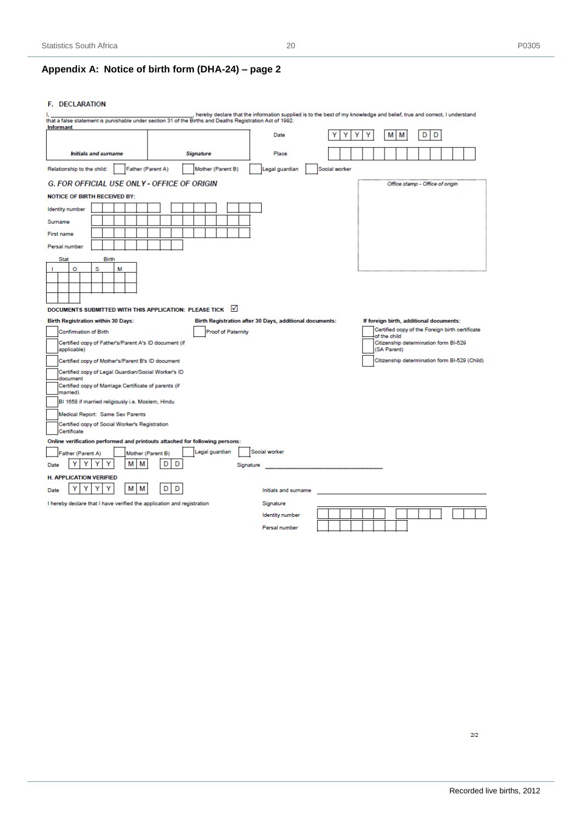# **Appendix A: Notice of birth form (DHA-24) – page 2**

#### F. DECLARATION

|                                                                                            | that a false statement is punishable under section 31 of the Births and Deaths Registration Act of 1992. |                                                         |               | hereby declare that the information supplied is to the best of my knowledge and belief, true and correct, I understand |
|--------------------------------------------------------------------------------------------|----------------------------------------------------------------------------------------------------------|---------------------------------------------------------|---------------|------------------------------------------------------------------------------------------------------------------------|
| <b>Informant</b>                                                                           |                                                                                                          | Date                                                    |               | м<br>м<br>D<br>D                                                                                                       |
| <b>Initials and surname</b>                                                                | <b>Signature</b>                                                                                         | Place                                                   |               |                                                                                                                        |
| Father (Parent A)<br>Relationship to the child:                                            | Mother (Parent B)                                                                                        | Legal guardian                                          | Social worker |                                                                                                                        |
| <b>G. FOR OFFICIAL USE ONLY - OFFICE OF ORIGIN</b>                                         |                                                                                                          |                                                         |               | Office stamp - Office of origin                                                                                        |
| <b>NOTICE OF BIRTH RECEIVED BY:</b>                                                        |                                                                                                          |                                                         |               |                                                                                                                        |
| <b>Identity number</b>                                                                     |                                                                                                          |                                                         |               |                                                                                                                        |
| Surname                                                                                    |                                                                                                          |                                                         |               |                                                                                                                        |
| First name                                                                                 |                                                                                                          |                                                         |               |                                                                                                                        |
| Persal number                                                                              |                                                                                                          |                                                         |               |                                                                                                                        |
| <b>Stat</b><br><b>Birth</b>                                                                |                                                                                                          |                                                         |               |                                                                                                                        |
| o<br>s<br>М                                                                                |                                                                                                          |                                                         |               |                                                                                                                        |
|                                                                                            |                                                                                                          |                                                         |               |                                                                                                                        |
|                                                                                            |                                                                                                          |                                                         |               |                                                                                                                        |
| DOCUMENTS SUBMITTED WITH THIS APPLICATION: PLEASE TICK                                     | $\mathsf{M}$                                                                                             |                                                         |               |                                                                                                                        |
| <b>Birth Registration within 30 Days:</b>                                                  |                                                                                                          | Birth Registration after 30 Days, additional documents: |               | If foreign birth, additional documents:                                                                                |
| <b>Confirmation of Birth</b>                                                               | Proof of Paternity                                                                                       |                                                         |               | Certified copy of the Foreign birth certificate                                                                        |
| Certified copy of Father's/Parent A's ID document (if                                      |                                                                                                          |                                                         |               | of the child<br>Citizenship determination form BI-529                                                                  |
| applicable)                                                                                |                                                                                                          |                                                         |               | (SA Parent)                                                                                                            |
| Certified copy of Mother's/Parent B's ID document                                          |                                                                                                          |                                                         |               | Citizenship determination form BI-529 (Child)                                                                          |
| Certified copy of Legal Guardian/Social Worker's ID<br>document                            |                                                                                                          |                                                         |               |                                                                                                                        |
| Certified copy of Marriage Certificate of parents (if<br>married)                          |                                                                                                          |                                                         |               |                                                                                                                        |
| BI 1658 if married religiously i.e. Moslem, Hindu                                          |                                                                                                          |                                                         |               |                                                                                                                        |
| Medical Report: Same Sex Parents                                                           |                                                                                                          |                                                         |               |                                                                                                                        |
| Certified copy of Social Worker's Registration                                             |                                                                                                          |                                                         |               |                                                                                                                        |
| Certificate<br>Online verification performed and printouts attached for following persons: |                                                                                                          |                                                         |               |                                                                                                                        |
| Father (Parent A)                                                                          | Legal guardian<br>Mother (Parent B)                                                                      | Social worker                                           |               |                                                                                                                        |
| М<br>М<br>Date                                                                             | D<br>D<br>Signature                                                                                      |                                                         |               |                                                                                                                        |
| <b>H. APPLICATION VERIFIED</b>                                                             |                                                                                                          |                                                         |               |                                                                                                                        |
| Υ<br>Υ<br>М<br>м<br>Υ<br>Y<br>Date                                                         | D<br>D                                                                                                   | Initials and surname                                    |               |                                                                                                                        |
| I hereby declare that I have verified the application and registration                     |                                                                                                          | Signature                                               |               |                                                                                                                        |
|                                                                                            |                                                                                                          | <b>Identity</b> number                                  |               |                                                                                                                        |
|                                                                                            |                                                                                                          | Persal number                                           |               |                                                                                                                        |

 $2/2$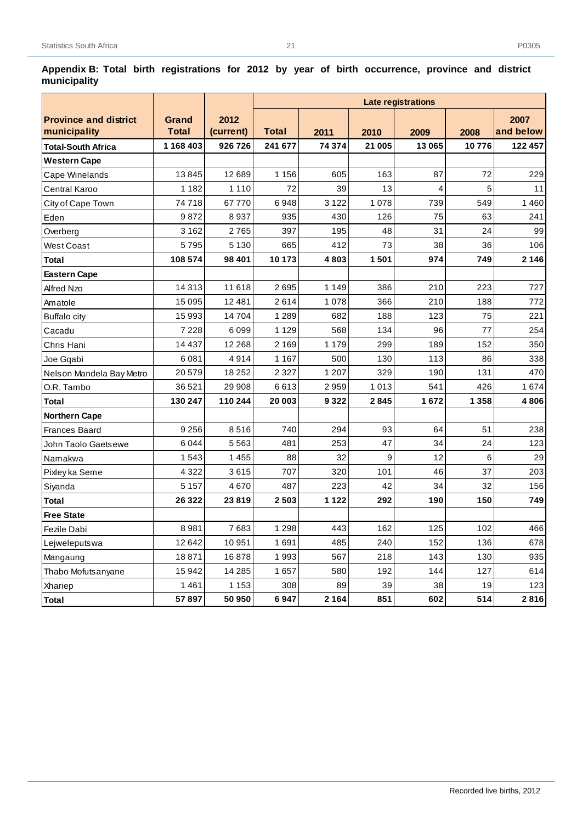|                              |              |           |              |         |        | Late registrations |         |           |
|------------------------------|--------------|-----------|--------------|---------|--------|--------------------|---------|-----------|
| <b>Province and district</b> | <b>Grand</b> | 2012      |              |         |        |                    |         | 2007      |
| municipality                 | <b>Total</b> | (current) | <b>Total</b> | 2011    | 2010   | 2009               | 2008    | and below |
| <b>Total-South Africa</b>    | 1 168 403    | 926 726   | 241 677      | 74 374  | 21 005 | 13 065             | 10776   | 122 457   |
| <b>Western Cape</b>          |              |           |              |         |        |                    |         |           |
| Cape Winelands               | 13845        | 12 689    | 1 1 5 6      | 605     | 163    | 87                 | 72      | 229       |
| <b>Central Karoo</b>         | 1 1 8 2      | 1 1 1 0   | 72           | 39      | 13     | 4                  | 5       | 11        |
| City of Cape Town            | 74718        | 67770     | 6948         | 3 1 2 2 | 1078   | 739                | 549     | 1460      |
| Eden                         | 9872         | 8937      | 935          | 430     | 126    | 75                 | 63      | 241       |
| Overberg                     | 3 1 6 2      | 2765      | 397          | 195     | 48     | 31                 | 24      | 99        |
| <b>West Coast</b>            | 5795         | 5 1 3 0   | 665          | 412     | 73     | 38                 | 36      | 106       |
| <b>Total</b>                 | 108 574      | 98 401    | 10 173       | 4803    | 1501   | 974                | 749     | 2 1 4 6   |
| <b>Eastern Cape</b>          |              |           |              |         |        |                    |         |           |
| Alfred Nzo                   | 14 3 13      | 11 618    | 2695         | 1 1 4 9 | 386    | 210                | 223     | 727       |
| Amatole                      | 15 095       | 12 4 8 1  | 2614         | 1 0 7 8 | 366    | 210                | 188     | 772       |
| <b>Buffalo city</b>          | 15 993       | 14704     | 1 2 8 9      | 682     | 188    | 123                | 75      | 221       |
| Cacadu                       | 7 2 2 8      | 6099      | 1 1 2 9      | 568     | 134    | 96                 | 77      | 254       |
| Chris Hani                   | 14 4 3 7     | 12 2 68   | 2 1 6 9      | 1 1 7 9 | 299    | 189                | 152     | 350       |
| Joe Gqabi                    | 6081         | 4914      | 1 1 6 7      | 500     | 130    | 113                | 86      | 338       |
| Nelson Mandela Bay Metro     | 20579        | 18 25 2   | 2 3 2 7      | 1 207   | 329    | 190                | 131     | 470       |
| O.R. Tambo                   | 36 521       | 29 908    | 6613         | 2959    | 1013   | 541                | 426     | 1674      |
| <b>Total</b>                 | 130 247      | 110 244   | 20 003       | 9 3 2 2 | 2845   | 1672               | 1 3 5 8 | 4806      |
| <b>Northern Cape</b>         |              |           |              |         |        |                    |         |           |
| <b>Frances Baard</b>         | 9 2 5 6      | 8516      | 740          | 294     | 93     | 64                 | 51      | 238       |
| John Taolo Gaetsewe          | 6044         | 5563      | 481          | 253     | 47     | 34                 | 24      | 123       |
| Namakwa                      | 1543         | 1 4 5 5   | 88           | 32      | 9      | 12                 | 6       | 29        |
| Pixley ka Seme               | 4 3 2 2      | 3615      | 707          | 320     | 101    | 46                 | 37      | 203       |
| Siyanda                      | 5 1 5 7      | 4670      | 487          | 223     | 42     | 34                 | 32      | 156       |
| <b>Total</b>                 | 26 3 22      | 23819     | 2503         | 1 1 2 2 | 292    | 190                | 150     | 749       |
| <b>Free State</b>            |              |           |              |         |        |                    |         |           |
| Fezile Dabi                  | 8981         | 7683      | 1 2 9 8      | 443     | 162    | 125                | 102     | 466       |
| Lejweleputswa                | 12 642       | 10951     | 1691         | 485     | 240    | 152                | 136     | 678       |
| Mangaung                     | 18871        | 16878     | 1993         | 567     | 218    | 143                | 130     | 935       |
| Thabo Mofutsanyane           | 15 942       | 14 2 8 5  | 1657         | 580     | 192    | 144                | 127     | 614       |
| Xhariep                      | 1461         | 1 1 5 3   | 308          | 89      | 39     | 38                 | 19      | 123       |
| Total                        | 57897        | 50 950    | 6947         | 2 1 6 4 | 851    | 602                | 514     | 2816      |

<span id="page-26-0"></span>**Appendix B: Total birth registrations for 2012 by year of birth occurrence, province and district municipality**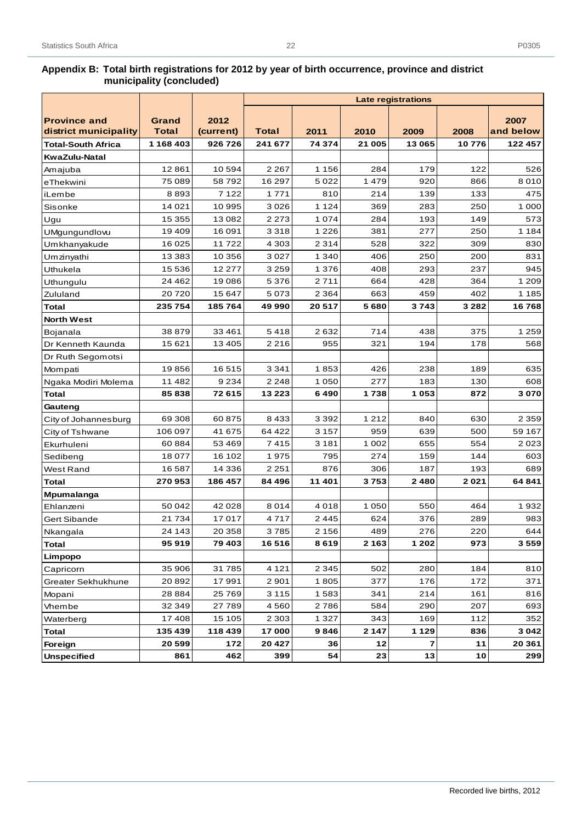22

|                                              |                |                   |              |         |         | <b>Late registrations</b> |         |                   |
|----------------------------------------------|----------------|-------------------|--------------|---------|---------|---------------------------|---------|-------------------|
|                                              |                |                   |              |         |         |                           |         |                   |
| <b>Province and</b><br>district municipality | Grand<br>Total | 2012<br>(current) | <b>Total</b> | 2011    | 2010    | 2009                      | 2008    | 2007<br>and below |
| <b>Total-South Africa</b>                    | 1 168 403      | 926726            | 241 677      | 74 374  | 21 005  | 13 065                    | 10776   | 122 457           |
| <b>KwaZulu-Natal</b>                         |                |                   |              |         |         |                           |         |                   |
|                                              | 12861          | 10594             | 2 2 6 7      | 1 1 5 6 | 284     | 179                       | 122     | 526               |
| Amajuba                                      | 75 089         | 58792             | 16 297       | 5022    | 1 4 7 9 | 920                       | 866     | 8010              |
| eThekwini                                    | 8893           | 7 1 2 2           | 1771         | 810     | 214     | 139                       | 133     | 475               |
| iLembe                                       | 14 0 21        | 10 995            | 3026         | 1 1 2 4 | 369     | 283                       | 250     | 1 0 0 0           |
| Sisonke                                      | 15 355         | 13 082            | 2 2 7 3      | 1074    | 284     | 193                       | 149     | 573               |
| Ugu                                          | 19 409         | 16 091            | 3318         | 1 2 2 6 | 381     | 277                       | 250     | 1 1 8 4           |
| UMgungundlovu                                | 16 0 25        | 11722             | 4 3 0 3      | 2 3 1 4 | 528     | 322                       | 309     | 830               |
| Umkhanyakude                                 | 13 3 8 3       | 10 356            | 3027         | 1 3 4 0 | 406     | 250                       | 200     | 831               |
| Umzinyathi<br>Uthukela                       | 15 536         | 12 277            | 3 2 5 9      | 1 3 7 6 | 408     | 293                       | 237     | 945               |
|                                              | 24 4 62        | 19 086            | 5376         | 2711    | 664     | 428                       | 364     | 1 2 0 9           |
| Uthungulu<br>Zululand                        | 20720          | 15 647            | 5073         | 2 3 6 4 | 663     | 459                       | 402     | 1 1 8 5           |
|                                              | 235 754        | 185764            | 49 990       | 20517   | 5680    | 3743                      | 3 2 8 2 | 16768             |
| <b>Total</b>                                 |                |                   |              |         |         |                           |         |                   |
| <b>North West</b>                            | 38 879         | 33 461            | 5418         | 2632    | 714     | 438                       | 375     | 1 2 5 9           |
| <b>Bojanala</b>                              | 15 621         | 13 4 05           | 2216         | 955     | 321     | 194                       | 178     | 568               |
| Dr Kenneth Kaunda                            |                |                   |              |         |         |                           |         |                   |
| Dr Ruth Segomotsi                            | 19856          | 16515             | 3 3 4 1      | 1853    | 426     | 238                       | 189     | 635               |
| Mompati                                      | 11 482         | 9 2 3 4           | 2 2 4 8      | 1 0 5 0 | 277     | 183                       | 130     | 608               |
| Ngaka Modiri Molema<br>Total                 | 85838          | 72 615            | 13 2 23      | 6490    | 1738    | 1 0 5 3                   | 872     | 3070              |
| Gauteng                                      |                |                   |              |         |         |                           |         |                   |
| City of Johannesburg                         | 69 30 8        | 60 875            | 8433         | 3 3 9 2 | 1 2 1 2 | 840                       | 630     | 2 3 5 9           |
| City of Tshwane                              | 106 097        | 41 675            | 64 4 22      | 3 1 5 7 | 959     | 639                       | 500     | 59 167            |
| Ekurhuleni                                   | 60884          | 53 469            | 7415         | 3 1 8 1 | 1 0 0 2 | 655                       | 554     | 2023              |
| Sedibeng                                     | 18 077         | 16 102            | 1975         | 795     | 274     | 159                       | 144     | 603               |
| West Rand                                    | 16 587         | 14 336            | 2 2 5 1      | 876     | 306     | 187                       | 193     | 689               |
| <b>Total</b>                                 | 270953         | 186 457           | 84 496       | 11 401  | 3753    | 2480                      | 2021    | 64 841            |
| Mpumalanga                                   |                |                   |              |         |         |                           |         |                   |
| Ehlanzeni                                    | 50 042         | 42 0 28           | 8014         | 4018    | 1 0 5 0 | 550                       | 464     | 1932              |
| Gert Sibande                                 | 21 7 34        | 17017             | 4717         | 2445    | 624     | 376                       | 289     | 983               |
| Nkangala                                     | 24 143         | 20 358            | 3785         | 2 1 5 6 | 489     | 276                       | 220     | 644               |
| Total                                        | 95919          | 79 403            | 16516        | 8619    | 2 1 6 3 | 1 202                     | 973     | 3 5 5 9           |
| Limpopo                                      |                |                   |              |         |         |                           |         |                   |
| Capricorn                                    | 35 906         | 31 785            | 4 1 2 1      | 2 3 4 5 | 502     | 280                       | 184     | 810               |
| Greater Sekhukhune                           | 20 892         | 17991             | 2901         | 1805    | 377     | 176                       | 172     | 371               |
| Mopani                                       | 28 8 8 4       | 25 769            | 3 1 1 5      | 1583    | 341     | 214                       | 161     | 816               |
| Vhembe                                       | 32 349         | 27789             | 4560         | 2786    | 584     | 290                       | 207     | 693               |
| Waterberg                                    | 17408          | 15 105            | 2 3 0 3      | 1 3 2 7 | 343     | 169                       | 112     | 352               |
| <b>Total</b>                                 | 135 439        | 118 439           | 17000        | 9846    | 2 1 4 7 | 1 1 2 9                   | 836     | 3 0 4 2           |
| Foreign                                      | 20 599         | 172               | 20 4 27      | 36      | 12      | $\overline{\mathbf{z}}$   | 11      | 20 361            |
| <b>Unspecified</b>                           | 861            | 462               | 399          | 54      | 23      | 13                        | 10      | 299               |
|                                              |                |                   |              |         |         |                           |         |                   |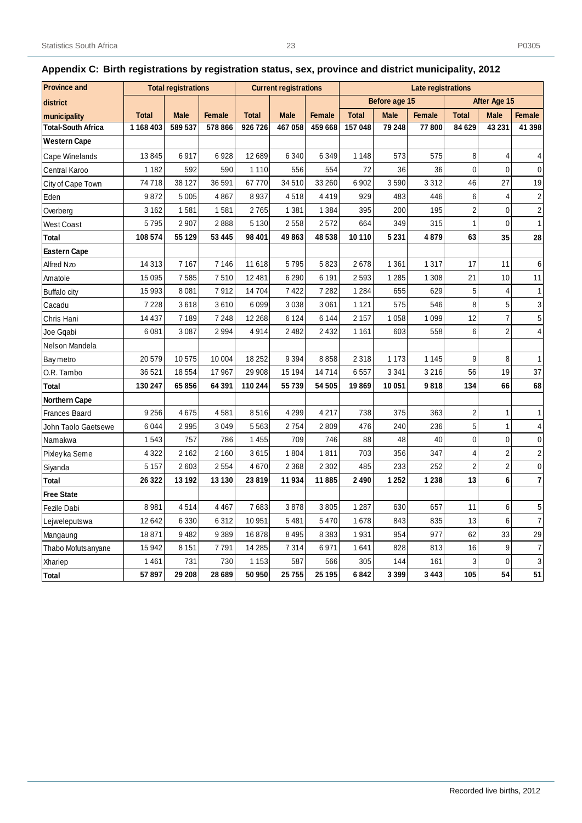| <b>Province and</b>       |              | <b>Total registrations</b> |               |              | <b>Current registrations</b> | Late registrations |              |               |               |                |                |                         |
|---------------------------|--------------|----------------------------|---------------|--------------|------------------------------|--------------------|--------------|---------------|---------------|----------------|----------------|-------------------------|
| district                  |              |                            |               |              |                              |                    |              | Before age 15 |               |                | After Age 15   |                         |
| municipality              | <b>Total</b> | <b>Male</b>                | <b>Female</b> | <b>Total</b> | <b>Male</b>                  | <b>Female</b>      | <b>Total</b> | <b>Male</b>   | <b>Female</b> | <b>Total</b>   | <b>Male</b>    | <b>Female</b>           |
| <b>Total-South Africa</b> | 1168403      | 589 537                    | 578 866       | 926726       | 467058                       | 459 668            | 157 048      | 79 248        | 77800         | 84 629         | 43 231         | 41 398                  |
| <b>Western Cape</b>       |              |                            |               |              |                              |                    |              |               |               |                |                |                         |
| Cape Winelands            | 13845        | 6917                       | 6928          | 12689        | 6340                         | 6349               | 1 1 4 8      | 573           | 575           | 8              | 4              | 4                       |
| Central Karoo             | 1 1 8 2      | 592                        | 590           | 1 1 1 0      | 556                          | 554                | 72           | 36            | 36            | 0              | $\Omega$       | $\mathbf 0$             |
| City of Cape Town         | 74718        | 38 127                     | 36 591        | 67770        | 34 510                       | 33 260             | 6902         | 3590          | 3312          | 46             | 27             | 19                      |
| Eden                      | 9872         | 5 0 0 5                    | 4867          | 8937         | 4518                         | 4419               | 929          | 483           | 446           | 6              | 4              | $\overline{\mathbf{c}}$ |
| Overberg                  | 3 1 6 2      | 1581                       | 1581          | 2765         | 1 3 8 1                      | 1384               | 395          | 200           | 195           | $\overline{c}$ | $\mathbf{0}$   | $\overline{\mathbf{c}}$ |
| West Coast                | 5795         | 2 9 0 7                    | 2888          | 5 1 3 0      | 2558                         | 2572               | 664          | 349           | 315           | $\mathbf{1}$   | $\Omega$       | $\mathbf{1}$            |
| Total                     | 108 574      | 55 129                     | 53 445        | 98 401       | 49863                        | 48 538             | 10 110       | 5 2 3 1       | 4879          | 63             | 35             | 28                      |
| <b>Eastern Cape</b>       |              |                            |               |              |                              |                    |              |               |               |                |                |                         |
| Alfred Nzo                | 14 3 13      | 7 1 6 7                    | 7 1 4 6       | 11 618       | 5795                         | 5823               | 2678         | 1 3 6 1       | 1 3 1 7       | 17             | 11             | 6                       |
| Amatole                   | 15 0 95      | 7585                       | 7510          | 12481        | 6290                         | 6 1 9 1            | 2593         | 1 2 8 5       | 1 3 0 8       | 21             | 10             | 11                      |
| <b>Buffalo city</b>       | 15 993       | 8 0 8 1                    | 7912          | 14704        | 7422                         | 7282               | 1 2 8 4      | 655           | 629           | 5              | $\overline{4}$ | $\mathbf{1}$            |
| Cacadu                    | 7 2 2 8      | 3618                       | 3610          | 6099         | 3038                         | 3061               | 1 1 2 1      | 575           | 546           | 8              | 5              | 3                       |
| Chris Hani                | 14 4 37      | 7 1 8 9                    | 7 2 4 8       | 12 2 68      | 6 1 2 4                      | 6 1 4 4            | 2 1 5 7      | 1 0 5 8       | 1 0 9 9       | 12             | $\overline{7}$ | 5                       |
| Joe Gqabi                 | 6081         | 3 0 8 7                    | 2994          | 4914         | 2482                         | 2432               | 1 1 6 1      | 603           | 558           | $\,6\,$        | $\overline{2}$ | 4                       |
| Nelson Mandela            |              |                            |               |              |                              |                    |              |               |               |                |                |                         |
| Bay metro                 | 20579        | 10575                      | 10 004        | 18 25 2      | 9394                         | 8858               | 2 3 1 8      | 1 1 7 3       | 1 1 4 5       | 9              | 8              | 1                       |
| O.R. Tambo                | 36 521       | 18554                      | 17967         | 29 908       | 15 194                       | 14714              | 6557         | 3 3 4 1       | 3 2 1 6       | 56             | 19             | 37                      |
| Total                     | 130 247      | 65856                      | 64 391        | 110 244      | 55 739                       | 54 505             | 19869        | 10 051        | 9818          | 134            | 66             | 68                      |
| <b>Northern Cape</b>      |              |                            |               |              |                              |                    |              |               |               |                |                |                         |
| <b>Frances Baard</b>      | 9 2 5 6      | 4675                       | 4581          | 8516         | 4 2 9 9                      | 4217               | 738          | 375           | 363           | $\overline{c}$ | $\mathbf{1}$   | 1                       |
| John Taolo Gaetsewe       | 6044         | 2995                       | 3049          | 5563         | 2754                         | 2809               | 476          | 240           | 236           | 5              | $\mathbf{1}$   | 4                       |
| Namakwa                   | 1543         | 757                        | 786           | 1 4 5 5      | 709                          | 746                | 88           | 48            | 40            | $\mathbf 0$    | $\mathbf 0$    | $\mathbf 0$             |
| Pixley ka Seme            | 4 3 2 2      | 2 1 6 2                    | 2 1 6 0       | 3615         | 1804                         | 1811               | 703          | 356           | 347           | $\overline{4}$ | $\overline{2}$ | $\overline{\mathbf{c}}$ |
| Siyanda                   | 5 1 5 7      | 2603                       | 2554          | 4670         | 2 3 6 8                      | 2 3 0 2            | 485          | 233           | 252           | $\overline{2}$ | $\overline{2}$ | $\pmb{0}$               |
| <b>Total</b>              | 26 3 22      | 13 192                     | 13 130        | 23819        | 11934                        | 11885              | 2490         | 1 2 5 2       | 1 2 3 8       | 13             | 6              | $\overline{7}$          |
| <b>Free State</b>         |              |                            |               |              |                              |                    |              |               |               |                |                |                         |
| Fezile Dabi               | 8981         | 4514                       | 4 4 6 7       | 7683         | 3878                         | 3805               | 1 2 8 7      | 630           | 657           | 11             | 6              | 5                       |
| Lejweleputswa             | 12 642       | 6 3 3 0                    | 6312          | 10951        | 5481                         | 5470               | 1678         | 843           | 835           | 13             | $\,6\,$        | $\overline{7}$          |
| Mangaung                  | 18871        | 9482                       | 9389          | 16878        | 8 4 9 5                      | 8383               | 1931         | 954           | 977           | 62             | 33             | 29                      |
| Thabo Mofutsanyane        | 15 942       | 8 1 5 1                    | 7791          | 14 2 8 5     | 7314                         | 6971               | 1641         | 828           | 813           | 16             | 9              | $\boldsymbol{7}$        |
| Xhariep                   | 1461         | 731                        | 730           | 1 1 5 3      | 587                          | 566                | 305          | 144           | 161           | 3              | $\mathbf 0$    | 3                       |
| Total                     | 57897        | 29 208                     | 28 689        | 50 950       | 25755                        | 25 195             | 6842         | 3 3 9 9       | 3 4 4 3       | 105            | 54             | 51                      |

# <span id="page-28-0"></span>**Appendix C: Birth registrations by registration status, sex, province and district municipality, 2012**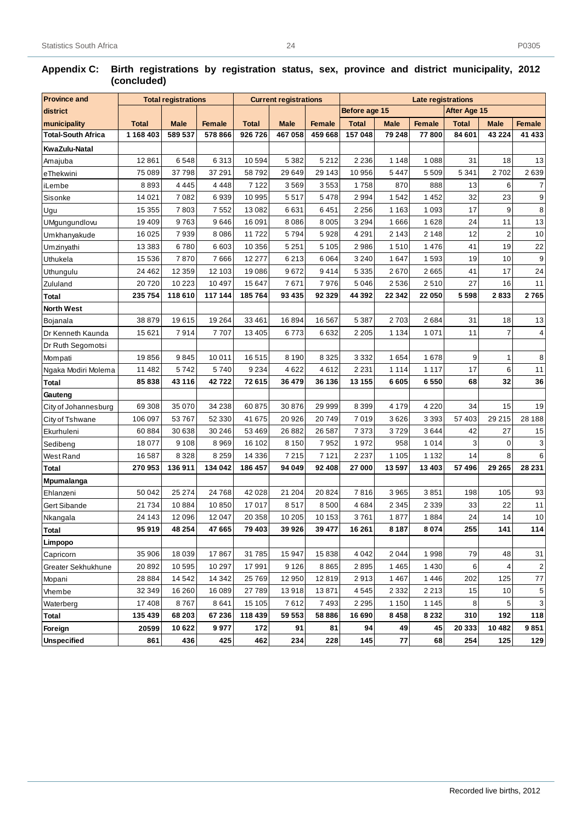| <b>Province and</b>       |              | <b>Total registrations</b> |               |              | <b>Current registrations</b> |               | <b>Late registrations</b>                                                                   |         |               |         |                |               |
|---------------------------|--------------|----------------------------|---------------|--------------|------------------------------|---------------|---------------------------------------------------------------------------------------------|---------|---------------|---------|----------------|---------------|
| district                  |              |                            |               |              |                              |               | Before age 15<br>After Age 15<br><b>Total</b><br><b>Male</b><br><b>Total</b><br><b>Male</b> |         |               |         |                |               |
| municipality              | <b>Total</b> | <b>Male</b>                | <b>Female</b> | <b>Total</b> | <b>Male</b>                  | <b>Female</b> |                                                                                             |         | <b>Female</b> |         |                | <b>Female</b> |
| <b>Total-South Africa</b> | 1 168 403    | 589 537                    | 578 866       | 926726       | 467 058                      | 459 668       | 157 048                                                                                     | 79 248  | 77800         | 84 601  | 43 2 24        | 41 433        |
| KwaZulu-Natal             |              |                            |               |              |                              |               |                                                                                             |         |               |         |                |               |
| Amajuba                   | 12 8 61      | 6548                       | 6313          | 10594        | 5 3 8 2                      | 5 2 1 2       | 2 2 3 6                                                                                     | 1148    | 1088          | 31      | 18             | 13            |
| eThekwini                 | 75 089       | 37798                      | 37 291        | 58792        | 29 649                       | 29 143        | 10 956                                                                                      | 5447    | 5509          | 5 3 4 1 | 2702           | 2639          |
| iLembe                    | 8893         | 4 4 4 5                    | 4 4 4 8       | 7 1 2 2      | 3569                         | 3553          | 1758                                                                                        | 870     | 888           | 13      | 6              | 7             |
| Sisonke                   | 14 0 21      | 7082                       | 6939          | 10 995       | 5517                         | 5478          | 2994                                                                                        | 1542    | 1452          | 32      | 23             | 9             |
| Ugu                       | 15 355       | 7803                       | 7552          | 13082        | 6631                         | 6451          | 2 2 5 6                                                                                     | 1 1 6 3 | 1 0 9 3       | 17      | 9              | 8             |
| UMgungundlovu             | 19 4 09      | 9763                       | 9646          | 16 091       | 8086                         | 8 0 0 5       | 3 2 9 4                                                                                     | 1666    | 1628          | 24      | 11             | 13            |
| Umkhanyakude              | 16 0 25      | 7939                       | 8086          | 11722        | 5794                         | 5928          | 4 2 9 1                                                                                     | 2 1 4 3 | 2 1 4 8       | 12      | $\overline{c}$ | 10            |
| Umzinyathi                | 13 3 8 3     | 6780                       | 6603          | 10 356       | 5 2 5 1                      | 5 1 0 5       | 2986                                                                                        | 1510    | 1476          | 41      | 19             | 22            |
| Uthukela                  | 15 5 36      | 7870                       | 7666          | 12 277       | 6213                         | 6 0 64        | 3 2 4 0                                                                                     | 1647    | 1593          | 19      | 10             | 9             |
| Uthungulu                 | 24 4 62      | 12 3 5 9                   | 12 103        | 19086        | 9672                         | 9414          | 5 3 3 5                                                                                     | 2670    | 2665          | 41      | 17             | 24            |
| Zululand                  | 20720        | 10 2 23                    | 10 497        | 15 647       | 7671                         | 7976          | 5 0 4 6                                                                                     | 2536    | 2510          | 27      | 16             | 11            |
| Total                     | 235 754      | 118610                     | 117 144       | 185764       | 93 4 35                      | 92 329        | 44 392                                                                                      | 22 342  | 22 050        | 5 5 9 8 | 2833           | 2765          |
| <b>North West</b>         |              |                            |               |              |                              |               |                                                                                             |         |               |         |                |               |
| Bojanala                  | 38 879       | 19615                      | 19 264        | 33 4 61      | 16894                        | 16 567        | 5 3 8 7                                                                                     | 2703    | 2684          | 31      | 18             | 13            |
| Dr Kenneth Kaunda         | 15 621       | 7914                       | 7707          | 13 4 05      | 6773                         | 6632          | 2 2 0 5                                                                                     | 1 1 3 4 | 1071          | 11      | $\overline{7}$ | 4             |
| Dr Ruth Segomotsi         |              |                            |               |              |                              |               |                                                                                             |         |               |         |                |               |
| Mompati                   | 19856        | 9845                       | 10 011        | 16515        | 8 1 9 0                      | 8 3 2 5       | 3 3 3 2                                                                                     | 1654    | 1678          | 9       | 1              | 8             |
| Ngaka Modiri Molema       | 11 482       | 5742                       | 5740          | 9 2 3 4      | 4622                         | 4612          | 2 2 3 1                                                                                     | 1 1 1 4 | 1 1 1 7       | 17      | 6              | 11            |
| Total                     | 85838        | 43 116                     | 42722         | 72615        | 36 479                       | 36 136        | 13 155                                                                                      | 6605    | 6550          | 68      | 32             | 36            |
| Gauteng                   |              |                            |               |              |                              |               |                                                                                             |         |               |         |                |               |
| City of Johannesburg      | 69 308       | 35 0 70                    | 34 238        | 60875        | 30 876                       | 29 999        | 8 3 9 9                                                                                     | 4 1 7 9 | 4 2 2 0       | 34      | 15             | 19            |
| City of Tshwane           | 106 097      | 53767                      | 52 330        | 41 675       | 20 9 26                      | 20749         | 7019                                                                                        | 3626    | 3 3 9 3       | 57 403  | 29 215         | 28 188        |
| Ekurhuleni                | 60884        | 30 638                     | 30 246        | 53 4 69      | 26882                        | 26 587        | 7 3 7 3                                                                                     | 3729    | 3644          | 42      | 27             | 15            |
| Sedibeng                  | 18 077       | 9 1 0 8                    | 8969          | 16 102       | 8 1 5 0                      | 7952          | 1972                                                                                        | 958     | 1014          | 3       | $\mathbf 0$    | 3             |
| West Rand                 | 16 587       | 8328                       | 8 2 5 9       | 14 3 36      | 7215                         | 7 1 2 1       | 2 2 3 7                                                                                     | 1 1 0 5 | 1 1 3 2       | 14      | 8              | 6             |
| Total                     | 270953       | 136911                     | 134 042       | 186 457      | 94 049                       | 92 408        | 27 000                                                                                      | 13597   | 13 4 03       | 57 496  | 29 265         | 28 231        |
| <b>Mpumalanga</b>         |              |                            |               |              |                              |               |                                                                                             |         |               |         |                |               |
| Ehlanzeni                 | 50 042       | 25 274                     | 24 768        | 42 0 28      | 21 204                       | 20824         | 7816                                                                                        | 3965    | 3851          | 198     | 105            | 93            |
| Gert Sibande              | 21 7 34      | 10884                      | 10850         | 17017        | 8517                         | 8500          | 4684                                                                                        | 2 3 4 5 | 2 3 3 9       | 33      | 22             | 11            |
| Nkangala                  | 24 143       | 12 0 96                    | 12 047        | 20 358       | 10 205                       | 10 153        | 3761                                                                                        | 1877    | 1884          | 24      | 14             | 10            |
| Total                     | 95 919       | 48 254                     | 47 665        | 79 403       | 39 9 26                      | 39 477        | 16 26 1                                                                                     | 8 1 8 7 | 8074          | 255     | 141            | 114           |
| Limpopo                   |              |                            |               |              |                              |               |                                                                                             |         |               |         |                |               |
| Capricorn                 | 35 906       | 18 0 39                    | 17867         | 31785        | 15947                        | 15838         | 4 0 4 2                                                                                     | 2044    | 1998          | 79      | 48             | 31            |
| Greater Sekhukhune        | 20892        | 10595                      | 10 297        | 17991        | 9 1 2 6                      | 8865          | 2895                                                                                        | 1465    | 1430          | 6       | 4              | 2             |
| Mopani                    | 28 8 8 4     | 14542                      | 14 342        | 25769        | 12 950                       | 12819         | 2913                                                                                        | 1467    | 1446          | 202     | 125            | 77            |
| Vhembe                    | 32 349       | 16 260                     | 16 089        | 27789        | 13918                        | 13871         | 4545                                                                                        | 2 3 3 2 | 2213          | 15      | 10             | 5             |
| Waterberg                 | 17408        | 8767                       | 8641          | 15 105       | 7612                         | 7493          | 2 2 9 5                                                                                     | 1 1 5 0 | 1 1 4 5       | 8       | 5              | 3             |
| Total                     | 135 439      | 68 203                     | 67 236        | 118 439      | 59 553                       | 58 886        | 16 690                                                                                      | 8458    | 8 2 3 2       | 310     | 192            | 118           |
| Foreign                   | 20599        | 10622                      | 9977          | 172          | 91                           | 81            | 94                                                                                          | 49      | 45            | 20 333  | 10482          | 9851          |
| Unspecified               | 861          | 436                        | 425           | 462          | 234                          | 228           | 145                                                                                         | 77      | 68            | 254     | 125            | 129           |

#### **Appendix C: Birth registrations by registration status, sex, province and district municipality, 2012 (concluded)**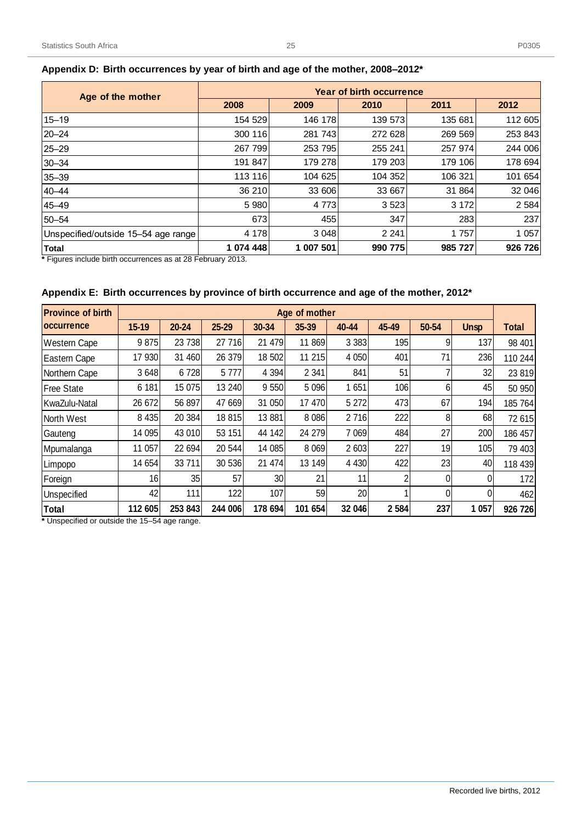25–29 267 799 253 795 255 241 257 974 244 006 30–34 191 847 179 278 179 203 179 106 178 694 35–39 113 116 104 625 104 352 106 321 101 654 40–44 36 210 33 606 33 667 31 864 32 046 45–49 5 980 4 773 3 523 3 172 2 584 50–54 673 455 347 283 237 Unspecified/outside 15–54 age range  $\begin{vmatrix} 4 & 178 & 3 & 048 \\ 4 & 7 & 3 & 048 \end{vmatrix}$  2 241 1  $\begin{vmatrix} 1 & 757 & 1 & 057 \\ 1 & 1 & 057 & 0 & 0 & 0 \end{vmatrix}$ **Total 1 074 448 1 007 501 990 775 985 727 926 726**

| Appendix D:  Birth occurrences by year of birth and age of the mother, 2008–2012* |         |         |         |         |         |  |  |  |  |  |  |  |  |
|-----------------------------------------------------------------------------------|---------|---------|---------|---------|---------|--|--|--|--|--|--|--|--|
| Year of birth occurrence<br>Age of the mother                                     |         |         |         |         |         |  |  |  |  |  |  |  |  |
|                                                                                   | 2008    | 2009    | 2010    | 2011    | 2012    |  |  |  |  |  |  |  |  |
| $15 - 19$                                                                         | 154 529 | 146 178 | 139 573 | 135 681 | 112 605 |  |  |  |  |  |  |  |  |
| 20–24                                                                             | 300 116 | 281 743 | 272 628 | 269 569 | 253 843 |  |  |  |  |  |  |  |  |

# <span id="page-30-0"></span>Appendix D: Birth occurrences by year of bir

**\*** Figures include birth occurrences as at 28 February 2013.

#### <span id="page-30-1"></span>**Appendix E: Birth occurrences by province of birth occurrence and age of the mother, 2012\***

| <b>Province of birth</b> |         |           |           |         | Age of mother |         |         |       |             |              |
|--------------------------|---------|-----------|-----------|---------|---------------|---------|---------|-------|-------------|--------------|
| <b>loccurrence</b>       | 15-19   | $20 - 24$ | $25 - 29$ | 30-34   | 35-39         | 40-44   | 45-49   | 50-54 | <b>Unsp</b> | <b>Total</b> |
| <b>Western Cape</b>      | 9875    | 23 738    | 27 716    | 21 479  | 11 869        | 3 3 8 3 | 195     | 9     | 137         | 98 401       |
| Eastern Cape             | 17 930  | 31 460    | 26 379    | 18 502  | 11 215        | 4 0 5 0 | 401     | 71    | 236         | 110 244      |
| Northern Cape            | 3648    | 6728      | 5 7 7 7   | 4 3 9 4 | 2 3 4 1       | 841     | 51      |       | 32          | 23 819       |
| <b>IFree State</b>       | 6 181   | 15 075    | 13 240    | 9550    | 5 0 9 6       | 1 651   | 106     | 6     | 45          | 50 950       |
| KwaZulu-Natal            | 26 672  | 56 897    | 47 669    | 31 050  | 17 470        | 5 2 7 2 | 473     | 67    | 194         | 185 764      |
| North West               | 8 4 3 5 | 20 384    | 18 815    | 13881   | 8 0 8 6       | 2716    | 222     | 8     | 68          | 72 615       |
| Gauteng                  | 14 095  | 43 010    | 53 151    | 44 142  | 24 279        | 7 0 6 9 | 484     | 27    | 200         | 186 457      |
| Mpumalanga               | 11 057  | 22 694    | 20 544    | 14 085  | 8 0 6 9       | 2 603   | 227     | 19    | 105         | 79 403       |
| Limpopo                  | 14 654  | 33711     | 30 536    | 21 474  | 13 149        | 4 4 3 0 | 422     | 23    | 40          | 118 439      |
| Foreign                  | 16      | 35        | 57        | 30      | 21            | 11      | 2       | 0     | 0           | 172          |
| Unspecified              | 42      | 111       | 122       | 107     | 59            | 20      |         | 0     | 0           | 462          |
| <b>Total</b>             | 112 605 | 253 843   | 244 006   | 178 694 | 101 654       | 32 046  | 2 5 8 4 | 237   | 1 0 5 7     | 926 726      |

**\*** Unspecified or outside the 15–54 age range.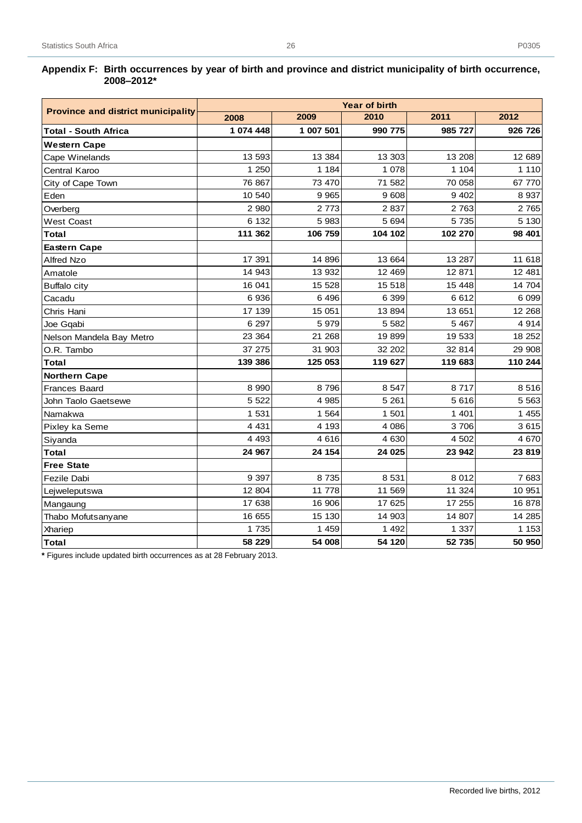#### <span id="page-31-0"></span>**Appendix F: Birth occurrences by year of birth and province and district municipality of birth occurrence, 2008–2012\***

|                                           |           |           | <b>Year of birth</b> |         |         |
|-------------------------------------------|-----------|-----------|----------------------|---------|---------|
| <b>Province and district municipality</b> | 2008      | 2009      | 2010                 | 2011    | 2012    |
| <b>Total - South Africa</b>               | 1 074 448 | 1 007 501 | 990 775              | 985 727 | 926 726 |
| <b>Western Cape</b>                       |           |           |                      |         |         |
| Cape Winelands                            | 13 593    | 13 3 84   | 13 303               | 13 208  | 12 689  |
| Central Karoo                             | 1 250     | 1 1 8 4   | 1 0 7 8              | 1 104   | 1 1 1 0 |
| City of Cape Town                         | 76 867    | 73 470    | 71 582               | 70 058  | 67 770  |
| Eden                                      | 10 540    | 9 9 6 5   | 9608                 | 9 4 0 2 | 8 9 3 7 |
| Overberg                                  | 2 9 8 0   | 2 7 7 3   | 2837                 | 2 7 6 3 | 2 7 6 5 |
| <b>West Coast</b>                         | 6 132     | 5 9 8 3   | 5 6 9 4              | 5 7 3 5 | 5 1 3 0 |
| Total                                     | 111 362   | 106 759   | 104 102              | 102 270 | 98 401  |
| <b>Eastern Cape</b>                       |           |           |                      |         |         |
| <b>Alfred Nzo</b>                         | 17 391    | 14 896    | 13 664               | 13 287  | 11 618  |
| Amatole                                   | 14 943    | 13 932    | 12 4 69              | 12 871  | 12 481  |
| <b>Buffalo city</b>                       | 16 041    | 15 528    | 15 518               | 15 4 48 | 14 704  |
| Cacadu                                    | 6936      | 6 4 9 6   | 6 3 9 9              | 6612    | 6 0 9 9 |
| Chris Hani                                | 17 139    | 15 051    | 13 8 94              | 13 651  | 12 268  |
| Joe Ggabi                                 | 6 2 9 7   | 5979      | 5 5 8 2              | 5 4 6 7 | 4 9 1 4 |
| Nelson Mandela Bay Metro                  | 23 364    | 21 268    | 19899                | 19 533  | 18 25 2 |
| O.R. Tambo                                | 37 275    | 31 903    | 32 202               | 32 814  | 29 908  |
| Total                                     | 139 386   | 125 053   | 119 627              | 119 683 | 110 244 |
| <b>Northern Cape</b>                      |           |           |                      |         |         |
| <b>Frances Baard</b>                      | 8 9 9 0   | 8796      | 8 5 4 7              | 8717    | 8516    |
| John Taolo Gaetsewe                       | 5 5 2 2   | 4 9 8 5   | 5 2 6 1              | 5616    | 5 5 6 3 |
| Namakwa                                   | 1 5 3 1   | 1 5 6 4   | 1 501                | 1 4 0 1 | 1 4 5 5 |
| Pixley ka Seme                            | 4 4 3 1   | 4 1 9 3   | 4 0 8 6              | 3706    | 3615    |
| Siyanda                                   | 4 4 9 3   | 4616      | 4 6 30               | 4 502   | 4 670   |
| Total                                     | 24 967    | 24 154    | 24 025               | 23 942  | 23 819  |
| <b>Free State</b>                         |           |           |                      |         |         |
| Fezile Dabi                               | 9 3 9 7   | 8735      | 8 5 31               | 8 0 1 2 | 7 683   |
| Lejweleputswa                             | 12 804    | 11 778    | 11 569               | 11 324  | 10 951  |
| Mangaung                                  | 17 638    | 16 906    | 17 625               | 17 255  | 16878   |
| Thabo Mofutsanyane                        | 16 655    | 15 130    | 14 903               | 14 807  | 14 285  |
| Xhariep                                   | 1 7 3 5   | 1 4 5 9   | 1 4 9 2              | 1 3 3 7 | 1 1 5 3 |
| <b>Total</b>                              | 58 229    | 54 008    | 54 120               | 52 735  | 50 950  |

**\*** Figures include updated birth occurrences as at 28 February 2013.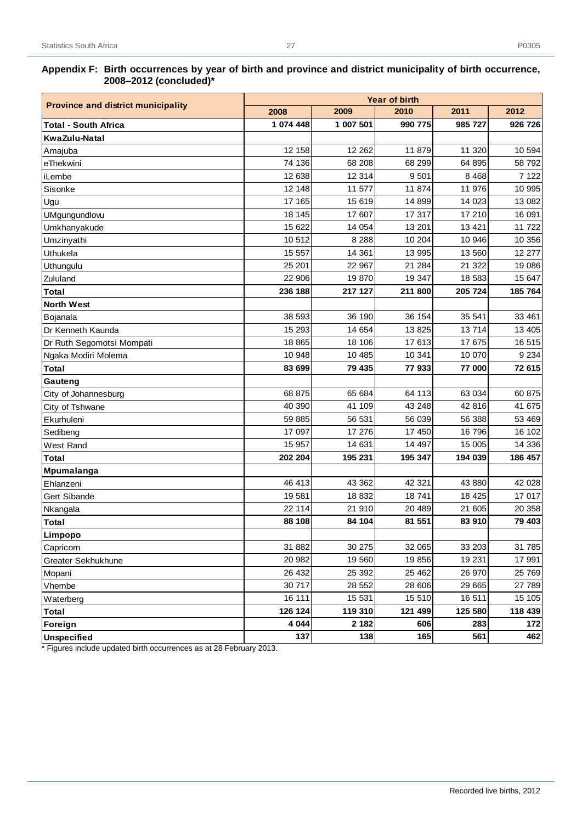#### **Appendix F: Birth occurrences by year of birth and province and district municipality of birth occurrence, 2008–2012 (concluded)\***

|                                           | <b>Year of birth</b> |           |         |         |         |  |  |  |  |  |
|-------------------------------------------|----------------------|-----------|---------|---------|---------|--|--|--|--|--|
| <b>Province and district municipality</b> | 2008                 | 2009      | 2010    | 2011    | 2012    |  |  |  |  |  |
| <b>Total - South Africa</b>               | 1 074 448            | 1 007 501 | 990 775 | 985 727 | 926 726 |  |  |  |  |  |
| KwaZulu-Natal                             |                      |           |         |         |         |  |  |  |  |  |
| Amajuba                                   | 12 158               | 12 262    | 11 879  | 11 320  | 10 594  |  |  |  |  |  |
| eThekwini                                 | 74 136               | 68 208    | 68 299  | 64 895  | 58 792  |  |  |  |  |  |
| iLembe                                    | 12 638               | 12 3 14   | 9501    | 8 4 6 8 | 7 1 2 2 |  |  |  |  |  |
| Sisonke                                   | 12 148               | 11 577    | 11 874  | 11 976  | 10 995  |  |  |  |  |  |
| Ugu                                       | 17 165               | 15 619    | 14 899  | 14 023  | 13 082  |  |  |  |  |  |
| UMgungundlovu                             | 18 145               | 17 607    | 17 317  | 17 210  | 16 091  |  |  |  |  |  |
| Umkhanyakude                              | 15 622               | 14 054    | 13 201  | 13 4 21 | 11 722  |  |  |  |  |  |
| Umzinyathi                                | 10 512               | 8 2 8 8   | 10 204  | 10 946  | 10 356  |  |  |  |  |  |
| Uthukela                                  | 15 557               | 14 361    | 13 995  | 13 560  | 12 277  |  |  |  |  |  |
| Uthungulu                                 | 25 201               | 22 967    | 21 284  | 21 322  | 19 086  |  |  |  |  |  |
| Zululand                                  | 22 906               | 19870     | 19 347  | 18 583  | 15 647  |  |  |  |  |  |
| Total                                     | 236 188              | 217 127   | 211 800 | 205 724 | 185 764 |  |  |  |  |  |
| <b>North West</b>                         |                      |           |         |         |         |  |  |  |  |  |
| Bojanala                                  | 38 593               | 36 190    | 36 154  | 35 541  | 33 461  |  |  |  |  |  |
| Dr Kenneth Kaunda                         | 15 293               | 14 654    | 13 825  | 13714   | 13 4 05 |  |  |  |  |  |
| Dr Ruth Segomotsi Mompati                 | 18 8 65              | 18 106    | 17 613  | 17 675  | 16 515  |  |  |  |  |  |
| Ngaka Modiri Molema                       | 10 948               | 10 485    | 10 341  | 10 070  | 9 2 3 4 |  |  |  |  |  |
| Total                                     | 83 699               | 79 435    | 77933   | 77 000  | 72 615  |  |  |  |  |  |
| Gauteng                                   |                      |           |         |         |         |  |  |  |  |  |
| City of Johannesburg                      | 68 875               | 65 684    | 64 113  | 63 034  | 60 875  |  |  |  |  |  |
| City of Tshwane                           | 40 390               | 41 109    | 43 248  | 42 816  | 41 675  |  |  |  |  |  |
| Ekurhuleni                                | 59 885               | 56 531    | 56 039  | 56 388  | 53 469  |  |  |  |  |  |
| Sedibeng                                  | 17 097               | 17 276    | 17 450  | 16 796  | 16 102  |  |  |  |  |  |
| West Rand                                 | 15 957               | 14 631    | 14 497  | 15 005  | 14 336  |  |  |  |  |  |
| Total                                     | 202 204              | 195 231   | 195 347 | 194 039 | 186 457 |  |  |  |  |  |
| Mpumalanga                                |                      |           |         |         |         |  |  |  |  |  |
| Ehlanzeni                                 | 46 413               | 43 362    | 42 321  | 43 880  | 42 028  |  |  |  |  |  |
| Gert Sibande                              | 19581                | 18 832    | 18741   | 18 4 25 | 17 017  |  |  |  |  |  |
| Nkangala                                  | 22 114               | 21 910    | 20 489  | 21 605  | 20 358  |  |  |  |  |  |
| Total                                     | 88 108               | 84 104    | 81 551  | 83 910  | 79 403  |  |  |  |  |  |
| Limpopo                                   |                      |           |         |         |         |  |  |  |  |  |
| Capricorn                                 | 31 882               | 30 275    | 32 065  | 33 203  | 31 785  |  |  |  |  |  |
| Greater Sekhukhune                        | 20 982               | 19 560    | 19856   | 19 231  | 17 991  |  |  |  |  |  |
| Mopani                                    | 26 432               | 25 392    | 25 4 62 | 26 970  | 25 769  |  |  |  |  |  |
| Vhembe                                    | 30 717               | 28 552    | 28 606  | 29 665  | 27 789  |  |  |  |  |  |
| Waterberg                                 | 16 111               | 15 531    | 15 510  | 16 511  | 15 105  |  |  |  |  |  |
| <b>Total</b>                              | 126 124              | 119 310   | 121 499 | 125 580 | 118 439 |  |  |  |  |  |
| Foreign                                   | 4 0 4 4              | 2 1 8 2   | 606     | 283     | 172     |  |  |  |  |  |
| <b>Unspecified</b>                        | 137                  | 138       | 165     | 561     | 462     |  |  |  |  |  |

\* Figures include updated birth occurrences as at 28 February 2013.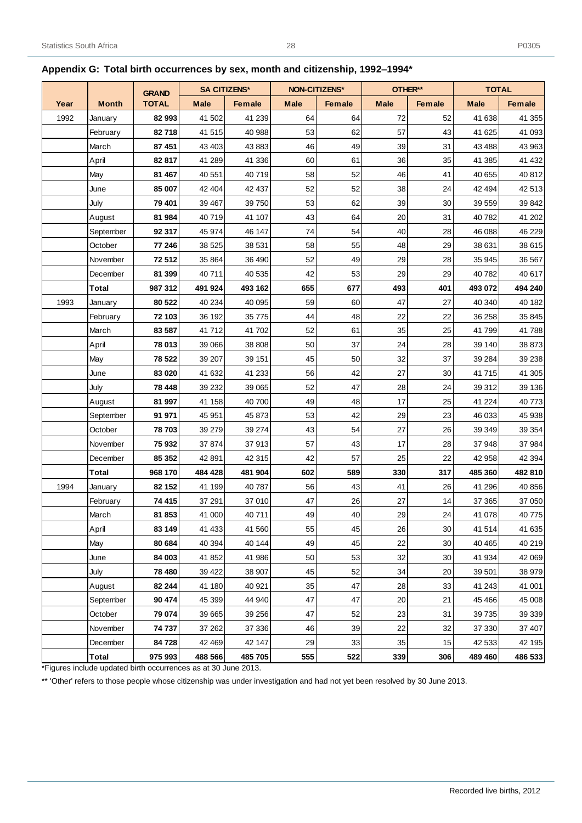|      |              | <b>GRAND</b> | <b>SA CITIZENS*</b> |               | <b>NON-CITIZENS*</b> |        | OTHER**     |        | <b>TOTAL</b> |               |
|------|--------------|--------------|---------------------|---------------|----------------------|--------|-------------|--------|--------------|---------------|
| Year | <b>Month</b> | <b>TOTAL</b> | <b>Male</b>         | <b>Female</b> | <b>Male</b>          | Female | <b>Male</b> | Female | <b>Male</b>  | <b>Female</b> |
| 1992 | January      | 82 993       | 41 502              | 41 239        | 64                   | 64     | 72          | 52     | 41 638       | 41 355        |
|      | February     | 82718        | 41 515              | 40 988        | 53                   | 62     | 57          | 43     | 41 625       | 41 093        |
|      | March        | 87 451       | 43 403              | 43 883        | 46                   | 49     | 39          | 31     | 43 4 88      | 43 963        |
|      | April        | 82817        | 41 289              | 41 336        | 60                   | 61     | 36          | 35     | 41 385       | 41 432        |
|      | May          | 81 467       | 40 551              | 40719         | 58                   | 52     | 46          | 41     | 40 655       | 40 812        |
|      | June         | 85 007       | 42 404              | 42 437        | 52                   | 52     | 38          | 24     | 42 494       | 42 513        |
|      | July         | 79 401       | 39 467              | 39 750        | 53                   | 62     | 39          | 30     | 39 559       | 39 842        |
|      | August       | 81 984       | 40719               | 41 107        | 43                   | 64     | 20          | 31     | 40 782       | 41 202        |
|      | September    | 92 317       | 45 974              | 46 147        | 74                   | 54     | 40          | 28     | 46 088       | 46 229        |
|      | October      | 77 246       | 38 5 25             | 38 531        | 58                   | 55     | 48          | 29     | 38 631       | 38 615        |
|      | November     | 72512        | 35 864              | 36 490        | 52                   | 49     | 29          | 28     | 35 945       | 36 567        |
|      | December     | 81 399       | 40711               | 40 535        | 42                   | 53     | 29          | 29     | 40782        | 40 617        |
|      | Total        | 987 312      | 491 924             | 493 162       | 655                  | 677    | 493         | 401    | 493 072      | 494 240       |
| 1993 | January      | 80 522       | 40 234              | 40 0 95       | 59                   | 60     | 47          | 27     | 40 340       | 40 182        |
|      | February     | 72 103       | 36 192              | 35 7 7 5      | 44                   | 48     | 22          | 22     | 36 258       | 35 845        |
|      | March        | 83 587       | 41712               | 41 702        | 52                   | 61     | 35          | 25     | 41799        | 41788         |
|      | April        | 78 013       | 39 066              | 38 808        | 50                   | 37     | 24          | 28     | 39 140       | 38 873        |
|      | May          | 78 522       | 39 207              | 39 151        | 45                   | 50     | 32          | 37     | 39 284       | 39 238        |
|      | June         | 83 020       | 41 632              | 41 233        | 56                   | 42     | 27          | 30     | 41715        | 41 30 5       |
|      | July         | 78 448       | 39 232              | 39 065        | 52                   | 47     | 28          | 24     | 39 312       | 39 136        |
|      | August       | 81 997       | 41 158              | 40 700        | 49                   | 48     | 17          | 25     | 41 224       | 40773         |
|      | September    | 91 971       | 45 951              | 45 873        | 53                   | 42     | 29          | 23     | 46 033       | 45 938        |
|      | October      | 78703        | 39 27 9             | 39 274        | 43                   | 54     | 27          | 26     | 39 34 9      | 39 354        |
|      | November     | 75932        | 37874               | 37913         | 57                   | 43     | 17          | 28     | 37 948       | 37 984        |
|      | December     | 85 352       | 42 891              | 42 315        | 42                   | 57     | 25          | 22     | 42 958       | 42 3 94       |
|      | <b>Total</b> | 968 170      | 484 428             | 481 904       | 602                  | 589    | 330         | 317    | 485 360      | 482 810       |
| 1994 | January      | 82 152       | 41 199              | 40787         | 56                   | 43     | 41          | 26     | 41 296       | 40 856        |
|      | February     | 74 415       | 37 291              | 37 010        | 47                   | 26     | 27          | 14     | 37 365       | 37 050        |
|      | March        | 81 853       | 41 000              | 40711         | 49                   | 40     | 29          | 24     | 41 078       | 40775         |
|      | April        | 83 149       | 41 433              | 41 560        | 55                   | 45     | 26          | 30     | 41514        | 41 635        |
|      | May          | 80 684       | 40 394              | 40 144        | 49                   | 45     | 22          | 30     | 40 4 65      | 40 219        |
|      | June         | 84 003       | 41 852              | 41 986        | 50                   | 53     | 32          | 30     | 41 934       | 42 069        |
|      | July         | 78 480       | 39 4 22             | 38 907        | 45                   | 52     | 34          | 20     | 39 501       | 38 979        |
|      | August       | 82 244       | 41 180              | 40 921        | 35                   | 47     | 28          | 33     | 41 243       | 41 001        |
|      | September    | 90 474       | 45 399              | 44 940        | 47                   | 47     | 20          | 21     | 45 4 66      | 45 008        |
|      | October      | 79 074       | 39 665              | 39 25 6       | 47                   | 52     | 23          | 31     | 39 735       | 39 339        |
|      | November     | 74 737       | 37 262              | 37 336        | 46                   | 39     | 22          | 32     | 37 330       | 37 407        |
|      | December     | 84728        | 42 469              | 42 147        | 29                   | 33     | 35          | 15     | 42 533       | 42 195        |
|      | Total        | 975 993      | 488 566             | 485 705       | 555                  | 522    | 339         | 306    | 489 460      | 486 533       |

28

# <span id="page-33-0"></span>**Appendix G: Total birth occurrences by sex, month and citizenship, 1992–1994\***

\*Figures include updated birth occurrences as at 30 June 2013.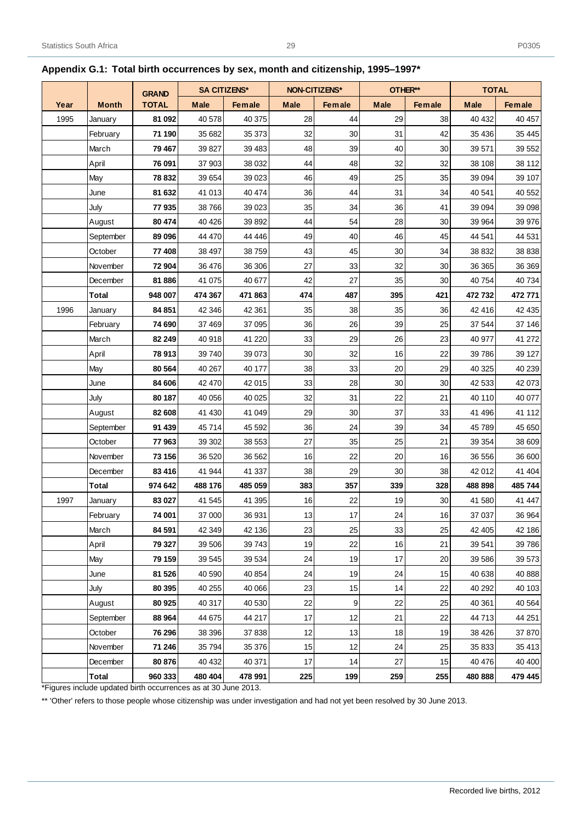|      |              | <b>GRAND</b> |             | <b>SA CITIZENS*</b> | <b>NON-CITIZENS*</b> |        | OTHER**     |        | <b>TOTAL</b> |         |
|------|--------------|--------------|-------------|---------------------|----------------------|--------|-------------|--------|--------------|---------|
| Year | <b>Month</b> | <b>TOTAL</b> | <b>Male</b> | Female              | <b>Male</b>          | Female | <b>Male</b> | Female | <b>Male</b>  | Female  |
| 1995 | January      | 81 092       | 40 578      | 40 375              | 28                   | 44     | 29          | 38     | 40 432       | 40 457  |
|      | February     | 71 190       | 35 682      | 35 373              | 32                   | 30     | 31          | 42     | 35 4 36      | 35 445  |
|      | March        | 79 467       | 39 827      | 39 4 83             | 48                   | 39     | 40          | 30     | 39 571       | 39 552  |
|      | April        | 76 091       | 37 903      | 38 0 32             | 44                   | 48     | 32          | 32     | 38 108       | 38 112  |
|      | May          | 78 832       | 39 654      | 39 0 23             | 46                   | 49     | 25          | 35     | 39 0 94      | 39 107  |
|      | June         | 81 632       | 41 013      | 40 474              | 36                   | 44     | 31          | 34     | 40 541       | 40 552  |
|      | July         | 77935        | 38 766      | 39 0 23             | 35                   | 34     | 36          | 41     | 39 0 94      | 39 098  |
|      | August       | 80 474       | 40 4 26     | 39 892              | 44                   | 54     | 28          | 30     | 39 964       | 39 976  |
|      | September    | 89 096       | 44 470      | 44 4 4 6            | 49                   | 40     | 46          | 45     | 44 541       | 44 531  |
|      | October      | 77 408       | 38 497      | 38759               | 43                   | 45     | 30          | 34     | 38 832       | 38 838  |
|      | November     | 72 904       | 36 476      | 36 30 6             | 27                   | 33     | 32          | 30     | 36 36 5      | 36 369  |
|      | December     | 81886        | 41 075      | 40 677              | 42                   | 27     | 35          | 30     | 40 754       | 40 734  |
|      | <b>Total</b> | 948 007      | 474 367     | 471863              | 474                  | 487    | 395         | 421    | 472732       | 472 771 |
| 1996 | January      | 84 851       | 42 346      | 42 361              | 35                   | 38     | 35          | 36     | 42 416       | 42 435  |
|      | February     | 74 690       | 37 469      | 37 095              | 36                   | 26     | 39          | 25     | 37 544       | 37 146  |
|      | March        | 82 249       | 40 918      | 41 2 20             | 33                   | 29     | 26          | 23     | 40 977       | 41 272  |
|      | April        | 78 913       | 39 740      | 39 0 73             | 30                   | 32     | 16          | 22     | 39 786       | 39 127  |
|      | May          | 80 564       | 40 267      | 40 177              | 38                   | 33     | 20          | 29     | 40 325       | 40 239  |
|      | June         | 84 606       | 42 470      | 42 015              | 33                   | 28     | 30          | 30     | 42 533       | 42 073  |
|      | July         | 80 187       | 40 056      | 40 0 25             | 32                   | 31     | 22          | 21     | 40 110       | 40 077  |
|      | August       | 82 608       | 41 430      | 41 049              | 29                   | 30     | 37          | 33     | 41 49 6      | 41 112  |
|      | September    | 91 439       | 45 714      | 45 592              | 36                   | 24     | 39          | 34     | 45 789       | 45 650  |
|      | October      | 77963        | 39 30 2     | 38 553              | 27                   | 35     | 25          | 21     | 39 354       | 38 609  |
|      | November     | 73 156       | 36 520      | 36 562              | 16                   | 22     | 20          | 16     | 36 556       | 36 600  |
|      | December     | 83 416       | 41 944      | 41 337              | 38                   | 29     | 30          | 38     | 42 012       | 41 404  |
|      | <b>Total</b> | 974 642      | 488 176     | 485 059             | 383                  | 357    | 339         | 328    | 488 898      | 485 744 |
| 1997 | January      | 83 027       | 41 545      | 41 395              | 16                   | 22     | 19          | 30     | 41 580       | 41 447  |
|      | February     | 74 001       | 37 000      | 36 931              | 13                   | 17     | 24          | 16     | 37 037       | 36 964  |
|      | March        | 84 591       | 42 349      | 42 136              | 23                   | 25     | 33          | 25     | 42 405       | 42 186  |
|      | April        | 79 327       | 39 506      | 39743               | 19                   | 22     | 16          | 21     | 39 541       | 39 786  |
|      | May          | 79 159       | 39 545      | 39 534              | 24                   | 19     | 17          | 20     | 39 586       | 39 573  |
|      | June         | 81 526       | 40 590      | 40 854              | 24                   | 19     | 24          | 15     | 40 638       | 40 888  |
|      | July         | 80 395       | 40 255      | 40 066              | 23                   | 15     | 14          | 22     | 40 29 2      | 40 103  |
|      | August       | 80 925       | 40 317      | 40 530              | 22                   | 9      | 22          | 25     | 40 361       | 40 5 64 |
|      | September    | 88 964       | 44 675      | 44 217              | $17$                 | 12     | 21          | 22     | 44713        | 44 251  |
|      | October      | 76 296       | 38 396      | 37 838              | 12                   | 13     | 18          | 19     | 38 4 26      | 37 870  |
|      | November     | 71 246       | 35 794      | 35 376              | 15                   | 12     | 24          | 25     | 35 833       | 35 413  |
|      | December     | 80 876       | 40 432      | 40 371              | 17                   | 14     | 27          | 15     | 40 476       | 40 400  |
|      | <b>Total</b> | 960 333      | 480 404     | 478 991             | 225                  | 199    | 259         | 255    | 480 888      | 479 445 |

# <span id="page-34-0"></span>**Appendix G.1: Total birth occurrences by sex, month and citizenship, 1995–1997\***

\*Figures include updated birth occurrences as at 30 June 2013.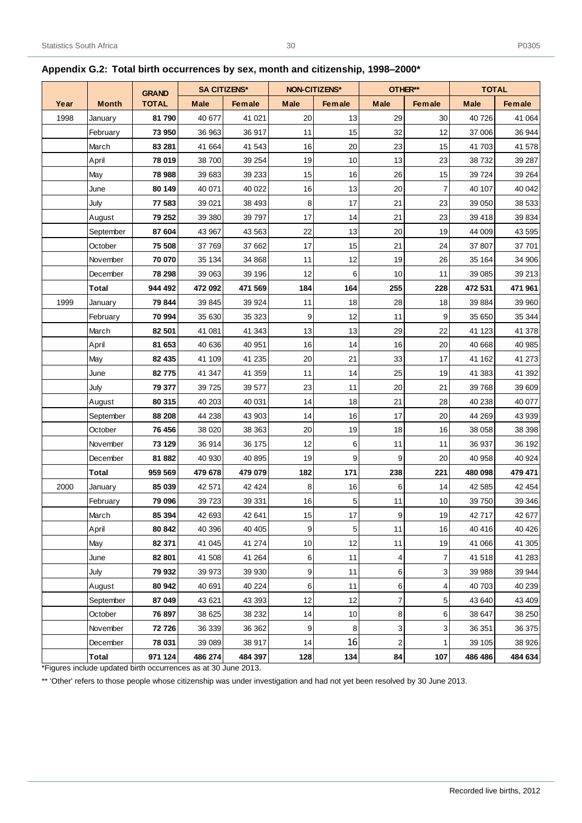|      |              | <b>GRAND</b> |             | <b>SA CITIZENS*</b> | NON-CITIZENS* |               | OTHER**        |                | <b>TOTAL</b> |               |
|------|--------------|--------------|-------------|---------------------|---------------|---------------|----------------|----------------|--------------|---------------|
| Year | <b>Month</b> | <b>TOTAL</b> | <b>Male</b> | <b>Female</b>       | <b>Male</b>   | <b>Female</b> | <b>Male</b>    | <b>Female</b>  | <b>Male</b>  | <b>Female</b> |
| 1998 | January      | 81790        | 40 677      | 41 0 21             | 20            | 13            | 29             | 30             | 40726        | 41 064        |
|      | February     | 73 950       | 36 963      | 36 917              | 11            | 15            | 32             | 12             | 37 006       | 36 944        |
|      | March        | 83 281       | 41 664      | 41 543              | 16            | 20            | 23             | 15             | 41 703       | 41 578        |
|      | April        | 78 019       | 38700       | 39 254              | 19            | 10            | 13             | 23             | 38732        | 39 287        |
|      | May          | 78 988       | 39 683      | 39 233              | 15            | 16            | 26             | 15             | 39 7 24      | 39 264        |
|      | June         | 80 149       | 40 071      | 40 0 22             | 16            | 13            | 20             | $\overline{7}$ | 40 107       | 40 042        |
|      | July         | 77 583       | 39 0 21     | 38 4 93             | 8             | 17            | 21             | 23             | 39 050       | 38 533        |
|      | August       | 79 252       | 39 380      | 39 7 9 7            | 17            | 14            | 21             | 23             | 39 418       | 39 834        |
|      | September    | 87 604       | 43 967      | 43 563              | 22            | 13            | 20             | 19             | 44 009       | 43 595        |
|      | October      | 75 508       | 37 769      | 37 662              | 17            | 15            | 21             | 24             | 37 807       | 37 701        |
|      | November     | 70 070       | 35 134      | 34 868              | 11            | 12            | 19             | 26             | 35 164       | 34 906        |
|      | December     | 78 298       | 39 063      | 39 196              | 12            | 6             | 10             | 11             | 39 085       | 39 213        |
|      | Total        | 944 492      | 472 092     | 471 569             | 184           | 164           | 255            | 228            | 472 531      | 471 961       |
| 1999 | January      | 79 844       | 39 845      | 39 9 24             | 11            | 18            | 28             | 18             | 39 884       | 39 960        |
|      | February     | 70 994       | 35 630      | 35 323              | 9             | 12            | 11             | 9              | 35 650       | 35 344        |
|      | March        | 82 501       | 41 081      | 41 343              | 13            | 13            | 29             | 22             | 41 123       | 41 378        |
|      | April        | 81 653       | 40 636      | 40 951              | 16            | 14            | 16             | 20             | 40 668       | 40 985        |
|      | May          | 82 435       | 41 109      | 41 235              | 20            | 21            | 33             | 17             | 41 162       | 41 273        |
|      | June         | 82775        | 41 347      | 41 359              | 11            | 14            | 25             | 19             | 41 383       | 41 392        |
|      | July         | 79 377       | 39 7 25     | 39 577              | 23            | 11            | 20             | 21             | 39 768       | 39 609        |
|      | August       | 80 315       | 40 203      | 40 031              | 14            | 18            | 21             | 28             | 40 238       | 40 077        |
|      | September    | 88 208       | 44 238      | 43 903              | 14            | 16            | 17             | 20             | 44 269       | 43 939        |
|      | October      | 76 456       | 38 0 20     | 38 36 3             | 20            | 19            | 18             | 16             | 38 058       | 38 398        |
|      | November     | 73 129       | 36 914      | 36 175              | 12            | 6             | 11             | 11             | 36 937       | 36 192        |
|      | December     | 81882        | 40 930      | 40 895              | 19            | 9             | 9              | 20             | 40 958       | 40 924        |
|      | <b>Total</b> | 959 569      | 479 678     | 479 079             | 182           | 171           | 238            | 221            | 480 098      | 479 471       |
| 2000 | January      | 85 039       | 42 571      | 42 4 24             | 8             | 16            | 6              | 14             | 42 585       | 42 454        |
|      | February     | 79 096       | 39 7 23     | 39 331              | 16            | 5             | 11             | 10             | 39 750       | 39 346        |
|      | March        | 85 394       | 42 693      | 42 641              | 15            | 17            | $\overline{9}$ | 19             | 42717        | 42 677        |
|      | April        | 80 842       | 40 396      | 40 40 5             | 9             | 5             | 11             | 16             | 40 416       | 40 4 26       |
|      | May          | 82 371       | 41 045      | 41 274              | 10            | 12            | 11             | 19             | 41 066       | 41 305        |
|      | June         | 82 801       | 41 508      | 41 264              | 6             | 11            | 4              | $\overline{7}$ | 41 518       | 41 283        |
|      | July         | 79 932       | 39 973      | 39 930              | 9             | 11            | 6              | 3              | 39 988       | 39 944        |
|      | August       | 80 942       | 40 691      | 40 224              | 6             | 11            | 6              | 4              | 40 703       | 40 239        |
|      | September    | 87 049       | 43 621      | 43 393              | 12            | 12            | 7              | 5              | 43 640       | 43 409        |
|      | October      | 76 897       | 38 625      | 38 232              | 14            | 10            | 8              | 6              | 38 647       | 38 250        |
|      | November     | 72726        | 36 339      | 36 362              | 9             | 8             | 3              | 3              | 36 351       | 36 375        |
|      | December     | 78 031       | 39 089      | 38 917              | 14            | 16            | 2              | 1              | 39 105       | 38 9 26       |
|      | Total        | 971 124      | 486 274     | 484 397             | 128           | 134           | 84             | 107            | 486 486      | 484 634       |

# <span id="page-35-0"></span>**Appendix G.2: Total birth occurrences by sex, month and citizenship, 1998–2000\***

30

\*Figures include updated birth occurrences as at 30 June 2013.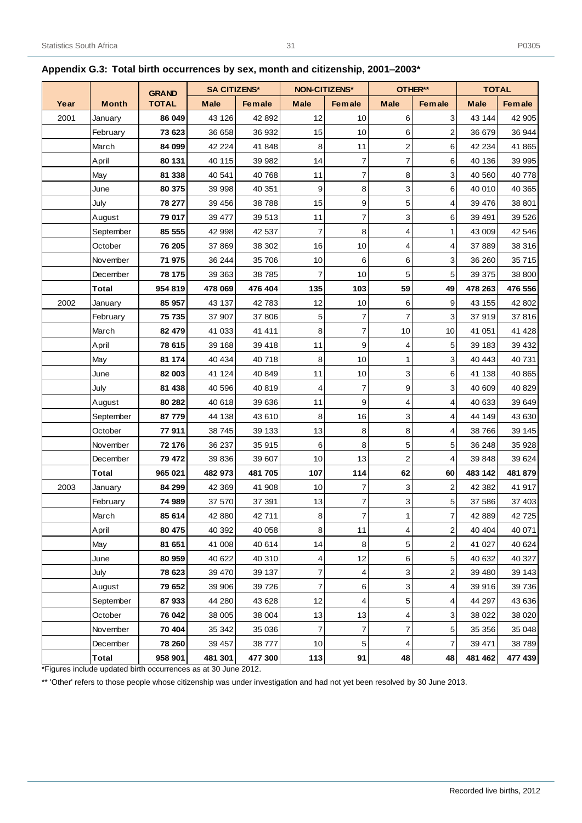|      |              |              |                                     |                 | <b>NON-CITIZENS*</b><br>OTHER** |                  |                         |                | <b>TOTAL</b> |               |  |
|------|--------------|--------------|-------------------------------------|-----------------|---------------------------------|------------------|-------------------------|----------------|--------------|---------------|--|
|      |              | <b>GRAND</b> | <b>SA CITIZENS*</b>                 |                 |                                 |                  |                         |                |              |               |  |
| Year | <b>Month</b> | <b>TOTAL</b> | <b>Male</b>                         | <b>Female</b>   | <b>Male</b>                     | <b>Female</b>    | <b>Male</b>             | <b>Female</b>  | <b>Male</b>  | <b>Female</b> |  |
| 2001 | January      | 86 049       | 43 126                              | 42 892          | 12                              | 10               | 6                       | 3              | 43 144       | 42 905        |  |
|      | February     | 73 623       | 36 658                              | 36 932          | 15                              | 10               | 6                       | 2              | 36 679       | 36 944        |  |
|      | March        | 84 099       | 42 224                              | 41 848          | 8                               | 11               | $\overline{\mathbf{c}}$ | 6              | 42 234       | 41 865        |  |
|      | April        | 80 131       | 40 115                              | 39 982          | 14                              | $\overline{7}$   | 7                       | 6              | 40 136       | 39 995        |  |
|      | May          | 81 338       | 40 541                              | 40 768          | 11                              | $\boldsymbol{7}$ | 8                       | 3              | 40 560       | 40778         |  |
|      | June         | 80 375       | 39 998                              | 40 351          | 9                               | 8                | 3                       | 6              | 40 010       | 40 365        |  |
|      | July         | 78 277       | 39 45 6                             | 38788           | 15                              | 9                | 5                       | 4              | 39 476       | 38 801        |  |
|      | August       | 79 017       | 39 477                              | 39 513          | 11                              | $\overline{7}$   | 3                       | 6              | 39 491       | 39 5 26       |  |
|      | September    | 85 555       | 42 998                              | 42 537          | 7                               | 8                | 4                       | 1              | 43 009       | 42 546        |  |
|      | October      | 76 205       | 37 869                              | 38 302          | 16                              | 10               | 4                       | 4              | 37 889       | 38 316        |  |
|      | November     | 71 975       | 36 244                              | 35 706          | 10                              | 6                | 6                       | 3              | 36 260       | 35715         |  |
|      | December     | 78 175       | 39 363                              | 38785           | 7                               | 10               | 5                       | 5              | 39 375       | 38 800        |  |
|      | <b>Total</b> | 954 819      | 478 069                             | 476 404         | 135                             | 103              | 59                      | 49             | 478 263      | 476 556       |  |
| 2002 | January      | 85 957       | 43 137                              | 42783           | 12                              | 10               | 6                       | 9              | 43 155       | 42 802        |  |
|      | February     | 75 735       | 37 907                              | 37 806          | 5                               | 7                | 7                       | 3              | 37919        | 37816         |  |
|      | March        | 82 479       | 41 033                              | 41 411          | 8                               | $\overline{7}$   | 10                      | 10             | 41 051       | 41 4 28       |  |
|      | April        | 78 615       | 39 168                              | 39 418          | 11                              | 9                | 4                       | 5              | 39 183       | 39 432        |  |
|      | May          | 81 174       | 40 434                              | 40718           | 8                               | 10               | 1                       | 3              | 40 443       | 40731         |  |
|      | June         | 82 003       | 41 124                              | 40 849          | 11                              | 10               | 3                       | 6              | 41 138       | 40 865        |  |
|      | July         | 81 438       | 40 596                              | 40 819          | 4                               | $\overline{7}$   | 9                       | 3              | 40 609       | 40 829        |  |
|      | August       | 80 282       | 40 618                              | 39 636          | 11                              | 9                | 4                       | 4              | 40 633       | 39 649        |  |
|      | September    | 87779        | 44 138                              | 43 610          | 8                               | 16               | 3                       | 4              | 44 149       | 43 630        |  |
|      | October      | 77911        | 38 745                              | 39 133          | 13                              | 8                | 8                       | 4              | 38 766       | 39 145        |  |
|      | November     | 72 176       | 36 237                              | 35 915          | 6                               | 8                | 5                       | 5              | 36 248       | 35 928        |  |
|      | December     | 79 472       | 39 836                              | 39 607          | 10                              | 13               | 2                       | 4              | 39 848       | 39 624        |  |
|      | Total        | 965 021      | 482 973                             | 481 705         | 107                             | 114              | 62                      | 60             | 483 142      | 481 879       |  |
| 2003 | January      | 84 299       | 42 369                              | 41 908          | 10                              | 7                | 3                       | $\overline{2}$ | 42 382       | 41 917        |  |
|      | February     | 74 989       | 37 570                              | 37 391          | 13                              | 7                | 3                       | 5              | 37 586       | 37 403        |  |
|      | March        | 85 614       | 42 880                              | 42711           | $\bf{8}$                        | $\overline{7}$   | 1                       | 7              | 42 889       | 42725         |  |
|      | April        | 80 475       | 40 392                              | 40 058          | 8                               | 11               | 4                       | $\overline{2}$ | 40 40 4      | 40 071        |  |
|      | May          | 81 651       | 41 008                              | 40 614          | 14                              | 8                | 5                       | 2              | 41 027       | 40 624        |  |
|      | June         | 80 959       | 40 622                              | 40 310          | 4                               | 12               | 6                       | 5              | 40 632       | 40 327        |  |
|      | July         | 78 623       | 39 470                              | 39 137          | 7                               | 4                | 3                       | 2              | 39 480       | 39 143        |  |
|      | August       | 79 652       | 39 906                              | 39 7 26         | 7                               | 6                | 3                       | 4              | 39 916       | 39 736        |  |
|      | September    | 87933        | 44 280                              | 43 628          | 12                              | 4                | 5 <sup>1</sup>          | 4              | 44 297       | 43 636        |  |
|      | October      | 76 042       | 38 005                              | 38 004          | 13                              | 13               | 4                       | 3              | 38 0 22      | 38 0 20       |  |
|      | November     | 70 404       | 35 342                              | 35 036          | 7                               | $\overline{7}$   | 7                       | 5              | 35 35 6      | 35 048        |  |
|      | December     | 78 260       | 39 457                              | 38777           | 10                              | 5                | 4                       | 7              | 39 471       | 38789         |  |
|      | <b>Total</b> | 958 901      | 481 301<br>$\overline{\phantom{0}}$ | 477 300<br>0.10 | $113$                           | 91               | 48                      | 48             | 481 462      | 477 439       |  |

# <span id="page-36-0"></span>**Appendix G.3: Total birth occurrences by sex, month and citizenship, 2001–2003\***

31

\*Figures include updated birth occurrences as at 30 June 2012.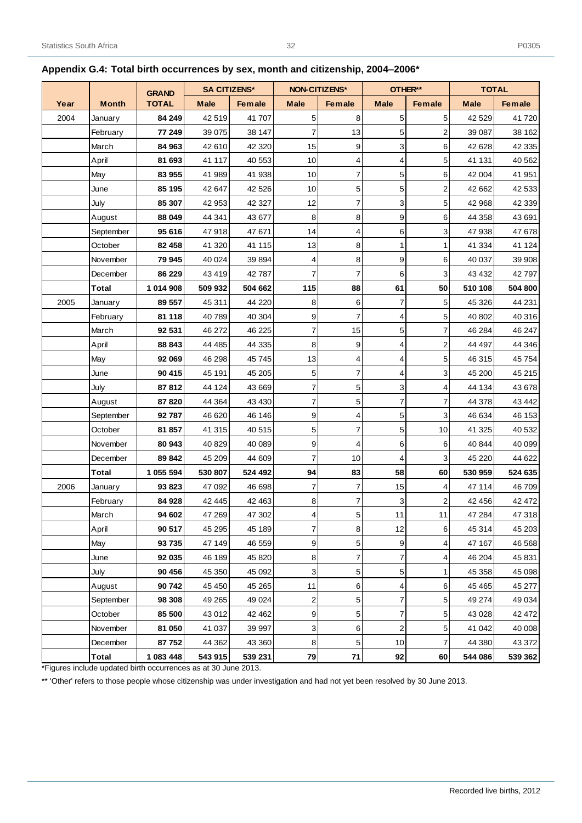|      |              | <b>GRAND</b> | <b>SA CITIZENS*</b> |               | <b>NON-CITIZENS*</b> |                | OTHER**                 |               | <b>TOTAL</b> |               |  |
|------|--------------|--------------|---------------------|---------------|----------------------|----------------|-------------------------|---------------|--------------|---------------|--|
| Year | <b>Month</b> | <b>TOTAL</b> | <b>Male</b>         | <b>Female</b> | <b>Male</b>          | <b>Female</b>  | <b>Male</b>             | <b>Female</b> | <b>Male</b>  | <b>Female</b> |  |
| 2004 | January      | 84 249       | 42519               | 41 707        | 5                    | 8              | 5                       | 5             | 42 5 29      | 41720         |  |
|      | February     | 77 249       | 39 075              | 38 147        | 7                    | 13             | 5                       | 2             | 39 087       | 38 162        |  |
|      | March        | 84 963       | 42 610              | 42 3 20       | 15                   | 9              | 3                       | 6             | 42 628       | 42 335        |  |
|      | April        | 81 693       | 41 117              | 40 553        | 10                   | 4              | 4                       | 5             | 41 131       | 40 562        |  |
|      | May          | 83 955       | 41 989              | 41 938        | 10                   | $\overline{7}$ | 5                       | 6             | 42 004       | 41 951        |  |
|      | June         | 85 195       | 42 647              | 42 5 26       | 10                   | 5              | 5                       | 2             | 42 662       | 42 533        |  |
|      | July         | 85 307       | 42 953              | 42 3 27       | 12                   | $\overline{7}$ | 3                       | 5             | 42 968       | 42 339        |  |
|      | August       | 88 049       | 44 341              | 43 677        | 8                    | 8              | $\mathbf 9$             | 6             | 44 358       | 43 691        |  |
|      | September    | 95 616       | 47918               | 47 671        | 14                   | 4              | 6                       | 3             | 47 938       | 47 678        |  |
|      | October      | 82 458       | 41 320              | 41 115        | 13                   | 8              | 1                       | 1             | 41 334       | 41 124        |  |
|      | November     | 79 945       | 40 0 24             | 39 8 94       | 4                    | 8              | 9                       | 6             | 40 037       | 39 908        |  |
|      | December     | 86 229       | 43 419              | 42787         | 7                    | 7              | 6                       | 3             | 43 4 32      | 42797         |  |
|      | <b>Total</b> | 1 014 908    | 509 932             | 504 662       | 115                  | 88             | 61                      | 50            | 510 108      | 504 800       |  |
| 2005 | January      | 89 557       | 45 311              | 44 220        | 8                    | 6              | 7                       | 5             | 45 326       | 44 231        |  |
|      | February     | 81 118       | 40789               | 40 304        | 9                    | $\overline{7}$ | 4                       | 5             | 40 802       | 40 316        |  |
|      | March        | 92 531       | 46 272              | 46 225        | 7                    | 15             | 5                       | 7             | 46 284       | 46 247        |  |
|      | April        | 88 843       | 44 4 85             | 44 335        | 8                    | 9              | 4                       | 2             | 44 497       | 44 346        |  |
|      | May          | 92 069       | 46 298              | 45 745        | 13                   | 4              | 4                       | 5             | 46 315       | 45 754        |  |
|      | June         | 90 415       | 45 191              | 45 205        | 5                    | $\overline{7}$ | 4                       | 3             | 45 200       | 45 215        |  |
|      | July         | 87812        | 44 124              | 43 669        | 7                    | 5              | 3                       | 4             | 44 134       | 43 678        |  |
|      | August       | 87 820       | 44 3 64             | 43 4 30       | 7                    | 5              | 7                       | 7             | 44 378       | 43 442        |  |
|      | September    | 92 787       | 46 620              | 46 146        | 9                    | 4              | 5                       | 3             | 46 634       | 46 153        |  |
|      | October      | 81 857       | 41 315              | 40 515        | 5                    | $\overline{7}$ | 5                       | 10            | 41 325       | 40 532        |  |
|      | November     | 80 943       | 40 829              | 40 089        | 9                    | 4              | 6                       | 6             | 40 844       | 40 099        |  |
|      | December     | 89 842       | 45 209              | 44 609        | 7                    | 10             | 4                       | 3             | 45 2 20      | 44 622        |  |
|      | Total        | 1 055 594    | 530 807             | 524 492       | 94                   | 83             | 58                      | 60            | 530 959      | 524 635       |  |
| 2006 | January      | 93 823       | 47 092              | 46 698        | 7                    | 7              | 15                      | 4             | 47 114       | 46 709        |  |
|      | February     | 84 928       | 42 445              | 42 463        | 8                    | 7              | 3                       | 2             | 42 45 6      | 42 472        |  |
|      | March        | 94 602       | 47 269              | 47 302        | $\vert 4 \vert$      | $\overline{5}$ | 11                      | 11            | 47 284       | 47 318        |  |
|      | April        | 90 517       | 45 295              | 45 189        | 7                    | 8              | 12                      | 6             | 45 314       | 45 203        |  |
|      | May          | 93 735       | 47 149              | 46 559        | 9                    | 5              | 9                       | 4             | 47 167       | 46 568        |  |
|      | June         | 92 035       | 46 189              | 45 820        | 8                    | 7              | 7                       | 4             | 46 204       | 45 831        |  |
|      | July         | 90 456       | 45 350              | 45 092        | 3                    | 5              | 5                       | 1             | 45 358       | 45 098        |  |
|      | August       | 90 742       | 45 450              | 45 265        | 11                   | 6              | 4                       | 6             | 45 4 65      | 45 277        |  |
|      | September    | 98 308       | 49 265              | 49 0 24       | 2                    | 5              | 7                       | 5             | 49 274       | 49 0 34       |  |
|      | October      | 85 500       | 43 012              | 42 462        | 9                    | 5              | $\overline{7}$          | 5             | 43 0 28      | 42 472        |  |
|      | November     | 81 050       | 41 037              | 39 997        | 3                    | 6              | $\overline{\mathbf{c}}$ | 5             | 41 042       | 40 008        |  |
|      | December     | 87752        | 44 362              | 43 360        | 8                    | 5              | $10$                    | 7             | 44 380       | 43 372        |  |
|      | Total        | 1 083 448    | 543 915             | 539 231       | 79                   | 71             | 92                      | 60            | 544 086      | 539 362       |  |

## <span id="page-37-0"></span>**Appendix G.4: Total birth occurrences by sex, month and citizenship, 2004–2006\***

\*Figures include updated birth occurrences as at 30 June 2013.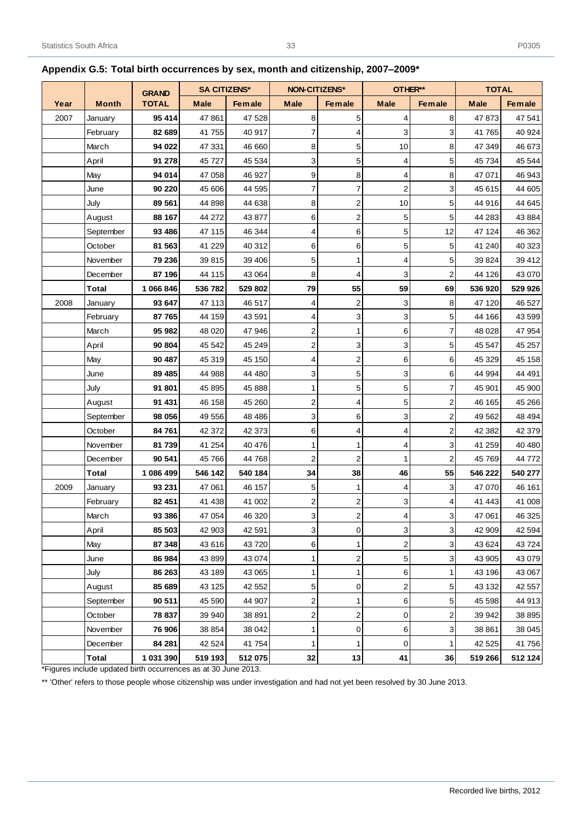|      |              | <b>GRAND</b> | <b>SA CITIZENS*</b> |               | <b>NON-CITIZENS*</b>    |                         | OTHER**             |                         | <b>TOTAL</b> |               |
|------|--------------|--------------|---------------------|---------------|-------------------------|-------------------------|---------------------|-------------------------|--------------|---------------|
| Year | <b>Month</b> | <b>TOTAL</b> | <b>Male</b>         | <b>Female</b> | <b>Male</b>             | <b>Female</b>           | <b>Male</b>         | Female                  | <b>Male</b>  | <b>Female</b> |
| 2007 | January      | 95 414       | 47 861              | 47 528        | 8                       | 5                       | 4                   | 8                       | 47873        | 47 541        |
|      | February     | 82 689       | 41 755              | 40 917        | 7                       | 4                       | 3                   | 3                       | 41 765       | 40 924        |
|      | March        | 94 022       | 47 331              | 46 660        | 8                       | 5                       | 10                  | 8                       | 47 349       | 46 673        |
|      | April        | 91 278       | 45 727              | 45 534        | 3                       | 5                       | 4                   | 5                       | 45 734       | 45 544        |
|      | May          | 94 014       | 47 058              | 46 927        | 9                       | 8                       | 4                   | 8                       | 47 071       | 46 943        |
|      | June         | 90 220       | 45 606              | 44 595        | $\overline{7}$          | 7                       | $\overline{a}$      | 3                       | 45 615       | 44 605        |
|      | July         | 89 561       | 44 898              | 44 638        | 8                       | $\overline{a}$          | 10                  | 5                       | 44 916       | 44 645        |
|      | August       | 88 167       | 44 272              | 43 877        | 6                       | $\overline{a}$          | 5                   | 5                       | 44 283       | 43 8 84       |
|      | September    | 93 486       | 47 115              | 46 344        | 4                       | 6                       | 5                   | 12                      | 47 124       | 46 362        |
|      | October      | 81 563       | 41 229              | 40 312        | 6                       | 6                       | 5                   | 5                       | 41 240       | 40 323        |
|      | November     | 79 236       | 39 815              | 39 40 6       | 5                       | 1                       | 4                   | 5                       | 39 824       | 39 412        |
|      | December     | 87 196       | 44 115              | 43 064        | 8                       | 4                       | 3                   | 2                       | 44 126       | 43 070        |
|      | Total        | 1 066 846    | 536 782             | 529 802       | 79                      | 55                      | 59                  | 69                      | 536 920      | 529 926       |
| 2008 | January      | 93 647       | 47 113              | 46 517        | 4                       | $\overline{a}$          | 3                   | 8                       | 47 120       | 46 527        |
|      | February     | 87 765       | 44 159              | 43 591        | 4                       | 3                       | 3                   | 5                       | 44 166       | 43 599        |
|      | March        | 95 982       | 48 0 20             | 47 946        | $\overline{\mathbf{c}}$ | 1                       | 6                   | 7                       | 48 0 28      | 47 954        |
|      | April        | 90 804       | 45 542              | 45 249        | $\overline{\mathbf{c}}$ | 3                       | $\mathbf{3}$        | 5                       | 45 547       | 45 257        |
|      | May          | 90 487       | 45 319              | 45 150        | $\overline{4}$          | $\overline{a}$          | 6                   | 6                       | 45 329       | 45 158        |
|      | June         | 89 485       | 44 988              | 44 480        | 3                       | 5                       | 3                   | 6                       | 44 994       | 44 491        |
|      | July         | 91801        | 45 895              | 45 888        | 1                       | 5                       | $\sqrt{5}$          | 7                       | 45 901       | 45 900        |
|      | August       | 91 431       | 46 158              | 45 260        | $\overline{2}$          | 4                       | 5                   | $\overline{\mathbf{c}}$ | 46 165       | 45 266        |
|      | September    | 98 056       | 49 556              | 48 4 86       | 3                       | 6                       | 3                   | $\overline{c}$          | 49 562       | 48 4 94       |
|      | October      | 84 761       | 42 372              | 42 373        | 6                       | 4                       | 4                   | 2                       | 42 382       | 42 379        |
|      | November     | 81 739       | 41 254              | 40 476        | 1                       | 1                       | 4                   | 3                       | 41 259       | 40 480        |
|      | December     | 90 541       | 45 766              | 44 768        | $\overline{\mathbf{c}}$ | 2                       | 1                   | 2                       | 45 769       | 44 772        |
|      | <b>Total</b> | 1 086 499    | 546 142             | 540 184       | 34                      | 38                      | 46                  | 55                      | 546 222      | 540 277       |
| 2009 | January      | 93 231       | 47 061              | 46 157        | 5                       | 1                       | 4                   | 3                       | 47 070       | 46 161        |
|      | February     | 82 451       | 41 438              | 41 002        | $\overline{\mathbf{c}}$ | $\overline{2}$          | 3                   | 4                       | 41 443       | 41 008        |
|      | March        | 93 386       | 47 054              | 46 320        | $\mathbf{3}$            | $\mathbf{2}$            | $\vert 4 \vert$     | 3                       | 47 061       | 46 325        |
|      | April        | 85 503       | 42 903              | 42 591        | 3                       | $\overline{0}$          | 3                   | 3                       | 42 909       | 42 5 94       |
|      | May          | 87 348       | 43 616              | 43720         | 6                       | $\mathbf{1}$            | $\overline{a}$      | 3                       | 43 624       | 43724         |
|      | June         | 86 984       | 43 899              | 43 074        | 1                       | $\mathbf{2}$            | 5                   | 3                       | 43 905       | 43 0 79       |
|      | July         | 86 263       | 43 189              | 43 065        | 1                       | $\mathbf{1}$            | 6                   | 1                       | 43 196       | 43 067        |
|      | August       | 85 689       | 43 125              | 42 552        | 5                       | 0                       | $\sqrt{2}$          | 5                       | 43 132       | 42 557        |
|      | September    | 90 511       | 45 590              | 44 907        | $\overline{\mathbf{c}}$ | 1                       | 6                   | 5                       | 45 598       | 44 913        |
|      | October      | 78 837       | 39 940              | 38 891        | $\overline{\mathbf{c}}$ | $\overline{\mathbf{c}}$ | $\mathsf{O}\xspace$ | 2                       | 39 942       | 38 8 95       |
|      | November     | 76 906       | 38 854              | 38 042        | 1                       | 0                       | 6                   | 3                       | 38 861       | 38 045        |
|      | December     | 84 281       | 42 5 24             | 41 754        | 1                       | $\mathbf{1}$            | $\mathsf{O}\xspace$ | 1                       | 42 525       | 41 756        |
|      | <b>Total</b> | 1 031 390    | 519 193             | 512 075       | 32                      | 13                      | 41                  | 36                      | 519 266      | 512 124       |

# <span id="page-38-0"></span>**Appendix G.5: Total birth occurrences by sex, month and citizenship, 2007–2009\***

33

\*Figures include updated birth occurrences as at 30 June 2013.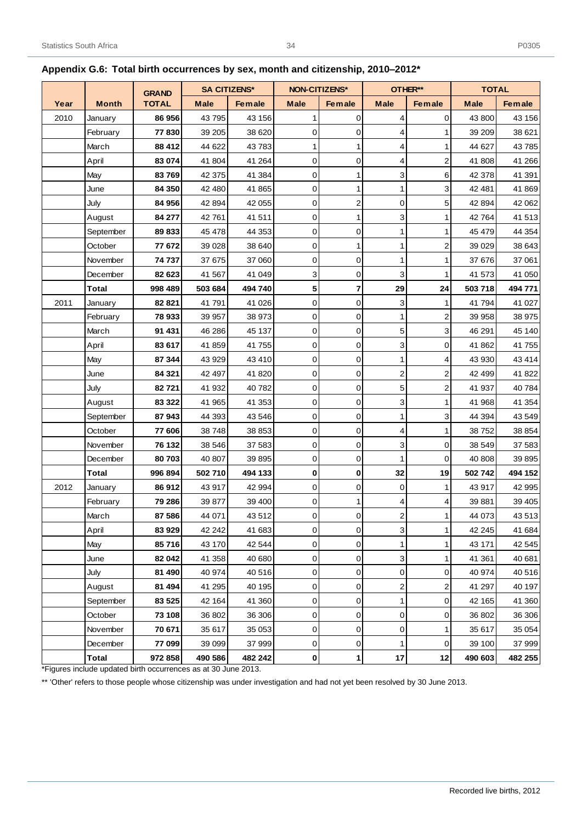|      |              | <b>GRAND</b> | <b>SA CITIZENS*</b> |               | <b>NON-CITIZENS*</b> |               | OTHER**             |               | <b>TOTAL</b> |               |  |
|------|--------------|--------------|---------------------|---------------|----------------------|---------------|---------------------|---------------|--------------|---------------|--|
| Year | <b>Month</b> | <b>TOTAL</b> | <b>Male</b>         | <b>Female</b> | <b>Male</b>          | <b>Female</b> | <b>Male</b>         | <b>Female</b> | <b>Male</b>  | <b>Female</b> |  |
| 2010 | January      | 86 956       | 43795               | 43 156        | 1                    | 0             | 4                   | 0             | 43 800       | 43 156        |  |
|      | February     | 77830        | 39 205              | 38 6 20       | 0                    | 0             | 4                   | 1             | 39 209       | 38 621        |  |
|      | March        | 88 412       | 44 622              | 43783         | 1                    | 1             | 4                   | 1             | 44 627       | 43785         |  |
|      | April        | 83 074       | 41 804              | 41 264        | $\mathbf 0$          | 0             | 4                   | 2             | 41 808       | 41 266        |  |
|      | May          | 83769        | 42 375              | 41 384        | 0                    | 1             | 3                   | 6             | 42 378       | 41 391        |  |
|      | June         | 84 350       | 42 480              | 41 865        | 0                    | 1             | 1                   | 3             | 42 481       | 41869         |  |
|      | July         | 84 956       | 42 894              | 42 055        | 0                    | 2             | 0                   | 5             | 42 894       | 42 062        |  |
|      | August       | 84 277       | 42761               | 41 511        | $\mathbf 0$          | 1             | 3                   | 1             | 42764        | 41 513        |  |
|      | September    | 89833        | 45 478              | 44 353        | $\mathbf 0$          | 0             | 1                   | 1             | 45 479       | 44 354        |  |
|      | October      | 77 672       | 39 0 28             | 38 640        | 0                    | 1             | 1                   | 2             | 39 0 29      | 38 643        |  |
|      | November     | 74737        | 37 675              | 37 060        | 0                    | 0             | 1                   | 1             | 37 676       | 37 061        |  |
|      | December     | 82 623       | 41 567              | 41 049        | 3                    | 0             | 3                   | 1             | 41 573       | 41 050        |  |
|      | Total        | 998 489      | 503 684             | 494 740       | 5                    | 7             | 29                  | 24            | 503 718      | 494 771       |  |
| 2011 | January      | 82821        | 41 791              | 41 0 26       | $\mathbf 0$          | 0             | 3                   | 1             | 41 794       | 41 0 27       |  |
|      | February     | 78 933       | 39 957              | 38 973        | 0                    | 0             | 1                   | 2             | 39 958       | 38 975        |  |
|      | March        | 91 431       | 46 286              | 45 137        | 0                    | 0             | 5                   | 3             | 46 291       | 45 140        |  |
|      | April        | 83 617       | 41 859              | 41 755        | 0                    | 0             | 3                   | $\mathbf 0$   | 41 862       | 41755         |  |
|      | May          | 87 344       | 43 929              | 43 410        | $\mathbf 0$          | 0             | 1                   | 4             | 43 930       | 43 4 14       |  |
|      | June         | 84 321       | 42 497              | 41 820        | 0                    | 0             | 2                   | 2             | 42 499       | 41 822        |  |
|      | July         | 82721        | 41 932              | 40782         | 0                    | 0             | 5                   | 2             | 41 937       | 40784         |  |
|      | August       | 83 322       | 41 965              | 41 353        | 0                    | 0             | 3                   | 1             | 41 968       | 41 354        |  |
|      | September    | 87943        | 44 393              | 43 546        | 0                    | 0             | 1                   | 3             | 44 394       | 43 549        |  |
|      | October      | 77 606       | 38748               | 38 853        | 0                    | 0             | 4                   | 1             | 38752        | 38 854        |  |
|      | November     | 76 132       | 38 546              | 37 583        | 0                    | 0             | 3                   | 0             | 38 549       | 37 583        |  |
|      | December     | 80703        | 40 807              | 39 895        | $\mathbf 0$          | 0             | 1                   | 0             | 40 808       | 39895         |  |
|      | Total        | 996 894      | 502 710             | 494 133       | 0                    | 0             | 32                  | 19            | 502742       | 494 152       |  |
| 2012 | January      | 86 912       | 43 917              | 42 994        | 0                    | 0             | 0                   | 1             | 43 917       | 42 995        |  |
|      | February     | 79 286       | 39 877              | 39 400        | 0                    | 1             | 4                   | 4             | 39 881       | 39 405        |  |
|      | March        | 87 586       | 44 071              | 43 512        | 0                    | $\mathbf{O}$  | $\overline{2}$      | 1             | 44 073       | 43 513        |  |
|      | April        | 83 929       | 42 242              | 41 683        | $\mathbf 0$          | 0             | 3                   | 1             | 42 245       | 41 684        |  |
|      | May          | 85716        | 43 170              | 42 544        | $\mathsf{O}\xspace$  | 0             | 1                   | 1             | 43 171       | 42 545        |  |
|      | June         | 82 042       | 41 358              | 40 680        | 0                    | 0             | 3                   | 1             | 41 361       | 40 681        |  |
|      | July         | 81 490       | 40 974              | 40 516        | $\mathsf{O}\xspace$  | 0             | $\mathsf{O}\xspace$ | 0             | 40 974       | 40 516        |  |
|      | August       | 81 494       | 41 295              | 40 195        | 0                    | 0             | 2                   | 2             | 41 297       | 40 197        |  |
|      | September    | 83 5 25      | 42 164              | 41 360        | 0                    | 0             | 1                   | 0             | 42 165       | 41 360        |  |
|      | October      | 73 108       | 36 802              | 36 30 6       | 0                    | 0             | 0                   | 0             | 36 802       | 36 306        |  |
|      | November     | 70 671       | 35 617              | 35 053        | 0                    | 0             | $\mathsf{O}\xspace$ | 1             | 35 617       | 35 054        |  |
|      | December     | 77 099       | 39 099              | 37 999        | $\mathsf{O}\xspace$  | 0             | 1                   | 0             | 39 100       | 37 999        |  |
|      | Total        | 972 858      | 490 586             | 482 242       | $\mathbf 0$          | 1             | 17                  | 12            | 490 603      | 482 255       |  |

## <span id="page-39-0"></span>**Appendix G.6: Total birth occurrences by sex, month and citizenship, 2010–2012\***

34

\*Figures include updated birth occurrences as at 30 June 2013.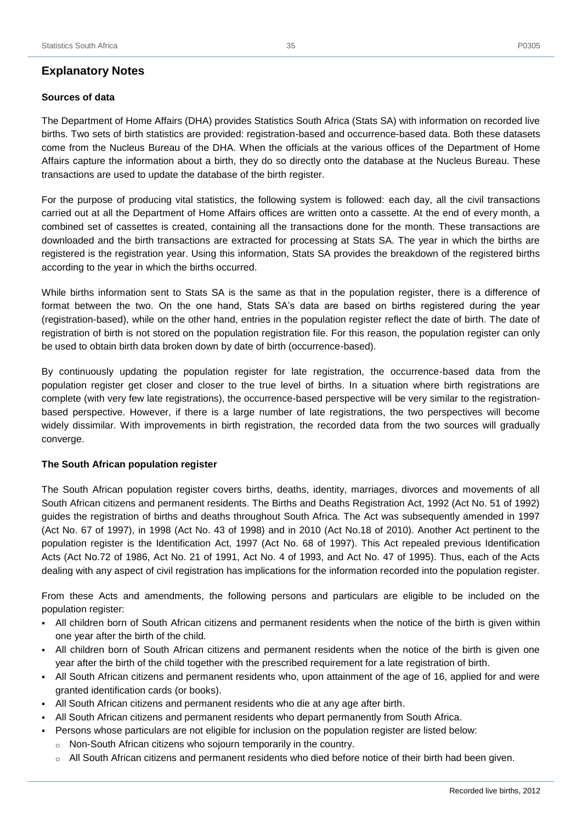#### <span id="page-40-0"></span>**Sources of data**

The Department of Home Affairs (DHA) provides Statistics South Africa (Stats SA) with information on recorded live births. Two sets of birth statistics are provided: registration-based and occurrence-based data. Both these datasets come from the Nucleus Bureau of the DHA. When the officials at the various offices of the Department of Home Affairs capture the information about a birth, they do so directly onto the database at the Nucleus Bureau. These transactions are used to update the database of the birth register.

For the purpose of producing vital statistics, the following system is followed: each day, all the civil transactions carried out at all the Department of Home Affairs offices are written onto a cassette. At the end of every month, a combined set of cassettes is created, containing all the transactions done for the month. These transactions are downloaded and the birth transactions are extracted for processing at Stats SA. The year in which the births are registered is the registration year. Using this information, Stats SA provides the breakdown of the registered births according to the year in which the births occurred.

While births information sent to Stats SA is the same as that in the population register, there is a difference of format between the two. On the one hand, Stats SA's data are based on births registered during the year (registration-based), while on the other hand, entries in the population register reflect the date of birth. The date of registration of birth is not stored on the population registration file. For this reason, the population register can only be used to obtain birth data broken down by date of birth (occurrence-based).

By continuously updating the population register for late registration, the occurrence-based data from the population register get closer and closer to the true level of births. In a situation where birth registrations are complete (with very few late registrations), the occurrence-based perspective will be very similar to the registrationbased perspective. However, if there is a large number of late registrations, the two perspectives will become widely dissimilar. With improvements in birth registration, the recorded data from the two sources will gradually converge.

#### **The South African population register**

The South African population register covers births, deaths, identity, marriages, divorces and movements of all South African citizens and permanent residents. The Births and Deaths Registration Act, 1992 (Act No. 51 of 1992) guides the registration of births and deaths throughout South Africa. The Act was subsequently amended in 1997 (Act No. 67 of 1997), in 1998 (Act No. 43 of 1998) and in 2010 (Act No.18 of 2010). Another Act pertinent to the population register is the Identification Act, 1997 (Act No. 68 of 1997). This Act repealed previous Identification Acts (Act No.72 of 1986, Act No. 21 of 1991, Act No. 4 of 1993, and Act No. 47 of 1995). Thus, each of the Acts dealing with any aspect of civil registration has implications for the information recorded into the population register.

From these Acts and amendments, the following persons and particulars are eligible to be included on the population register:

- All children born of South African citizens and permanent residents when the notice of the birth is given within one year after the birth of the child.
- All children born of South African citizens and permanent residents when the notice of the birth is given one year after the birth of the child together with the prescribed requirement for a late registration of birth.
- All South African citizens and permanent residents who, upon attainment of the age of 16, applied for and were granted identification cards (or books).
- All South African citizens and permanent residents who die at any age after birth.
- All South African citizens and permanent residents who depart permanently from South Africa.
- Persons whose particulars are not eligible for inclusion on the population register are listed below:
	- o Non-South African citizens who sojourn temporarily in the country.
	- o All South African citizens and permanent residents who died before notice of their birth had been given.